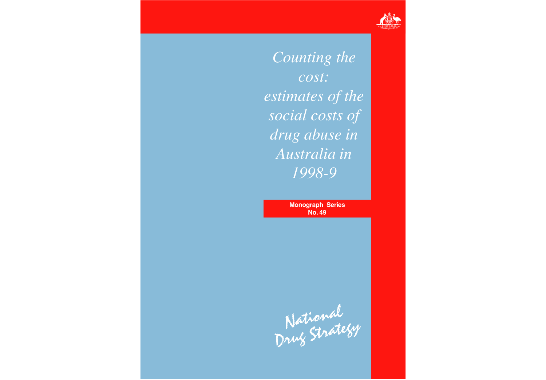

*Counting the cost: estimates of the social costs of drug abuse in Australia in 1998-9*

> **Monograph Series No. 49**

National<br>Drug Strategy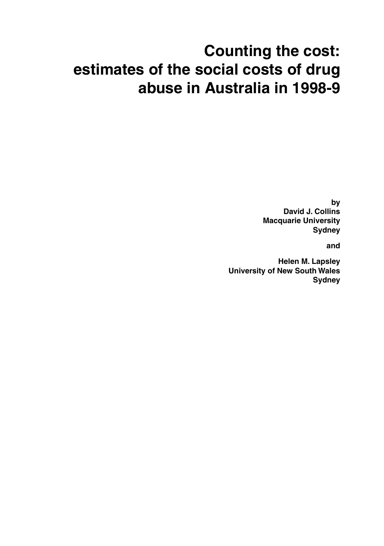# **Counting the cost: estimates of the social costs of drug abuse in Australia in 1998-9**

**by David J. Collins Macquarie University Sydney**

**and**

**Helen M. Lapsley University of New South Wales Sydney**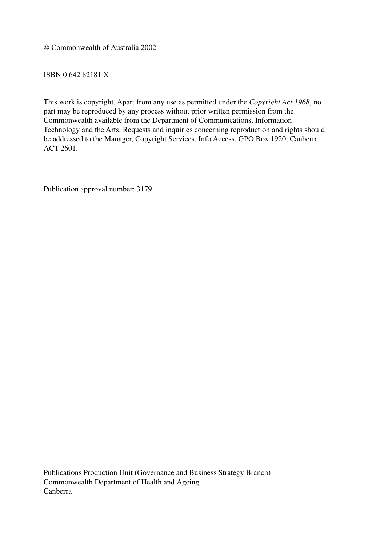© Commonwealth of Australia 2002

ISBN 0 642 82181 X

This work is copyright. Apart from any use as permitted under the *Copyright Act 1968*, no part may be reproduced by any process without prior written permission from the Commonwealth available from the Department of Communications, Information Technology and the Arts. Requests and inquiries concerning reproduction and rights should be addressed to the Manager, Copyright Services, Info Access, GPO Box 1920, Canberra ACT 2601.

Publication approval number: 3179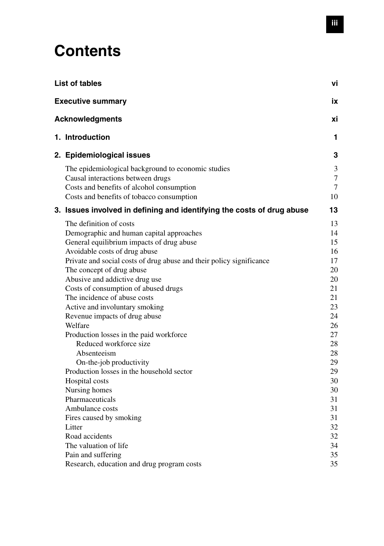## **Contents**

|                                                                                                                                                                                                                                                                                                                                                                                                                                                                                                                                                               | ۷i                                                                                                                                                                                             |
|---------------------------------------------------------------------------------------------------------------------------------------------------------------------------------------------------------------------------------------------------------------------------------------------------------------------------------------------------------------------------------------------------------------------------------------------------------------------------------------------------------------------------------------------------------------|------------------------------------------------------------------------------------------------------------------------------------------------------------------------------------------------|
|                                                                                                                                                                                                                                                                                                                                                                                                                                                                                                                                                               | iх                                                                                                                                                                                             |
|                                                                                                                                                                                                                                                                                                                                                                                                                                                                                                                                                               | хi                                                                                                                                                                                             |
|                                                                                                                                                                                                                                                                                                                                                                                                                                                                                                                                                               | 1                                                                                                                                                                                              |
|                                                                                                                                                                                                                                                                                                                                                                                                                                                                                                                                                               | 3                                                                                                                                                                                              |
| The epidemiological background to economic studies<br>Causal interactions between drugs<br>Costs and benefits of alcohol consumption<br>Costs and benefits of tobacco consumption                                                                                                                                                                                                                                                                                                                                                                             | 3<br>7<br>7<br>10                                                                                                                                                                              |
|                                                                                                                                                                                                                                                                                                                                                                                                                                                                                                                                                               | 13                                                                                                                                                                                             |
| The definition of costs<br>Demographic and human capital approaches<br>General equilibrium impacts of drug abuse<br>Avoidable costs of drug abuse<br>Private and social costs of drug abuse and their policy significance<br>The concept of drug abuse<br>Abusive and addictive drug use<br>Costs of consumption of abused drugs<br>The incidence of abuse costs<br>Active and involuntary smoking<br>Revenue impacts of drug abuse<br>Welfare<br>Production losses in the paid workforce<br>Reduced workforce size<br>Absenteeism<br>On-the-job productivity | 13<br>14<br>15<br>16<br>17<br>20<br>20<br>21<br>21<br>23<br>24<br>26<br>27<br>28<br>28<br>29                                                                                                   |
| Production losses in the household sector<br>Hospital costs<br>Nursing homes<br>Pharmaceuticals<br>Ambulance costs<br>Fires caused by smoking<br>Litter<br>Road accidents<br>The valuation of life<br>Pain and suffering<br>Research, education and drug program costs                                                                                                                                                                                                                                                                                        | 29<br>30<br>30<br>31<br>31<br>31<br>32<br>32<br>34<br>35<br>35                                                                                                                                 |
|                                                                                                                                                                                                                                                                                                                                                                                                                                                                                                                                                               | List of tables<br><b>Executive summary</b><br><b>Acknowledgments</b><br>1. Introduction<br>2. Epidemiological issues<br>3. Issues involved in defining and identifying the costs of drug abuse |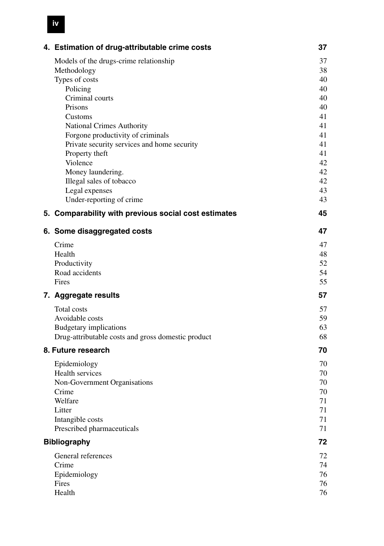| 4. Estimation of drug-attributable crime costs                                   | 37       |
|----------------------------------------------------------------------------------|----------|
| Models of the drugs-crime relationship                                           | 37       |
| Methodology                                                                      | 38       |
| Types of costs<br>Policing                                                       | 40<br>40 |
| Criminal courts                                                                  | 40       |
| Prisons                                                                          | 40       |
| Customs                                                                          | 41       |
| <b>National Crimes Authority</b>                                                 | 41       |
| Forgone productivity of criminals<br>Private security services and home security | 41<br>41 |
| Property theft                                                                   | 41       |
| Violence                                                                         | 42       |
| Money laundering.                                                                | 42       |
| Illegal sales of tobacco                                                         | 42       |
| Legal expenses<br>Under-reporting of crime                                       | 43<br>43 |
|                                                                                  | 45       |
| 5. Comparability with previous social cost estimates                             |          |
| 6. Some disaggregated costs                                                      | 47       |
| Crime                                                                            | 47       |
| Health<br>Productivity                                                           | 48<br>52 |
| Road accidents                                                                   | 54       |
| Fires                                                                            | 55       |
| 7. Aggregate results                                                             | 57       |
| <b>Total costs</b>                                                               | 57       |
| Avoidable costs                                                                  | 59       |
| Budgetary implications                                                           | 63       |
| Drug-attributable costs and gross domestic product                               | 68       |
| 8. Future research                                                               | 70       |
| Epidemiology                                                                     | 70       |
| Health services<br>Non-Government Organisations                                  | 70<br>70 |
| Crime                                                                            | 70       |
| Welfare                                                                          | 71       |
| Litter                                                                           | 71       |
| Intangible costs                                                                 | 71       |
| Prescribed pharmaceuticals                                                       | 71       |
| <b>Bibliography</b>                                                              | 72       |
| General references                                                               | 72       |
| Crime<br>Epidemiology                                                            | 74<br>76 |
| Fires                                                                            | 76       |
| Health                                                                           | 76       |

## **iv**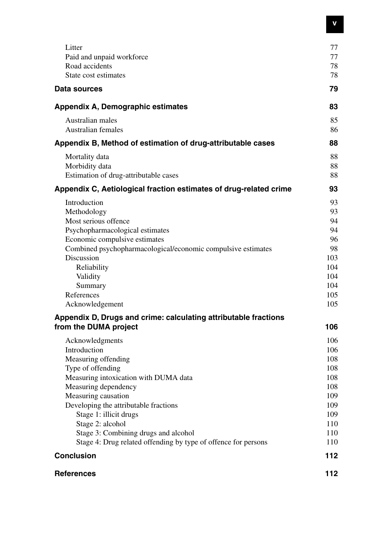| Litter<br>Paid and unpaid workforce                                                      | 77<br>77       |
|------------------------------------------------------------------------------------------|----------------|
| Road accidents<br>State cost estimates                                                   | 78<br>78       |
| Data sources                                                                             | 79             |
| Appendix A, Demographic estimates                                                        | 83             |
| Australian males<br>Australian females                                                   | 85<br>86       |
| Appendix B, Method of estimation of drug-attributable cases                              | 88             |
| Mortality data<br>Morbidity data<br>Estimation of drug-attributable cases                | 88<br>88<br>88 |
| Appendix C, Aetiological fraction estimates of drug-related crime                        | 93             |
| Introduction                                                                             | 93             |
| Methodology                                                                              | 93             |
| Most serious offence                                                                     | 94             |
| Psychopharmacological estimates                                                          | 94             |
| Economic compulsive estimates                                                            | 96             |
| Combined psychopharmacological/economic compulsive estimates                             | 98             |
| Discussion                                                                               | 103            |
| Reliability                                                                              | 104            |
| Validity                                                                                 | 104            |
| Summary<br>References                                                                    | 104<br>105     |
| Acknowledgement                                                                          | 105            |
|                                                                                          |                |
| Appendix D, Drugs and crime: calculating attributable fractions<br>from the DUMA project | 106            |
| Acknowledgments                                                                          | 106            |
| Introduction                                                                             | 106            |
| Measuring offending                                                                      | 108            |
| Type of offending                                                                        | 108            |
| Measuring intoxication with DUMA data                                                    | 108            |
| Measuring dependency                                                                     | 108            |
| Measuring causation                                                                      | 109            |
| Developing the attributable fractions                                                    | 109            |
| Stage 1: illicit drugs                                                                   | 109            |
| Stage 2: alcohol                                                                         | 110            |
| Stage 3: Combining drugs and alcohol                                                     | 110            |
| Stage 4: Drug related offending by type of offence for persons                           | 110            |
| <b>Conclusion</b>                                                                        | 112            |
| <b>References</b>                                                                        | 112            |

**v**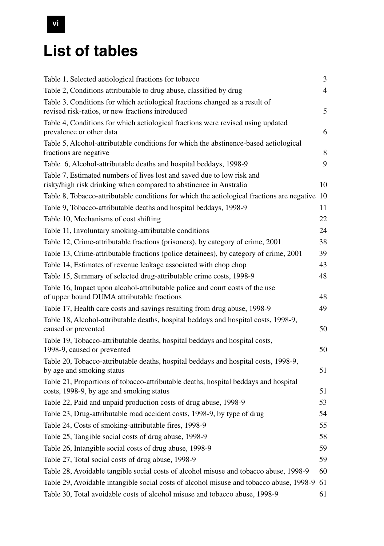# **List of tables**

| Table 1, Selected aetiological fractions for tobacco                                                           | 3              |
|----------------------------------------------------------------------------------------------------------------|----------------|
| Table 2, Conditions attributable to drug abuse, classified by drug                                             | $\overline{4}$ |
| Table 3, Conditions for which aetiological fractions changed as a result of                                    |                |
| revised risk-ratios, or new fractions introduced                                                               | 5              |
| Table 4, Conditions for which aetiological fractions were revised using updated                                |                |
| prevalence or other data                                                                                       | 6              |
| Table 5, Alcohol-attributable conditions for which the abstinence-based aetiological<br>fractions are negative | 8              |
| Table 6, Alcohol-attributable deaths and hospital beddays, 1998-9                                              | 9              |
| Table 7, Estimated numbers of lives lost and saved due to low risk and                                         |                |
| risky/high risk drinking when compared to abstinence in Australia                                              | 10             |
| Table 8, Tobacco-attributable conditions for which the aetiological fractions are negative 10                  |                |
| Table 9, Tobacco-attributable deaths and hospital beddays, 1998-9                                              | 11             |
| Table 10, Mechanisms of cost shifting                                                                          | 22             |
| Table 11, Involuntary smoking-attributable conditions                                                          | 24             |
| Table 12, Crime-attributable fractions (prisoners), by category of crime, 2001                                 | 38             |
| Table 13, Crime-attributable fractions (police detainees), by category of crime, 2001                          | 39             |
| Table 14, Estimates of revenue leakage associated with chop chop                                               | 43             |
| Table 15, Summary of selected drug-attributable crime costs, 1998-9                                            | 48             |
| Table 16, Impact upon alcohol-attributable police and court costs of the use                                   |                |
| of upper bound DUMA attributable fractions                                                                     | 48             |
| Table 17, Health care costs and savings resulting from drug abuse, 1998-9                                      | 49             |
| Table 18, Alcohol-attributable deaths, hospital beddays and hospital costs, 1998-9,                            |                |
| caused or prevented                                                                                            | 50             |
| Table 19, Tobacco-attributable deaths, hospital beddays and hospital costs,<br>1998-9, caused or prevented     | 50             |
| Table 20, Tobacco-attributable deaths, hospital beddays and hospital costs, 1998-9,                            |                |
| by age and smoking status                                                                                      | 51             |
| Table 21, Proportions of tobacco-attributable deaths, hospital beddays and hospital                            |                |
| costs, 1998-9, by age and smoking status                                                                       | 51             |
| Table 22, Paid and unpaid production costs of drug abuse, 1998-9                                               | 53             |
| Table 23, Drug-attributable road accident costs, 1998-9, by type of drug                                       | 54             |
| Table 24, Costs of smoking-attributable fires, 1998-9                                                          | 55             |
| Table 25, Tangible social costs of drug abuse, 1998-9                                                          | 58             |
| Table 26, Intangible social costs of drug abuse, 1998-9                                                        | 59             |
| Table 27, Total social costs of drug abuse, 1998-9                                                             | 59             |
| Table 28, Avoidable tangible social costs of alcohol misuse and tobacco abuse, 1998-9                          | 60             |
| Table 29, Avoidable intangible social costs of alcohol misuse and tobacco abuse, 1998-9                        | 61             |
| Table 30, Total avoidable costs of alcohol misuse and tobacco abuse, 1998-9                                    | 61             |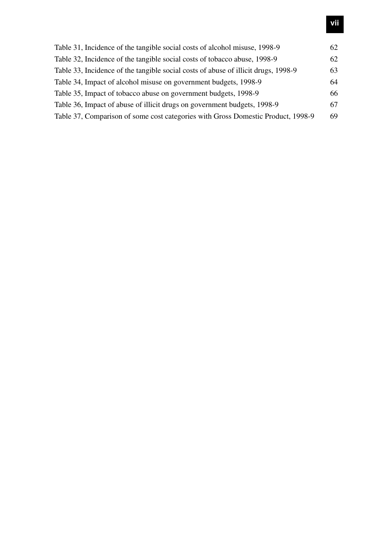| Table 31, Incidence of the tangible social costs of alcohol misuse, 1998-9         | 62 |
|------------------------------------------------------------------------------------|----|
| Table 32, Incidence of the tangible social costs of tobacco abuse, 1998-9          | 62 |
| Table 33, Incidence of the tangible social costs of abuse of illicit drugs, 1998-9 | 63 |
| Table 34, Impact of alcohol misuse on government budgets, 1998-9                   | 64 |
| Table 35, Impact of tobacco abuse on government budgets, 1998-9                    | 66 |
| Table 36, Impact of abuse of illicit drugs on government budgets, 1998-9           | 67 |
| Table 37, Comparison of some cost categories with Gross Domestic Product, 1998-9   | 69 |
|                                                                                    |    |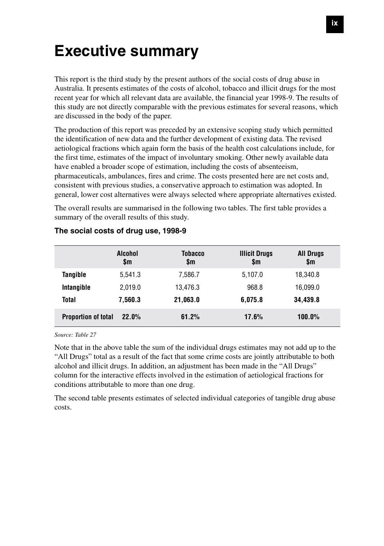## **Executive summary**

This report is the third study by the present authors of the social costs of drug abuse in Australia. It presents estimates of the costs of alcohol, tobacco and illicit drugs for the most recent year for which all relevant data are available, the financial year 1998-9. The results of this study are not directly comparable with the previous estimates for several reasons, which are discussed in the body of the paper.

The production of this report was preceded by an extensive scoping study which permitted the identification of new data and the further development of existing data. The revised aetiological fractions which again form the basis of the health cost calculations include, for the first time, estimates of the impact of involuntary smoking. Other newly available data have enabled a broader scope of estimation, including the costs of absenteeism, pharmaceuticals, ambulances, fires and crime. The costs presented here are net costs and, consistent with previous studies, a conservative approach to estimation was adopted. In general, lower cost alternatives were always selected where appropriate alternatives existed.

The overall results are summarised in the following two tables. The first table provides a summary of the overall results of this study.

|                            | <b>Alcohol</b><br>\$m | <b>Tobacco</b><br>\$m | <b>Illicit Drugs</b><br>\$m | <b>All Drugs</b><br>\$m |
|----------------------------|-----------------------|-----------------------|-----------------------------|-------------------------|
| Tangible                   | 5.541.3               | 7.586.7               | 5,107.0                     | 18,340.8                |
| Intangible                 | 2,019.0               | 13.476.3              | 968.8                       | 16,099.0                |
| Total                      | 7.560.3               | 21.063.0              | 6.075.8                     | 34.439.8                |
| <b>Proportion of total</b> | 22.0%                 | 61.2%                 | 17.6%                       | $100.0\%$               |

#### **The social costs of drug use, 1998-9**

*Source: Table 27*

Note that in the above table the sum of the individual drugs estimates may not add up to the "All Drugs" total as a result of the fact that some crime costs are jointly attributable to both alcohol and illicit drugs. In addition, an adjustment has been made in the "All Drugs" column for the interactive effects involved in the estimation of aetiological fractions for conditions attributable to more than one drug.

The second table presents estimates of selected individual categories of tangible drug abuse costs.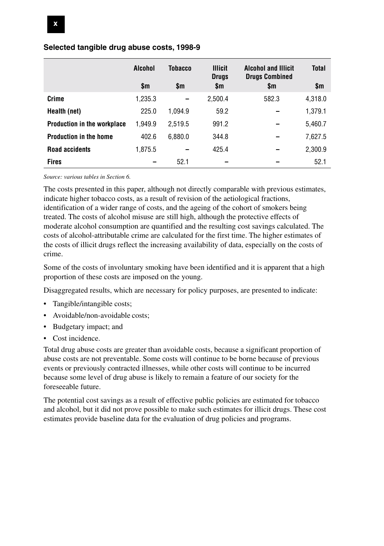|                                    | Alcohol | Tobacco | <b>Illicit</b><br><b>Drugs</b> | <b>Alcohol and Illicit</b><br><b>Drugs Combined</b> | <b>Total</b> |
|------------------------------------|---------|---------|--------------------------------|-----------------------------------------------------|--------------|
|                                    | \$m     | \$m     | \$m                            | \$m                                                 | \$m          |
| Crime                              | 1,235.3 |         | 2,500.4                        | 582.3                                               | 4,318.0      |
| Health (net)                       | 225.0   | 1.094.9 | 59.2                           |                                                     | 1,379.1      |
| <b>Production in the workplace</b> | 1,949.9 | 2.519.5 | 991.2                          |                                                     | 5,460.7      |
| <b>Production in the home</b>      | 402.6   | 6,880.0 | 344.8                          |                                                     | 7,627.5      |
| <b>Road accidents</b>              | 1,875.5 |         | 425.4                          |                                                     | 2,300.9      |
| <b>Fires</b>                       |         | 52.1    |                                |                                                     | 52.1         |

#### **Selected tangible drug abuse costs, 1998-9**

*Source: various tables in Section 6.*

The costs presented in this paper, although not directly comparable with previous estimates, indicate higher tobacco costs, as a result of revision of the aetiological fractions, identification of a wider range of costs, and the ageing of the cohort of smokers being treated. The costs of alcohol misuse are still high, although the protective effects of moderate alcohol consumption are quantified and the resulting cost savings calculated. The costs of alcohol-attributable crime are calculated for the first time. The higher estimates of the costs of illicit drugs reflect the increasing availability of data, especially on the costs of crime.

Some of the costs of involuntary smoking have been identified and it is apparent that a high proportion of these costs are imposed on the young.

Disaggregated results, which are necessary for policy purposes, are presented to indicate:

- Tangible/intangible costs;
- Avoidable/non-avoidable costs;
- Budgetary impact; and
- Cost incidence.

Total drug abuse costs are greater than avoidable costs, because a significant proportion of abuse costs are not preventable. Some costs will continue to be borne because of previous events or previously contracted illnesses, while other costs will continue to be incurred because some level of drug abuse is likely to remain a feature of our society for the foreseeable future.

The potential cost savings as a result of effective public policies are estimated for tobacco and alcohol, but it did not prove possible to make such estimates for illicit drugs. These cost estimates provide baseline data for the evaluation of drug policies and programs.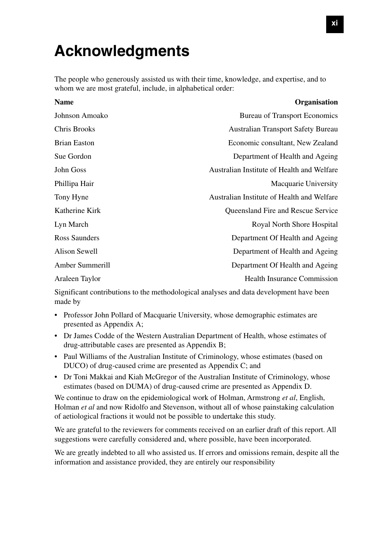## **Acknowledgments**

The people who generously assisted us with their time, knowledge, and expertise, and to whom we are most grateful, include, in alphabetical order:

| <b>Name</b>         | Organisation                               |
|---------------------|--------------------------------------------|
| Johnson Amoako      | <b>Bureau of Transport Economics</b>       |
| Chris Brooks        | <b>Australian Transport Safety Bureau</b>  |
| <b>Brian Easton</b> | Economic consultant, New Zealand           |
| Sue Gordon          | Department of Health and Ageing            |
| John Goss           | Australian Institute of Health and Welfare |
| Phillipa Hair       | Macquarie University                       |
| Tony Hyne           | Australian Institute of Health and Welfare |
| Katherine Kirk      | <b>Oueensland Fire and Rescue Service</b>  |
| Lyn March           | Royal North Shore Hospital                 |
| Ross Saunders       | Department Of Health and Ageing            |
| Alison Sewell       | Department of Health and Ageing            |
| Amber Summerill     | Department Of Health and Ageing            |
| Araleen Taylor      | <b>Health Insurance Commission</b>         |

Significant contributions to the methodological analyses and data development have been made by

- Professor John Pollard of Macquarie University, whose demographic estimates are presented as Appendix A;
- Dr James Codde of the Western Australian Department of Health, whose estimates of drug-attributable cases are presented as Appendix B;
- Paul Williams of the Australian Institute of Criminology, whose estimates (based on DUCO) of drug-caused crime are presented as Appendix C; and
- Dr Toni Makkai and Kiah McGregor of the Australian Institute of Criminology, whose estimates (based on DUMA) of drug-caused crime are presented as Appendix D.

We continue to draw on the epidemiological work of Holman, Armstrong *et al*, English, Holman *et al* and now Ridolfo and Stevenson, without all of whose painstaking calculation of aetiological fractions it would not be possible to undertake this study.

We are grateful to the reviewers for comments received on an earlier draft of this report. All suggestions were carefully considered and, where possible, have been incorporated.

We are greatly indebted to all who assisted us. If errors and omissions remain, despite all the information and assistance provided, they are entirely our responsibility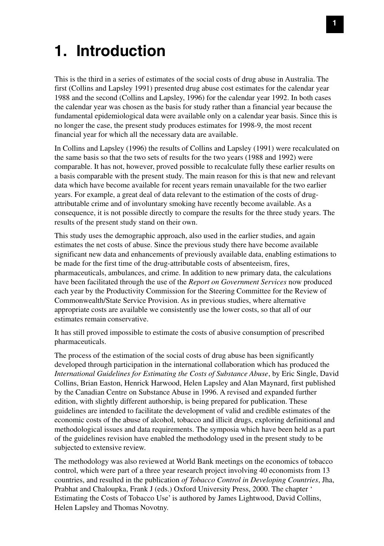## **1. Introduction**

This is the third in a series of estimates of the social costs of drug abuse in Australia. The first (Collins and Lapsley 1991) presented drug abuse cost estimates for the calendar year 1988 and the second (Collins and Lapsley, 1996) for the calendar year 1992. In both cases the calendar year was chosen as the basis for study rather than a financial year because the fundamental epidemiological data were available only on a calendar year basis. Since this is no longer the case, the present study produces estimates for 1998-9, the most recent financial year for which all the necessary data are available.

In Collins and Lapsley (1996) the results of Collins and Lapsley (1991) were recalculated on the same basis so that the two sets of results for the two years (1988 and 1992) were comparable. It has not, however, proved possible to recalculate fully these earlier results on a basis comparable with the present study. The main reason for this is that new and relevant data which have become available for recent years remain unavailable for the two earlier years. For example, a great deal of data relevant to the estimation of the costs of drugattributable crime and of involuntary smoking have recently become available. As a consequence, it is not possible directly to compare the results for the three study years. The results of the present study stand on their own.

This study uses the demographic approach, also used in the earlier studies, and again estimates the net costs of abuse. Since the previous study there have become available significant new data and enhancements of previously available data, enabling estimations to be made for the first time of the drug-attributable costs of absenteeism, fires, pharmaceuticals, ambulances, and crime. In addition to new primary data, the calculations have been facilitated through the use of the *Report on Government Services* now produced each year by the Productivity Commission for the Steering Committee for the Review of Commonwealth/State Service Provision. As in previous studies, where alternative appropriate costs are available we consistently use the lower costs, so that all of our estimates remain conservative.

It has still proved impossible to estimate the costs of abusive consumption of prescribed pharmaceuticals.

The process of the estimation of the social costs of drug abuse has been significantly developed through participation in the international collaboration which has produced the *International Guidelines for Estimating the Costs of Substance Abuse*, by Eric Single, David Collins, Brian Easton, Henrick Harwood, Helen Lapsley and Alan Maynard, first published by the Canadian Centre on Substance Abuse in 1996. A revised and expanded further edition, with slightly different authorship, is being prepared for publication. These guidelines are intended to facilitate the development of valid and credible estimates of the economic costs of the abuse of alcohol, tobacco and illicit drugs, exploring definitional and methodological issues and data requirements. The symposia which have been held as a part of the guidelines revision have enabled the methodology used in the present study to be subjected to extensive review.

The methodology was also reviewed at World Bank meetings on the economics of tobacco control, which were part of a three year research project involving 40 economists from 13 countries, and resulted in the publication *of Tobacco Control in Developing Countries*, Jha, Prabhat and Chaloupka, Frank J (eds.) Oxford University Press, 2000. The chapter ' Estimating the Costs of Tobacco Use' is authored by James Lightwood, David Collins, Helen Lapsley and Thomas Novotny.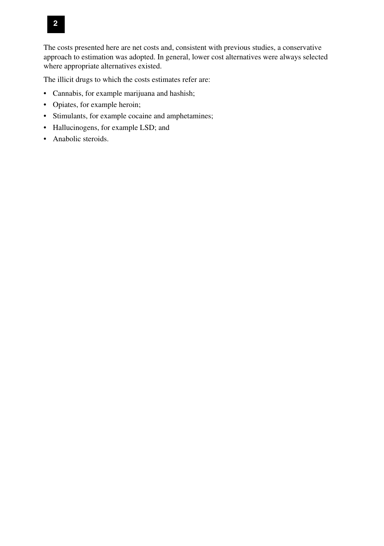

The costs presented here are net costs and, consistent with previous studies, a conservative approach to estimation was adopted. In general, lower cost alternatives were always selected where appropriate alternatives existed.

The illicit drugs to which the costs estimates refer are:

- Cannabis, for example marijuana and hashish;
- Opiates, for example heroin;
- Stimulants, for example cocaine and amphetamines;
- Hallucinogens, for example LSD; and
- Anabolic steroids.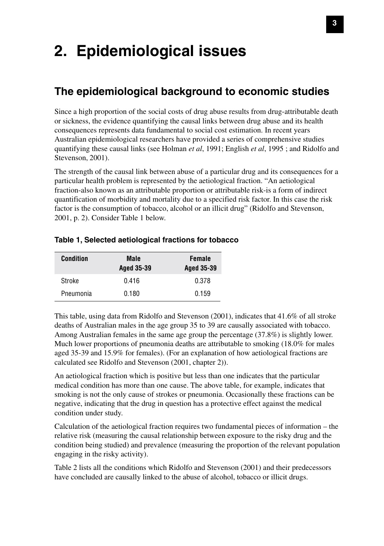# **2. Epidemiological issues**

### **The epidemiological background to economic studies**

Since a high proportion of the social costs of drug abuse results from drug-attributable death or sickness, the evidence quantifying the causal links between drug abuse and its health consequences represents data fundamental to social cost estimation. In recent years Australian epidemiological researchers have provided a series of comprehensive studies quantifying these causal links (see Holman *et al*, 1991; English *et al*, 1995 ; and Ridolfo and Stevenson, 2001).

The strength of the causal link between abuse of a particular drug and its consequences for a particular health problem is represented by the aetiological fraction. "An aetiological fraction-also known as an attributable proportion or attributable risk-is a form of indirect quantification of morbidity and mortality due to a specified risk factor. In this case the risk factor is the consumption of tobacco, alcohol or an illicit drug" (Ridolfo and Stevenson, 2001, p. 2). Consider Table 1 below.

| <b>Condition</b> | Male<br><b>Aged 35-39</b> | Female<br><b>Aged 35-39</b> |
|------------------|---------------------------|-----------------------------|
| Stroke           | 0.416                     | 0.378                       |
| Pneumonia        | 0.180                     | 0.159                       |

#### **Table 1, Selected aetiological fractions for tobacco**

This table, using data from Ridolfo and Stevenson (2001), indicates that 41.6% of all stroke deaths of Australian males in the age group 35 to 39 are causally associated with tobacco. Among Australian females in the same age group the percentage (37.8%) is slightly lower. Much lower proportions of pneumonia deaths are attributable to smoking (18.0% for males aged 35-39 and 15.9% for females). (For an explanation of how aetiological fractions are calculated see Ridolfo and Stevenson (2001, chapter 2)).

An aetiological fraction which is positive but less than one indicates that the particular medical condition has more than one cause. The above table, for example, indicates that smoking is not the only cause of strokes or pneumonia. Occasionally these fractions can be negative, indicating that the drug in question has a protective effect against the medical condition under study.

Calculation of the aetiological fraction requires two fundamental pieces of information – the relative risk (measuring the causal relationship between exposure to the risky drug and the condition being studied) and prevalence (measuring the proportion of the relevant population engaging in the risky activity).

Table 2 lists all the conditions which Ridolfo and Stevenson (2001) and their predecessors have concluded are causally linked to the abuse of alcohol, tobacco or illicit drugs.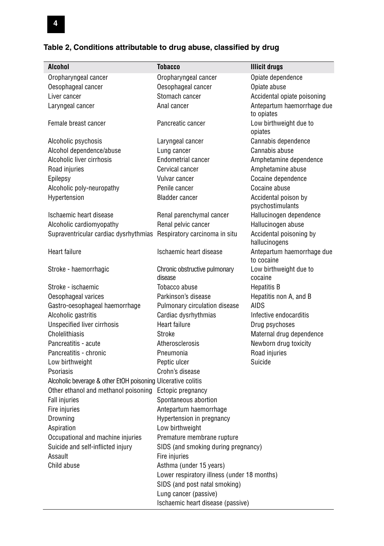| <b>Alcohol</b>                                                      | <b>Tobacco</b>                              | <b>Illicit drugs</b>                     |
|---------------------------------------------------------------------|---------------------------------------------|------------------------------------------|
| Oropharyngeal cancer                                                | Oropharyngeal cancer                        | Opiate dependence                        |
| Oesophageal cancer                                                  | Oesophageal cancer                          | Opiate abuse                             |
| Liver cancer                                                        | Stomach cancer                              | Accidental opiate poisoning              |
| Laryngeal cancer                                                    | Anal cancer                                 | Antepartum haemorrhage due<br>to opiates |
| Female breast cancer                                                | Pancreatic cancer                           | Low birthweight due to<br>opiates        |
| Alcoholic psychosis                                                 | Laryngeal cancer                            | Cannabis dependence                      |
| Alcohol dependence/abuse                                            | Lung cancer                                 | Cannabis abuse                           |
| Alcoholic liver cirrhosis                                           | <b>Endometrial cancer</b>                   | Amphetamine dependence                   |
| Road injuries                                                       | Cervical cancer                             | Amphetamine abuse                        |
| Epilepsy                                                            | Vulvar cancer                               | Cocaine dependence                       |
| Alcoholic poly-neuropathy                                           | Penile cancer                               | Cocaine abuse                            |
| Hypertension                                                        | <b>Bladder cancer</b>                       | Accidental poison by<br>psychostimulants |
| Ischaemic heart disease                                             | Renal parenchymal cancer                    | Hallucinogen dependence                  |
| Alcoholic cardiomyopathy                                            | Renal pelvic cancer                         | Hallucinogen abuse                       |
| Supraventricular cardiac dysrhythmias Respiratory carcinoma in situ |                                             | Accidental poisoning by<br>hallucinogens |
| Heart failure                                                       | Ischaemic heart disease                     | Antepartum haemorrhage due<br>to cocaine |
| Stroke - haemorrhagic                                               | Chronic obstructive pulmonary<br>disease    | Low birthweight due to<br>cocaine        |
| Stroke - ischaemic                                                  | Tobacco abuse                               | <b>Hepatitis B</b>                       |
| Oesophageal varices                                                 | Parkinson's disease                         | Hepatitis non A, and B                   |
| Gastro-oesophageal haemorrhage                                      | Pulmonary circulation disease               | <b>AIDS</b>                              |
| Alcoholic gastritis                                                 | Cardiac dysrhythmias                        | Infective endocarditis                   |
| <b>Unspecified liver cirrhosis</b>                                  | Heart failure                               | Drug psychoses                           |
| Cholelithiasis                                                      | Stroke                                      | Maternal drug dependence                 |
| Pancreatitis - acute                                                | Atherosclerosis                             | Newborn drug toxicity                    |
| Pancreatitis - chronic                                              | Pneumonia                                   | Road injuries                            |
| Low birthweight                                                     | Peptic ulcer                                | Suicide                                  |
| Psoriasis                                                           | Crohn's disease                             |                                          |
| Alcoholic beverage & other EtOH poisoning Ulcerative colitis        |                                             |                                          |
| Other ethanol and methanol poisoning                                | Ectopic pregnancy                           |                                          |
| <b>Fall injuries</b>                                                | Spontaneous abortion                        |                                          |
| Fire injuries                                                       | Antepartum haemorrhage                      |                                          |
| Drowning                                                            | Hypertension in pregnancy                   |                                          |
| Aspiration                                                          | Low birthweight                             |                                          |
| Occupational and machine injuries                                   | Premature membrane rupture                  |                                          |
| Suicide and self-inflicted injury                                   | SIDS (and smoking during pregnancy)         |                                          |
| Assault                                                             | Fire injuries                               |                                          |
| Child abuse                                                         | Asthma (under 15 years)                     |                                          |
|                                                                     | Lower respiratory illness (under 18 months) |                                          |
|                                                                     | SIDS (and post natal smoking)               |                                          |
|                                                                     | Lung cancer (passive)                       |                                          |
|                                                                     | Ischaemic heart disease (passive)           |                                          |

#### **Table 2, Conditions attributable to drug abuse, classified by drug**

**4**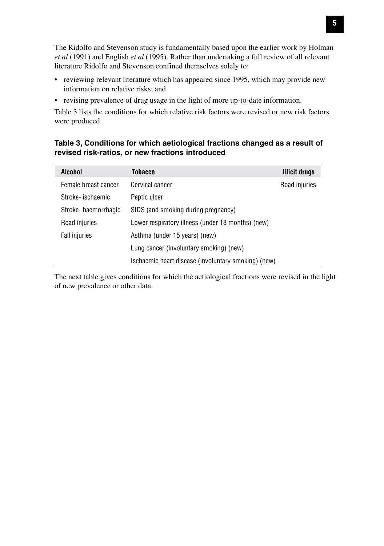The Ridolfo and Stevenson study is fundamentally based upon the earlier work by Holman *et al* (1991) and English *et al* (1995). Rather than undertaking a full review of all relevant literature Ridolfo and Stevenson confined themselves solely to:

- reviewing relevant literature which has appeared since 1995, which may provide new information on relative risks; and
- revising prevalence of drug usage in the light of more up-to-date information.

Table 3 lists the conditions for which relative risk factors were revised or new risk factors were produced.

#### **Table 3, Conditions for which aetiological fractions changed as a result of revised risk-ratios, or new fractions introduced**

| Alcohol              | Tobacco                                             | Illicit drugs |
|----------------------|-----------------------------------------------------|---------------|
| Female breast cancer | Cervical cancer                                     | Road injuries |
| Stroke- ischaemic    | Peptic ulcer                                        |               |
| Stroke-haemorrhagic  | SIDS (and smoking during pregnancy)                 |               |
| Road injuries        | Lower respiratory illness (under 18 months) (new)   |               |
| <b>Fall injuries</b> | Asthma (under 15 years) (new)                       |               |
|                      | Lung cancer (involuntary smoking) (new)             |               |
|                      | Ischaemic heart disease (involuntary smoking) (new) |               |

The next table gives conditions for which the aetiological fractions were revised in the light of new prevalence or other data.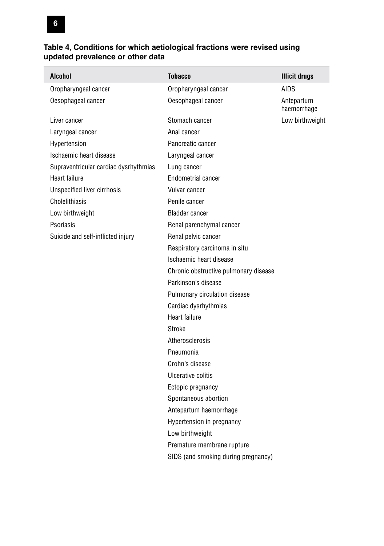### **6**

ſ

#### **Table 4, Conditions for which aetiological fractions were revised using updated prevalence or other data**

| <b>Alcohol</b>                        | Tobacco                               | <b>Illicit drugs</b>      |
|---------------------------------------|---------------------------------------|---------------------------|
| Oropharyngeal cancer                  | Oropharyngeal cancer                  | <b>AIDS</b>               |
| Oesophageal cancer                    | Oesophageal cancer                    | Antepartum<br>haemorrhage |
| Liver cancer                          | Stomach cancer                        | Low birthweight           |
| Laryngeal cancer                      | Anal cancer                           |                           |
| Hypertension                          | Pancreatic cancer                     |                           |
| Ischaemic heart disease               | Laryngeal cancer                      |                           |
| Supraventricular cardiac dysrhythmias | Lung cancer                           |                           |
| Heart failure                         | Endometrial cancer                    |                           |
| <b>Unspecified liver cirrhosis</b>    | Vulvar cancer                         |                           |
| Cholelithiasis                        | Penile cancer                         |                           |
| Low birthweight                       | <b>Bladder cancer</b>                 |                           |
| Psoriasis                             | Renal parenchymal cancer              |                           |
| Suicide and self-inflicted injury     | Renal pelvic cancer                   |                           |
|                                       | Respiratory carcinoma in situ         |                           |
|                                       | Ischaemic heart disease               |                           |
|                                       | Chronic obstructive pulmonary disease |                           |
|                                       | Parkinson's disease                   |                           |
|                                       | Pulmonary circulation disease         |                           |
|                                       | Cardiac dysrhythmias                  |                           |
|                                       | Heart failure                         |                           |
|                                       | Stroke                                |                           |
|                                       | Atherosclerosis                       |                           |
|                                       | Pneumonia                             |                           |
|                                       | Crohn's disease                       |                           |
|                                       | Ulcerative colitis                    |                           |
|                                       | Ectopic pregnancy                     |                           |
|                                       | Spontaneous abortion                  |                           |
|                                       | Antepartum haemorrhage                |                           |
|                                       | Hypertension in pregnancy             |                           |
|                                       | Low birthweight                       |                           |
|                                       | Premature membrane rupture            |                           |
|                                       | SIDS (and smoking during pregnancy)   |                           |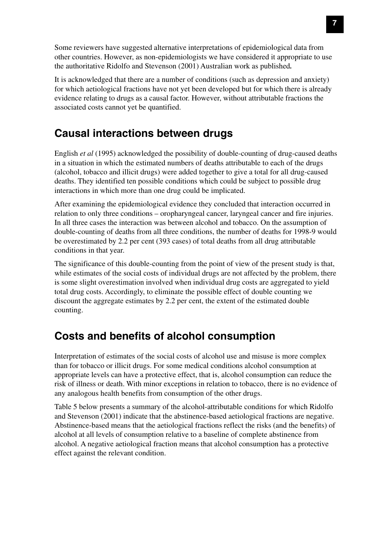Some reviewers have suggested alternative interpretations of epidemiological data from other countries. However, as non-epidemiologists we have considered it appropriate to use the authoritative Ridolfo and Stevenson (2001) Australian work as published*.*

It is acknowledged that there are a number of conditions (such as depression and anxiety) for which aetiological fractions have not yet been developed but for which there is already evidence relating to drugs as a causal factor. However, without attributable fractions the associated costs cannot yet be quantified.

### **Causal interactions between drugs**

English *et al* (1995) acknowledged the possibility of double-counting of drug-caused deaths in a situation in which the estimated numbers of deaths attributable to each of the drugs (alcohol, tobacco and illicit drugs) were added together to give a total for all drug-caused deaths. They identified ten possible conditions which could be subject to possible drug interactions in which more than one drug could be implicated.

After examining the epidemiological evidence they concluded that interaction occurred in relation to only three conditions – oropharyngeal cancer, laryngeal cancer and fire injuries. In all three cases the interaction was between alcohol and tobacco. On the assumption of double-counting of deaths from all three conditions, the number of deaths for 1998-9 would be overestimated by 2.2 per cent (393 cases) of total deaths from all drug attributable conditions in that year.

The significance of this double-counting from the point of view of the present study is that, while estimates of the social costs of individual drugs are not affected by the problem, there is some slight overestimation involved when individual drug costs are aggregated to yield total drug costs. Accordingly, to eliminate the possible effect of double counting we discount the aggregate estimates by 2.2 per cent, the extent of the estimated double counting.

### **Costs and benefits of alcohol consumption**

Interpretation of estimates of the social costs of alcohol use and misuse is more complex than for tobacco or illicit drugs. For some medical conditions alcohol consumption at appropriate levels can have a protective effect, that is, alcohol consumption can reduce the risk of illness or death. With minor exceptions in relation to tobacco, there is no evidence of any analogous health benefits from consumption of the other drugs.

Table 5 below presents a summary of the alcohol-attributable conditions for which Ridolfo and Stevenson (2001) indicate that the abstinence-based aetiological fractions are negative. Abstinence-based means that the aetiological fractions reflect the risks (and the benefits) of alcohol at all levels of consumption relative to a baseline of complete abstinence from alcohol. A negative aetiological fraction means that alcohol consumption has a protective effect against the relevant condition.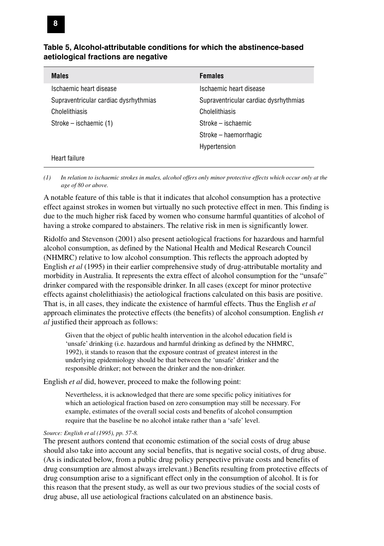| Table 5, Alcohol-attributable conditions for which the abstinence-based |  |
|-------------------------------------------------------------------------|--|
| aetiological fractions are negative                                     |  |

| <b>Males</b>                          | <b>Females</b>                        |
|---------------------------------------|---------------------------------------|
| Ischaemic heart disease               | Ischaemic heart disease               |
| Supraventricular cardiac dysrhythmias | Supraventricular cardiac dysrhythmias |
| Cholelithiasis                        | Cholelithiasis                        |
| Stroke – ischaemic (1)                | Stroke – ischaemic                    |
|                                       | Stroke – haemorrhagic                 |
|                                       | Hypertension                          |
| Heart failure                         |                                       |

*(1) In relation to ischaemic strokes in males, alcohol offers only minor protective effects which occur only at the age of 80 or above.*

A notable feature of this table is that it indicates that alcohol consumption has a protective effect against strokes in women but virtually no such protective effect in men. This finding is due to the much higher risk faced by women who consume harmful quantities of alcohol of having a stroke compared to abstainers. The relative risk in men is significantly lower.

Ridolfo and Stevenson (2001) also present aetiological fractions for hazardous and harmful alcohol consumption, as defined by the National Health and Medical Research Council (NHMRC) relative to low alcohol consumption. This reflects the approach adopted by English *et al* (1995) in their earlier comprehensive study of drug-attributable mortality and morbidity in Australia. It represents the extra effect of alcohol consumption for the "unsafe" drinker compared with the responsible drinker. In all cases (except for minor protective effects against cholelithiasis) the aetiological fractions calculated on this basis are positive. That is, in all cases, they indicate the existence of harmful effects. Thus the English *et al* approach eliminates the protective effects (the benefits) of alcohol consumption. English *et al* justified their approach as follows:

Given that the object of public health intervention in the alcohol education field is 'unsafe' drinking (i.e. hazardous and harmful drinking as defined by the NHMRC, 1992), it stands to reason that the exposure contrast of greatest interest in the underlying epidemiology should be that between the 'unsafe' drinker and the responsible drinker; not between the drinker and the non-drinker.

English *et al* did, however, proceed to make the following point:

Nevertheless, it is acknowledged that there are some specific policy initiatives for which an aetiological fraction based on zero consumption may still be necessary. For example, estimates of the overall social costs and benefits of alcohol consumption require that the baseline be no alcohol intake rather than a 'safe' level.

#### *Source: English et al (1995), pp. 57-8.*

The present authors contend that economic estimation of the social costs of drug abuse should also take into account any social benefits, that is negative social costs, of drug abuse. (As is indicated below, from a public drug policy perspective private costs and benefits of drug consumption are almost always irrelevant.) Benefits resulting from protective effects of drug consumption arise to a significant effect only in the consumption of alcohol. It is for this reason that the present study, as well as our two previous studies of the social costs of drug abuse, all use aetiological fractions calculated on an abstinence basis.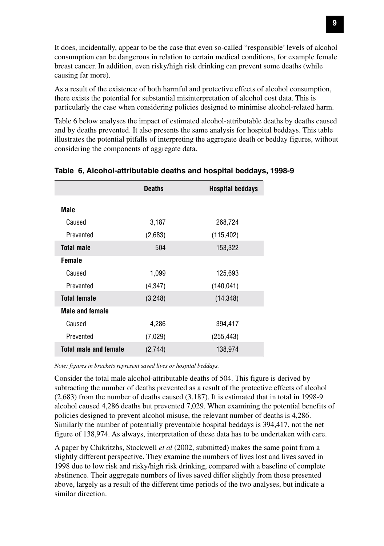It does, incidentally, appear to be the case that even so-called "responsible' levels of alcohol consumption can be dangerous in relation to certain medical conditions, for example female breast cancer. In addition, even risky/high risk drinking can prevent some deaths (while causing far more).

As a result of the existence of both harmful and protective effects of alcohol consumption, there exists the potential for substantial misinterpretation of alcohol cost data. This is particularly the case when considering policies designed to minimise alcohol-related harm.

Table 6 below analyses the impact of estimated alcohol-attributable deaths by deaths caused and by deaths prevented. It also presents the same analysis for hospital beddays. This table illustrates the potential pitfalls of interpreting the aggregate death or bedday figures, without considering the components of aggregate data.

|                              | <b>Deaths</b> | <b>Hospital beddays</b> |
|------------------------------|---------------|-------------------------|
| Male                         |               |                         |
| Caused                       | 3,187         | 268,724                 |
| Prevented                    | (2,683)       | (115, 402)              |
| <b>Total male</b>            | 504           | 153,322                 |
| Female                       |               |                         |
| Caused                       | 1,099         | 125,693                 |
| Prevented                    | (4,347)       | (140, 041)              |
| <b>Total female</b>          | (3,248)       | (14, 348)               |
| <b>Male and female</b>       |               |                         |
| Caused                       | 4,286         | 394,417                 |
| Prevented                    | (7,029)       | (255, 443)              |
| <b>Total male and female</b> | (2,744)       | 138,974                 |

#### **Table 6, Alcohol-attributable deaths and hospital beddays, 1998-9**

*Note: figures in brackets represent saved lives or hospital beddays.*

Consider the total male alcohol-attributable deaths of 504. This figure is derived by subtracting the number of deaths prevented as a result of the protective effects of alcohol (2,683) from the number of deaths caused (3,187). It is estimated that in total in 1998-9 alcohol caused 4,286 deaths but prevented 7,029. When examining the potential benefits of policies designed to prevent alcohol misuse, the relevant number of deaths is 4,286. Similarly the number of potentially preventable hospital beddays is 394,417, not the net figure of 138,974. As always, interpretation of these data has to be undertaken with care.

A paper by Chikritzhs, Stockwell *et al* (2002, submitted) makes the same point from a slightly different perspective. They examine the numbers of lives lost and lives saved in 1998 due to low risk and risky/high risk drinking, compared with a baseline of complete abstinence. Their aggregate numbers of lives saved differ slightly from those presented above, largely as a result of the different time periods of the two analyses, but indicate a similar direction.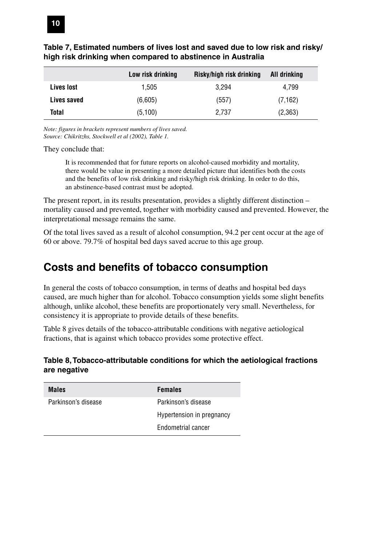|             | Low risk drinking | Risky/high risk drinking | All drinking |
|-------------|-------------------|--------------------------|--------------|
| Lives lost  | 1.505             | 3.294                    | 4.799        |
| Lives saved | (6.605)           | (557)                    | (7, 162)     |
| Total       | (5,100)           | 2.737                    | (2,363)      |

#### **Table 7, Estimated numbers of lives lost and saved due to low risk and risky/ high risk drinking when compared to abstinence in Australia**

*Note: figures in brackets represent numbers of lives saved. Source: Chikritzhs, Stockwell et al (2002), Table 1.*

They conclude that:

It is recommended that for future reports on alcohol-caused morbidity and mortality, there would be value in presenting a more detailed picture that identifies both the costs and the benefits of low risk drinking and risky/high risk drinking. In order to do this, an abstinence-based contrast must be adopted.

The present report, in its results presentation, provides a slightly different distinction – mortality caused and prevented, together with morbidity caused and prevented. However, the interpretational message remains the same.

Of the total lives saved as a result of alcohol consumption, 94.2 per cent occur at the age of 60 or above. 79.7% of hospital bed days saved accrue to this age group.

### **Costs and benefits of tobacco consumption**

In general the costs of tobacco consumption, in terms of deaths and hospital bed days caused, are much higher than for alcohol. Tobacco consumption yields some slight benefits although, unlike alcohol, these benefits are proportionately very small. Nevertheless, for consistency it is appropriate to provide details of these benefits.

Table 8 gives details of the tobacco-attributable conditions with negative aetiological fractions, that is against which tobacco provides some protective effect.

#### **Table 8, Tobacco-attributable conditions for which the aetiological fractions are negative**

| <b>Males</b>        | <b>Females</b>            |
|---------------------|---------------------------|
| Parkinson's disease | Parkinson's disease       |
|                     | Hypertension in pregnancy |
|                     | Endometrial cancer        |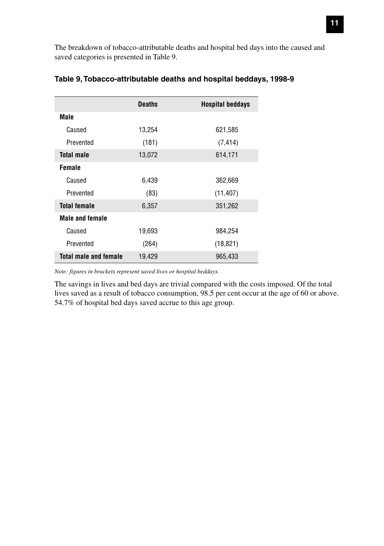The breakdown of tobacco-attributable deaths and hospital bed days into the caused and saved categories is presented in Table 9.

|                              | <b>Deaths</b> | Hospital beddays |
|------------------------------|---------------|------------------|
| Male                         |               |                  |
| Caused                       | 13,254        | 621,585          |
| Prevented                    | (181)         | (7, 414)         |
| <b>Total male</b>            | 13,072        | 614,171          |
| <b>Female</b>                |               |                  |
| Caused                       | 6,439         | 362,669          |
| Prevented                    | (83)          | (11, 407)        |
| <b>Total female</b>          | 6,357         | 351,262          |
| <b>Male and female</b>       |               |                  |
| Caused                       | 19,693        | 984,254          |
| Prevented                    | (264)         | (18, 821)        |
| <b>Total male and female</b> | 19,429        | 965,433          |

#### **Table 9, Tobacco-attributable deaths and hospital beddays, 1998-9**

*Note: figures in brackets represent saved lives or hospital beddays.*

The savings in lives and bed days are trivial compared with the costs imposed. Of the total lives saved as a result of tobacco consumption, 98.5 per cent occur at the age of 60 or above. 54.7% of hospital bed days saved accrue to this age group.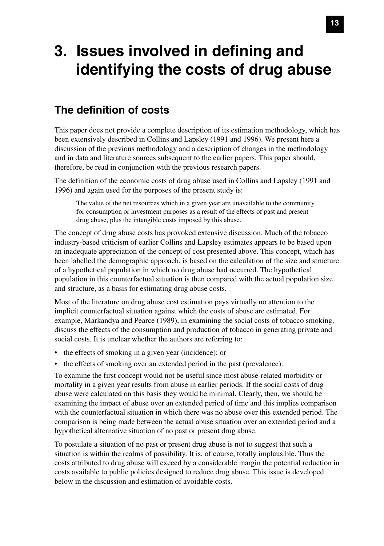# **3. Issues involved in defining and identifying the costs of drug abuse**

### **The definition of costs**

This paper does not provide a complete description of its estimation methodology, which has been extensively described in Collins and Lapsley (1991 and 1996). We present here a discussion of the previous methodology and a description of changes in the methodology and in data and literature sources subsequent to the earlier papers. This paper should, therefore, be read in conjunction with the previous research papers.

The definition of the economic costs of drug abuse used in Collins and Lapsley (1991 and 1996) and again used for the purposes of the present study is:

The value of the net resources which in a given year are unavailable to the community for consumption or investment purposes as a result of the effects of past and present drug abuse, plus the intangible costs imposed by this abuse.

The concept of drug abuse costs has provoked extensive discussion. Much of the tobacco industry-based criticism of earlier Collins and Lapsley estimates appears to be based upon an inadequate appreciation of the concept of cost presented above. This concept, which has been labelled the demographic approach, is based on the calculation of the size and structure of a hypothetical population in which no drug abuse had occurred. The hypothetical population in this counterfactual situation is then compared with the actual population size and structure, as a basis for estimating drug abuse costs.

Most of the literature on drug abuse cost estimation pays virtually no attention to the implicit counterfactual situation against which the costs of abuse are estimated. For example, Markandya and Pearce (1989), in examining the social costs of tobacco smoking, discuss the effects of the consumption and production of tobacco in generating private and social costs. It is unclear whether the authors are referring to:

- the effects of smoking in a given year (incidence); or
- the effects of smoking over an extended period in the past (prevalence).

To examine the first concept would not be useful since most abuse-related morbidity or mortality in a given year results from abuse in earlier periods. If the social costs of drug abuse were calculated on this basis they would be minimal. Clearly, then, we should be examining the impact of abuse over an extended period of time and this implies comparison with the counterfactual situation in which there was no abuse over this extended period. The comparison is being made between the actual abuse situation over an extended period and a hypothetical alternative situation of no past or present drug abuse.

To postulate a situation of no past or present drug abuse is not to suggest that such a situation is within the realms of possibility. It is, of course, totally implausible. Thus the costs attributed to drug abuse will exceed by a considerable margin the potential reduction in costs available to public policies designed to reduce drug abuse. This issue is developed below in the discussion and estimation of avoidable costs.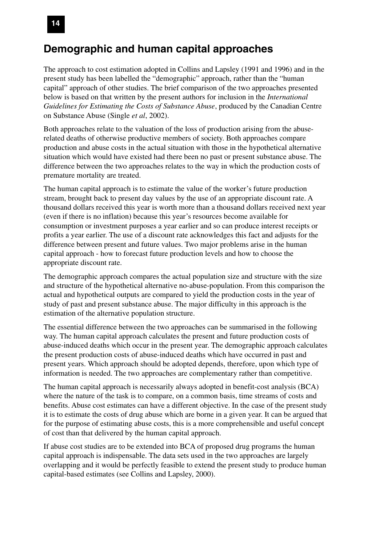#### **Demographic and human capital approaches**

The approach to cost estimation adopted in Collins and Lapsley (1991 and 1996) and in the present study has been labelled the "demographic" approach, rather than the "human capital" approach of other studies. The brief comparison of the two approaches presented below is based on that written by the present authors for inclusion in the *International Guidelines for Estimating the Costs of Substance Abuse*, produced by the Canadian Centre on Substance Abuse (Single *et al*, 2002).

Both approaches relate to the valuation of the loss of production arising from the abuserelated deaths of otherwise productive members of society. Both approaches compare production and abuse costs in the actual situation with those in the hypothetical alternative situation which would have existed had there been no past or present substance abuse. The difference between the two approaches relates to the way in which the production costs of premature mortality are treated.

The human capital approach is to estimate the value of the worker's future production stream, brought back to present day values by the use of an appropriate discount rate. A thousand dollars received this year is worth more than a thousand dollars received next year (even if there is no inflation) because this year's resources become available for consumption or investment purposes a year earlier and so can produce interest receipts or profits a year earlier. The use of a discount rate acknowledges this fact and adjusts for the difference between present and future values. Two major problems arise in the human capital approach - how to forecast future production levels and how to choose the appropriate discount rate.

The demographic approach compares the actual population size and structure with the size and structure of the hypothetical alternative no-abuse-population. From this comparison the actual and hypothetical outputs are compared to yield the production costs in the year of study of past and present substance abuse. The major difficulty in this approach is the estimation of the alternative population structure.

The essential difference between the two approaches can be summarised in the following way. The human capital approach calculates the present and future production costs of abuse-induced deaths which occur in the present year. The demographic approach calculates the present production costs of abuse-induced deaths which have occurred in past and present years. Which approach should be adopted depends, therefore, upon which type of information is needed. The two approaches are complementary rather than competitive.

The human capital approach is necessarily always adopted in benefit-cost analysis (BCA) where the nature of the task is to compare, on a common basis, time streams of costs and benefits. Abuse cost estimates can have a different objective. In the case of the present study it is to estimate the costs of drug abuse which are borne in a given year. It can be argued that for the purpose of estimating abuse costs, this is a more comprehensible and useful concept of cost than that delivered by the human capital approach.

If abuse cost studies are to be extended into BCA of proposed drug programs the human capital approach is indispensable. The data sets used in the two approaches are largely overlapping and it would be perfectly feasible to extend the present study to produce human capital-based estimates (see Collins and Lapsley, 2000).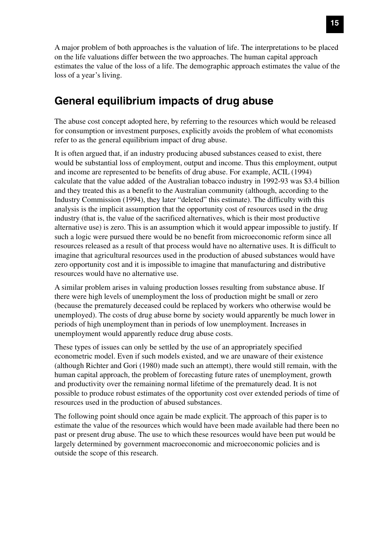A major problem of both approaches is the valuation of life. The interpretations to be placed on the life valuations differ between the two approaches. The human capital approach estimates the value of the loss of a life. The demographic approach estimates the value of the loss of a year's living.

### **General equilibrium impacts of drug abuse**

The abuse cost concept adopted here, by referring to the resources which would be released for consumption or investment purposes, explicitly avoids the problem of what economists refer to as the general equilibrium impact of drug abuse.

It is often argued that, if an industry producing abused substances ceased to exist, there would be substantial loss of employment, output and income. Thus this employment, output and income are represented to be benefits of drug abuse. For example, ACIL (1994) calculate that the value added of the Australian tobacco industry in 1992-93 was \$3.4 billion and they treated this as a benefit to the Australian community (although, according to the Industry Commission (1994), they later "deleted" this estimate). The difficulty with this analysis is the implicit assumption that the opportunity cost of resources used in the drug industry (that is, the value of the sacrificed alternatives, which is their most productive alternative use) is zero. This is an assumption which it would appear impossible to justify. If such a logic were pursued there would be no benefit from microeconomic reform since all resources released as a result of that process would have no alternative uses. It is difficult to imagine that agricultural resources used in the production of abused substances would have zero opportunity cost and it is impossible to imagine that manufacturing and distributive resources would have no alternative use.

A similar problem arises in valuing production losses resulting from substance abuse. If there were high levels of unemployment the loss of production might be small or zero (because the prematurely deceased could be replaced by workers who otherwise would be unemployed). The costs of drug abuse borne by society would apparently be much lower in periods of high unemployment than in periods of low unemployment. Increases in unemployment would apparently reduce drug abuse costs.

These types of issues can only be settled by the use of an appropriately specified econometric model. Even if such models existed, and we are unaware of their existence (although Richter and Gori (1980) made such an attempt), there would still remain, with the human capital approach, the problem of forecasting future rates of unemployment, growth and productivity over the remaining normal lifetime of the prematurely dead. It is not possible to produce robust estimates of the opportunity cost over extended periods of time of resources used in the production of abused substances.

The following point should once again be made explicit. The approach of this paper is to estimate the value of the resources which would have been made available had there been no past or present drug abuse. The use to which these resources would have been put would be largely determined by government macroeconomic and microeconomic policies and is outside the scope of this research.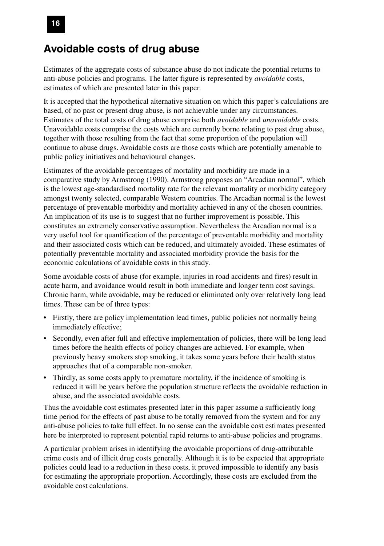#### **Avoidable costs of drug abuse**

Estimates of the aggregate costs of substance abuse do not indicate the potential returns to anti-abuse policies and programs. The latter figure is represented by *avoidable* costs, estimates of which are presented later in this paper.

It is accepted that the hypothetical alternative situation on which this paper's calculations are based, of no past or present drug abuse, is not achievable under any circumstances. Estimates of the total costs of drug abuse comprise both *avoidable* and *unavoidable* costs. Unavoidable costs comprise the costs which are currently borne relating to past drug abuse, together with those resulting from the fact that some proportion of the population will continue to abuse drugs. Avoidable costs are those costs which are potentially amenable to public policy initiatives and behavioural changes.

Estimates of the avoidable percentages of mortality and morbidity are made in a comparative study by Armstrong (1990). Armstrong proposes an "Arcadian normal", which is the lowest age-standardised mortality rate for the relevant mortality or morbidity category amongst twenty selected, comparable Western countries. The Arcadian normal is the lowest percentage of preventable morbidity and mortality achieved in any of the chosen countries. An implication of its use is to suggest that no further improvement is possible. This constitutes an extremely conservative assumption. Nevertheless the Arcadian normal is a very useful tool for quantification of the percentage of preventable morbidity and mortality and their associated costs which can be reduced, and ultimately avoided. These estimates of potentially preventable mortality and associated morbidity provide the basis for the economic calculations of avoidable costs in this study.

Some avoidable costs of abuse (for example, injuries in road accidents and fires) result in acute harm, and avoidance would result in both immediate and longer term cost savings. Chronic harm, while avoidable, may be reduced or eliminated only over relatively long lead times. These can be of three types:

- Firstly, there are policy implementation lead times, public policies not normally being immediately effective;
- Secondly, even after full and effective implementation of policies, there will be long lead times before the health effects of policy changes are achieved. For example, when previously heavy smokers stop smoking, it takes some years before their health status approaches that of a comparable non-smoker.
- Thirdly, as some costs apply to premature mortality, if the incidence of smoking is reduced it will be years before the population structure reflects the avoidable reduction in abuse, and the associated avoidable costs.

Thus the avoidable cost estimates presented later in this paper assume a sufficiently long time period for the effects of past abuse to be totally removed from the system and for any anti-abuse policies to take full effect. In no sense can the avoidable cost estimates presented here be interpreted to represent potential rapid returns to anti-abuse policies and programs.

A particular problem arises in identifying the avoidable proportions of drug-attributable crime costs and of illicit drug costs generally. Although it is to be expected that appropriate policies could lead to a reduction in these costs, it proved impossible to identify any basis for estimating the appropriate proportion. Accordingly, these costs are excluded from the avoidable cost calculations.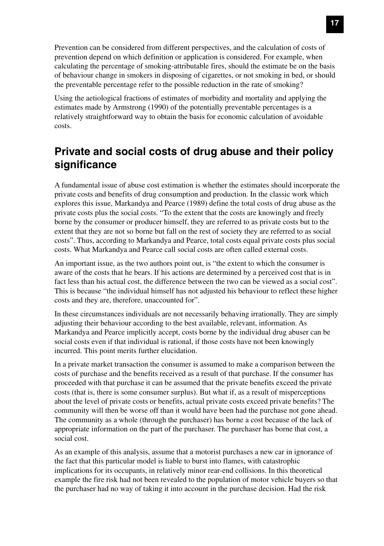Prevention can be considered from different perspectives, and the calculation of costs of prevention depend on which definition or application is considered. For example, when calculating the percentage of smoking-attributable fires, should the estimate be on the basis of behaviour change in smokers in disposing of cigarettes, or not smoking in bed, or should the preventable percentage refer to the possible reduction in the rate of smoking?

Using the aetiological fractions of estimates of morbidity and mortality and applying the estimates made by Armstrong (1990) of the potentially preventable percentages is a relatively straightforward way to obtain the basis for economic calculation of avoidable costs.

### **Private and social costs of drug abuse and their policy significance**

A fundamental issue of abuse cost estimation is whether the estimates should incorporate the private costs and benefits of drug consumption and production. In the classic work which explores this issue, Markandya and Pearce (1989) define the total costs of drug abuse as the private costs plus the social costs. "To the extent that the costs are knowingly and freely borne by the consumer or producer himself, they are referred to as private costs but to the extent that they are not so borne but fall on the rest of society they are referred to as social costs". Thus, according to Markandya and Pearce, total costs equal private costs plus social costs. What Markandya and Pearce call social costs are often called external costs.

An important issue, as the two authors point out, is "the extent to which the consumer is aware of the costs that he bears. If his actions are determined by a perceived cost that is in fact less than his actual cost, the difference between the two can be viewed as a social cost". This is because "the individual himself has not adjusted his behaviour to reflect these higher costs and they are, therefore, unaccounted for".

In these circumstances individuals are not necessarily behaving irrationally. They are simply adjusting their behaviour according to the best available, relevant, information. As Markandya and Pearce implicitly accept, costs borne by the individual drug abuser can be social costs even if that individual is rational, if those costs have not been knowingly incurred. This point merits further elucidation.

In a private market transaction the consumer is assumed to make a comparison between the costs of purchase and the benefits received as a result of that purchase. If the consumer has proceeded with that purchase it can be assumed that the private benefits exceed the private costs (that is, there is some consumer surplus). But what if, as a result of misperceptions about the level of private costs or benefits, actual private costs exceed private benefits? The community will then be worse off than it would have been had the purchase not gone ahead. The community as a whole (through the purchaser) has borne a cost because of the lack of appropriate information on the part of the purchaser. The purchaser has borne that cost, a social cost.

As an example of this analysis, assume that a motorist purchases a new car in ignorance of the fact that this particular model is liable to burst into flames, with catastrophic implications for its occupants, in relatively minor rear-end collisions. In this theoretical example the fire risk had not been revealed to the population of motor vehicle buyers so that the purchaser had no way of taking it into account in the purchase decision. Had the risk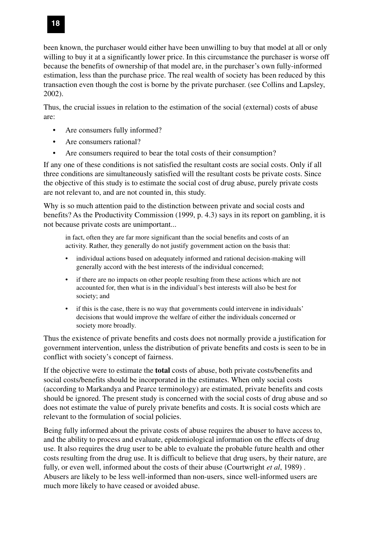been known, the purchaser would either have been unwilling to buy that model at all or only willing to buy it at a significantly lower price. In this circumstance the purchaser is worse off because the benefits of ownership of that model are, in the purchaser's own fully-informed estimation, less than the purchase price. The real wealth of society has been reduced by this transaction even though the cost is borne by the private purchaser. (see Collins and Lapsley, 2002).

Thus, the crucial issues in relation to the estimation of the social (external) costs of abuse are:

- Are consumers fully informed?
- Are consumers rational?
- Are consumers required to bear the total costs of their consumption?

If any one of these conditions is not satisfied the resultant costs are social costs. Only if all three conditions are simultaneously satisfied will the resultant costs be private costs. Since the objective of this study is to estimate the social cost of drug abuse, purely private costs are not relevant to, and are not counted in, this study.

Why is so much attention paid to the distinction between private and social costs and benefits? As the Productivity Commission (1999, p. 4.3) says in its report on gambling, it is not because private costs are unimportant...

in fact, often they are far more significant than the social benefits and costs of an activity. Rather, they generally do not justify government action on the basis that:

- individual actions based on adequately informed and rational decision-making will generally accord with the best interests of the individual concerned;
- if there are no impacts on other people resulting from these actions which are not accounted for, then what is in the individual's best interests will also be best for society; and
- if this is the case, there is no way that governments could intervene in individuals' decisions that would improve the welfare of either the individuals concerned or society more broadly.

Thus the existence of private benefits and costs does not normally provide a justification for government intervention, unless the distribution of private benefits and costs is seen to be in conflict with society's concept of fairness.

If the objective were to estimate the **total** costs of abuse, both private costs/benefits and social costs/benefits should be incorporated in the estimates. When only social costs (according to Markandya and Pearce terminology) are estimated, private benefits and costs should be ignored. The present study is concerned with the social costs of drug abuse and so does not estimate the value of purely private benefits and costs. It is social costs which are relevant to the formulation of social policies.

Being fully informed about the private costs of abuse requires the abuser to have access to, and the ability to process and evaluate, epidemiological information on the effects of drug use. It also requires the drug user to be able to evaluate the probable future health and other costs resulting from the drug use. It is difficult to believe that drug users, by their nature, are fully, or even well, informed about the costs of their abuse (Courtwright *et al*, 1989) . Abusers are likely to be less well-informed than non-users, since well-informed users are much more likely to have ceased or avoided abuse.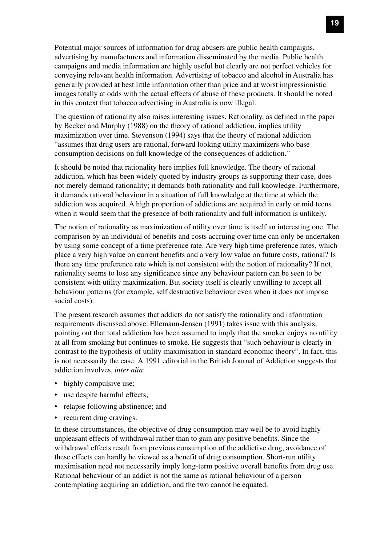Potential major sources of information for drug abusers are public health campaigns, advertising by manufacturers and information disseminated by the media. Public health campaigns and media information are highly useful but clearly are not perfect vehicles for conveying relevant health information. Advertising of tobacco and alcohol in Australia has generally provided at best little information other than price and at worst impressionistic images totally at odds with the actual effects of abuse of these products. It should be noted in this context that tobacco advertising in Australia is now illegal.

The question of rationality also raises interesting issues. Rationality, as defined in the paper by Becker and Murphy (1988) on the theory of rational addiction, implies utility maximization over time. Stevenson (1994) says that the theory of rational addiction "assumes that drug users are rational, forward looking utility maximizers who base consumption decisions on full knowledge of the consequences of addiction."

It should be noted that rationality here implies full knowledge. The theory of rational addiction, which has been widely quoted by industry groups as supporting their case, does not merely demand rationality; it demands both rationality and full knowledge. Furthermore, it demands rational behaviour in a situation of full knowledge at the time at which the addiction was acquired. A high proportion of addictions are acquired in early or mid teens when it would seem that the presence of both rationality and full information is unlikely.

The notion of rationality as maximization of utility over time is itself an interesting one. The comparison by an individual of benefits and costs accruing over time can only be undertaken by using some concept of a time preference rate. Are very high time preference rates, which place a very high value on current benefits and a very low value on future costs, rational? Is there any time preference rate which is not consistent with the notion of rationality? If not, rationality seems to lose any significance since any behaviour pattern can be seen to be consistent with utility maximization. But society itself is clearly unwilling to accept all behaviour patterns (for example, self destructive behaviour even when it does not impose social costs).

The present research assumes that addicts do not satisfy the rationality and information requirements discussed above. Ellemann-Jensen (1991) takes issue with this analysis, pointing out that total addiction has been assumed to imply that the smoker enjoys no utility at all from smoking but continues to smoke. He suggests that "such behaviour is clearly in contrast to the hypothesis of utility-maximisation in standard economic theory". In fact, this is not necessarily the case. A 1991 editorial in the British Journal of Addiction suggests that addiction involves, *inter alia*:

- highly compulsive use;
- use despite harmful effects;
- relapse following abstinence; and
- recurrent drug cravings.

In these circumstances, the objective of drug consumption may well be to avoid highly unpleasant effects of withdrawal rather than to gain any positive benefits. Since the withdrawal effects result from previous consumption of the addictive drug, avoidance of these effects can hardly be viewed as a benefit of drug consumption. Short-run utility maximisation need not necessarily imply long-term positive overall benefits from drug use. Rational behaviour of an addict is not the same as rational behaviour of a person contemplating acquiring an addiction, and the two cannot be equated.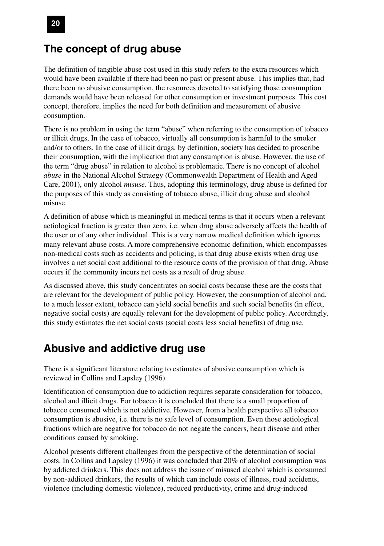#### **The concept of drug abuse**

The definition of tangible abuse cost used in this study refers to the extra resources which would have been available if there had been no past or present abuse. This implies that, had there been no abusive consumption, the resources devoted to satisfying those consumption demands would have been released for other consumption or investment purposes. This cost concept, therefore, implies the need for both definition and measurement of abusive consumption.

There is no problem in using the term "abuse" when referring to the consumption of tobacco or illicit drugs, In the case of tobacco, virtually all consumption is harmful to the smoker and/or to others. In the case of illicit drugs, by definition, society has decided to proscribe their consumption, with the implication that any consumption is abuse. However, the use of the term "drug abuse" in relation to alcohol is problematic. There is no concept of alcohol *abuse* in the National Alcohol Strategy (Commonwealth Department of Health and Aged Care, 2001), only alcohol *misuse*. Thus, adopting this terminology, drug abuse is defined for the purposes of this study as consisting of tobacco abuse, illicit drug abuse and alcohol misuse.

A definition of abuse which is meaningful in medical terms is that it occurs when a relevant aetiological fraction is greater than zero, i.e. when drug abuse adversely affects the health of the user or of any other individual. This is a very narrow medical definition which ignores many relevant abuse costs. A more comprehensive economic definition, which encompasses non-medical costs such as accidents and policing, is that drug abuse exists when drug use involves a net social cost additional to the resource costs of the provision of that drug. Abuse occurs if the community incurs net costs as a result of drug abuse.

As discussed above, this study concentrates on social costs because these are the costs that are relevant for the development of public policy. However, the consumption of alcohol and, to a much lesser extent, tobacco can yield social benefits and such social benefits (in effect, negative social costs) are equally relevant for the development of public policy. Accordingly, this study estimates the net social costs (social costs less social benefits) of drug use.

#### **Abusive and addictive drug use**

There is a significant literature relating to estimates of abusive consumption which is reviewed in Collins and Lapsley (1996).

Identification of consumption due to addiction requires separate consideration for tobacco, alcohol and illicit drugs. For tobacco it is concluded that there is a small proportion of tobacco consumed which is not addictive. However, from a health perspective all tobacco consumption is abusive, i.e. there is no safe level of consumption. Even those aetiological fractions which are negative for tobacco do not negate the cancers, heart disease and other conditions caused by smoking.

Alcohol presents different challenges from the perspective of the determination of social costs. In Collins and Lapsley (1996) it was concluded that 20% of alcohol consumption was by addicted drinkers. This does not address the issue of misused alcohol which is consumed by non-addicted drinkers, the results of which can include costs of illness, road accidents, violence (including domestic violence), reduced productivity, crime and drug-induced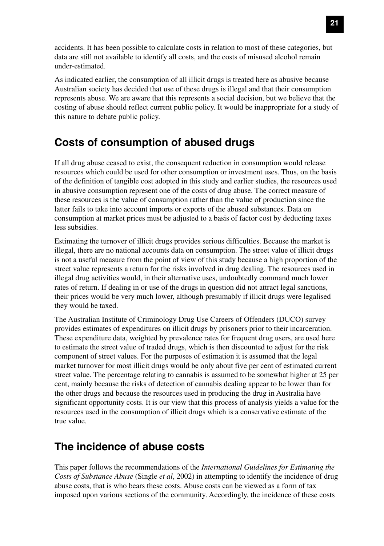accidents. It has been possible to calculate costs in relation to most of these categories, but data are still not available to identify all costs, and the costs of misused alcohol remain under-estimated.

As indicated earlier, the consumption of all illicit drugs is treated here as abusive because Australian society has decided that use of these drugs is illegal and that their consumption represents abuse. We are aware that this represents a social decision, but we believe that the costing of abuse should reflect current public policy. It would be inappropriate for a study of this nature to debate public policy.

### **Costs of consumption of abused drugs**

If all drug abuse ceased to exist, the consequent reduction in consumption would release resources which could be used for other consumption or investment uses. Thus, on the basis of the definition of tangible cost adopted in this study and earlier studies, the resources used in abusive consumption represent one of the costs of drug abuse. The correct measure of these resources is the value of consumption rather than the value of production since the latter fails to take into account imports or exports of the abused substances. Data on consumption at market prices must be adjusted to a basis of factor cost by deducting taxes less subsidies.

Estimating the turnover of illicit drugs provides serious difficulties. Because the market is illegal, there are no national accounts data on consumption. The street value of illicit drugs is not a useful measure from the point of view of this study because a high proportion of the street value represents a return for the risks involved in drug dealing. The resources used in illegal drug activities would, in their alternative uses, undoubtedly command much lower rates of return. If dealing in or use of the drugs in question did not attract legal sanctions, their prices would be very much lower, although presumably if illicit drugs were legalised they would be taxed.

The Australian Institute of Criminology Drug Use Careers of Offenders (DUCO) survey provides estimates of expenditures on illicit drugs by prisoners prior to their incarceration. These expenditure data, weighted by prevalence rates for frequent drug users, are used here to estimate the street value of traded drugs, which is then discounted to adjust for the risk component of street values. For the purposes of estimation it is assumed that the legal market turnover for most illicit drugs would be only about five per cent of estimated current street value. The percentage relating to cannabis is assumed to be somewhat higher at 25 per cent, mainly because the risks of detection of cannabis dealing appear to be lower than for the other drugs and because the resources used in producing the drug in Australia have significant opportunity costs. It is our view that this process of analysis yields a value for the resources used in the consumption of illicit drugs which is a conservative estimate of the true value.

### **The incidence of abuse costs**

This paper follows the recommendations of the *International Guidelines for Estimating the Costs of Substance Abuse* (Single *et al*, 2002) in attempting to identify the incidence of drug abuse costs, that is who bears these costs. Abuse costs can be viewed as a form of tax imposed upon various sections of the community. Accordingly, the incidence of these costs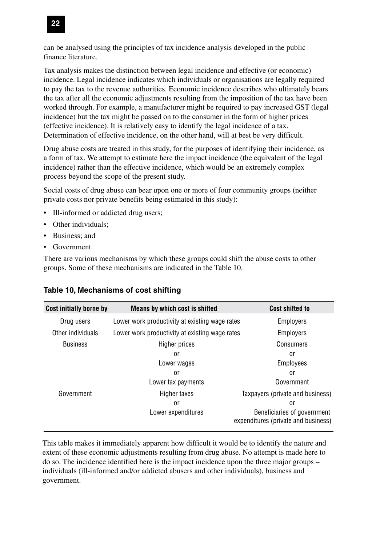

can be analysed using the principles of tax incidence analysis developed in the public finance literature.

Tax analysis makes the distinction between legal incidence and effective (or economic) incidence. Legal incidence indicates which individuals or organisations are legally required to pay the tax to the revenue authorities. Economic incidence describes who ultimately bears the tax after all the economic adjustments resulting from the imposition of the tax have been worked through. For example, a manufacturer might be required to pay increased GST (legal incidence) but the tax might be passed on to the consumer in the form of higher prices (effective incidence). It is relatively easy to identify the legal incidence of a tax. Determination of effective incidence, on the other hand, will at best be very difficult.

Drug abuse costs are treated in this study, for the purposes of identifying their incidence, as a form of tax. We attempt to estimate here the impact incidence (the equivalent of the legal incidence) rather than the effective incidence, which would be an extremely complex process beyond the scope of the present study.

Social costs of drug abuse can bear upon one or more of four community groups (neither private costs nor private benefits being estimated in this study):

- Ill-informed or addicted drug users;
- Other individuals;
- Business; and
- Government.

There are various mechanisms by which these groups could shift the abuse costs to other groups. Some of these mechanisms are indicated in the Table 10.

| Cost initially borne by | <b>Means by which cost is shifted</b>          | <b>Cost shifted to</b>                                             |
|-------------------------|------------------------------------------------|--------------------------------------------------------------------|
| Drug users              | Lower work productivity at existing wage rates | <b>Employers</b>                                                   |
| Other individuals       | Lower work productivity at existing wage rates | <b>Employers</b>                                                   |
| <b>Business</b>         | Higher prices                                  | Consumers                                                          |
|                         | or                                             | 0r                                                                 |
|                         | Lower wages                                    | Employees                                                          |
|                         | or                                             | or                                                                 |
|                         | Lower tax payments                             | Government                                                         |
| Government              | Higher taxes                                   | Taxpayers (private and business)                                   |
|                         | or                                             | or                                                                 |
|                         | Lower expenditures                             | Beneficiaries of government<br>expenditures (private and business) |

#### **Table 10, Mechanisms of cost shifting**

This table makes it immediately apparent how difficult it would be to identify the nature and extent of these economic adjustments resulting from drug abuse. No attempt is made here to do so. The incidence identified here is the impact incidence upon the three major groups – individuals (ill-informed and/or addicted abusers and other individuals), business and government.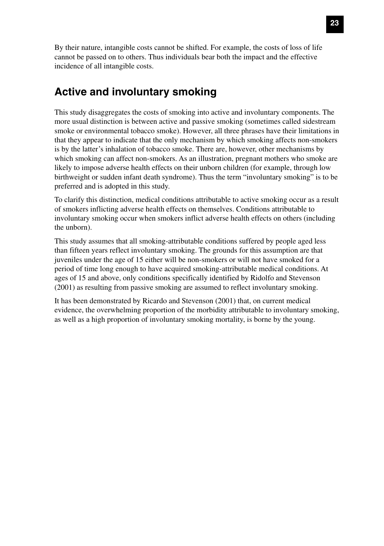By their nature, intangible costs cannot be shifted. For example, the costs of loss of life cannot be passed on to others. Thus individuals bear both the impact and the effective incidence of all intangible costs.

### **Active and involuntary smoking**

This study disaggregates the costs of smoking into active and involuntary components. The more usual distinction is between active and passive smoking (sometimes called sidestream smoke or environmental tobacco smoke). However, all three phrases have their limitations in that they appear to indicate that the only mechanism by which smoking affects non-smokers is by the latter's inhalation of tobacco smoke. There are, however, other mechanisms by which smoking can affect non-smokers. As an illustration, pregnant mothers who smoke are likely to impose adverse health effects on their unborn children (for example, through low birthweight or sudden infant death syndrome). Thus the term "involuntary smoking" is to be preferred and is adopted in this study.

To clarify this distinction, medical conditions attributable to active smoking occur as a result of smokers inflicting adverse health effects on themselves. Conditions attributable to involuntary smoking occur when smokers inflict adverse health effects on others (including the unborn).

This study assumes that all smoking-attributable conditions suffered by people aged less than fifteen years reflect involuntary smoking. The grounds for this assumption are that juveniles under the age of 15 either will be non-smokers or will not have smoked for a period of time long enough to have acquired smoking-attributable medical conditions. At ages of 15 and above, only conditions specifically identified by Ridolfo and Stevenson (2001) as resulting from passive smoking are assumed to reflect involuntary smoking.

It has been demonstrated by Ricardo and Stevenson (2001) that, on current medical evidence, the overwhelming proportion of the morbidity attributable to involuntary smoking, as well as a high proportion of involuntary smoking mortality, is borne by the young.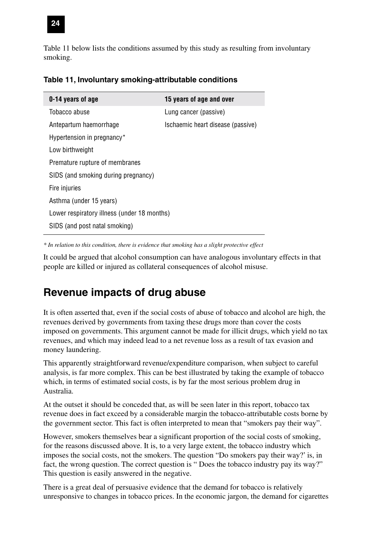

Table 11 below lists the conditions assumed by this study as resulting from involuntary smoking.

| 0-14 years of age                           | 15 years of age and over          |
|---------------------------------------------|-----------------------------------|
| Tobacco abuse                               | Lung cancer (passive)             |
| Antepartum haemorrhage                      | Ischaemic heart disease (passive) |
| Hypertension in pregnancy*                  |                                   |
| Low birthweight                             |                                   |
| Premature rupture of membranes              |                                   |
| SIDS (and smoking during pregnancy)         |                                   |
| Fire injuries                               |                                   |
| Asthma (under 15 years)                     |                                   |
| Lower respiratory illness (under 18 months) |                                   |
| SIDS (and post natal smoking)               |                                   |
|                                             |                                   |

#### **Table 11, Involuntary smoking-attributable conditions**

*\* In relation to this condition, there is evidence that smoking has a slight protective effect*

It could be argued that alcohol consumption can have analogous involuntary effects in that people are killed or injured as collateral consequences of alcohol misuse.

### **Revenue impacts of drug abuse**

It is often asserted that, even if the social costs of abuse of tobacco and alcohol are high, the revenues derived by governments from taxing these drugs more than cover the costs imposed on governments. This argument cannot be made for illicit drugs, which yield no tax revenues, and which may indeed lead to a net revenue loss as a result of tax evasion and money laundering.

This apparently straightforward revenue/expenditure comparison, when subject to careful analysis, is far more complex. This can be best illustrated by taking the example of tobacco which, in terms of estimated social costs, is by far the most serious problem drug in Australia.

At the outset it should be conceded that, as will be seen later in this report, tobacco tax revenue does in fact exceed by a considerable margin the tobacco-attributable costs borne by the government sector. This fact is often interpreted to mean that "smokers pay their way".

However, smokers themselves bear a significant proportion of the social costs of smoking, for the reasons discussed above. It is, to a very large extent, the tobacco industry which imposes the social costs, not the smokers. The question "Do smokers pay their way?' is, in fact, the wrong question. The correct question is " Does the tobacco industry pay its way?" This question is easily answered in the negative.

There is a great deal of persuasive evidence that the demand for tobacco is relatively unresponsive to changes in tobacco prices. In the economic jargon, the demand for cigarettes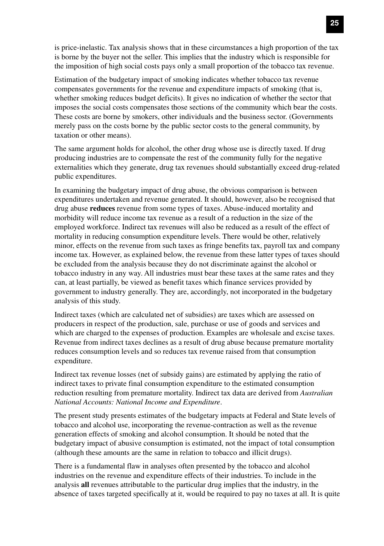is price-inelastic. Tax analysis shows that in these circumstances a high proportion of the tax is borne by the buyer not the seller. This implies that the industry which is responsible for the imposition of high social costs pays only a small proportion of the tobacco tax revenue.

Estimation of the budgetary impact of smoking indicates whether tobacco tax revenue compensates governments for the revenue and expenditure impacts of smoking (that is, whether smoking reduces budget deficits). It gives no indication of whether the sector that imposes the social costs compensates those sections of the community which bear the costs. These costs are borne by smokers, other individuals and the business sector. (Governments merely pass on the costs borne by the public sector costs to the general community, by taxation or other means).

The same argument holds for alcohol, the other drug whose use is directly taxed. If drug producing industries are to compensate the rest of the community fully for the negative externalities which they generate, drug tax revenues should substantially exceed drug-related public expenditures.

In examining the budgetary impact of drug abuse, the obvious comparison is between expenditures undertaken and revenue generated. It should, however, also be recognised that drug abuse **reduces** revenue from some types of taxes. Abuse-induced mortality and morbidity will reduce income tax revenue as a result of a reduction in the size of the employed workforce. Indirect tax revenues will also be reduced as a result of the effect of mortality in reducing consumption expenditure levels. There would be other, relatively minor, effects on the revenue from such taxes as fringe benefits tax, payroll tax and company income tax. However, as explained below, the revenue from these latter types of taxes should be excluded from the analysis because they do not discriminate against the alcohol or tobacco industry in any way. All industries must bear these taxes at the same rates and they can, at least partially, be viewed as benefit taxes which finance services provided by government to industry generally. They are, accordingly, not incorporated in the budgetary analysis of this study.

Indirect taxes (which are calculated net of subsidies) are taxes which are assessed on producers in respect of the production, sale, purchase or use of goods and services and which are charged to the expenses of production. Examples are wholesale and excise taxes. Revenue from indirect taxes declines as a result of drug abuse because premature mortality reduces consumption levels and so reduces tax revenue raised from that consumption expenditure.

Indirect tax revenue losses (net of subsidy gains) are estimated by applying the ratio of indirect taxes to private final consumption expenditure to the estimated consumption reduction resulting from premature mortality. Indirect tax data are derived from *Australian National Accounts: National Income and Expenditure*.

The present study presents estimates of the budgetary impacts at Federal and State levels of tobacco and alcohol use, incorporating the revenue-contraction as well as the revenue generation effects of smoking and alcohol consumption. It should be noted that the budgetary impact of abusive consumption is estimated, not the impact of total consumption (although these amounts are the same in relation to tobacco and illicit drugs).

There is a fundamental flaw in analyses often presented by the tobacco and alcohol industries on the revenue and expenditure effects of their industries. To include in the analysis **all** revenues attributable to the particular drug implies that the industry, in the absence of taxes targeted specifically at it, would be required to pay no taxes at all. It is quite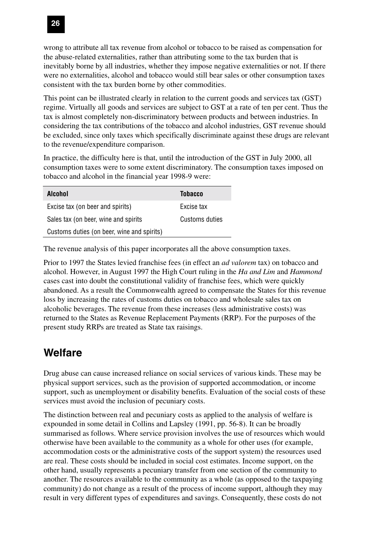

wrong to attribute all tax revenue from alcohol or tobacco to be raised as compensation for the abuse-related externalities, rather than attributing some to the tax burden that is inevitably borne by all industries, whether they impose negative externalities or not. If there were no externalities, alcohol and tobacco would still bear sales or other consumption taxes consistent with the tax burden borne by other commodities.

This point can be illustrated clearly in relation to the current goods and services tax (GST) regime. Virtually all goods and services are subject to GST at a rate of ten per cent. Thus the tax is almost completely non-discriminatory between products and between industries. In considering the tax contributions of the tobacco and alcohol industries, GST revenue should be excluded, since only taxes which specifically discriminate against these drugs are relevant to the revenue/expenditure comparison.

In practice, the difficulty here is that, until the introduction of the GST in July 2000, all consumption taxes were to some extent discriminatory. The consumption taxes imposed on tobacco and alcohol in the financial year 1998-9 were:

| <b>Alcohol</b>                             | <b>Tobacco</b> |
|--------------------------------------------|----------------|
| Excise tax (on beer and spirits)           | Excise tax     |
| Sales tax (on beer, wine and spirits       | Customs duties |
| Customs duties (on beer, wine and spirits) |                |

The revenue analysis of this paper incorporates all the above consumption taxes.

Prior to 1997 the States levied franchise fees (in effect an *ad valorem* tax) on tobacco and alcohol. However, in August 1997 the High Court ruling in the *Ha and Lim* and *Hammond* cases cast into doubt the constitutional validity of franchise fees, which were quickly abandoned. As a result the Commonwealth agreed to compensate the States for this revenue loss by increasing the rates of customs duties on tobacco and wholesale sales tax on alcoholic beverages. The revenue from these increases (less administrative costs) was returned to the States as Revenue Replacement Payments (RRP). For the purposes of the present study RRPs are treated as State tax raisings.

### **Welfare**

Drug abuse can cause increased reliance on social services of various kinds. These may be physical support services, such as the provision of supported accommodation, or income support, such as unemployment or disability benefits. Evaluation of the social costs of these services must avoid the inclusion of pecuniary costs.

The distinction between real and pecuniary costs as applied to the analysis of welfare is expounded in some detail in Collins and Lapsley (1991, pp. 56-8). It can be broadly summarised as follows. Where service provision involves the use of resources which would otherwise have been available to the community as a whole for other uses (for example, accommodation costs or the administrative costs of the support system) the resources used are real. These costs should be included in social cost estimates. Income support, on the other hand, usually represents a pecuniary transfer from one section of the community to another. The resources available to the community as a whole (as opposed to the taxpaying community) do not change as a result of the process of income support, although they may result in very different types of expenditures and savings. Consequently, these costs do not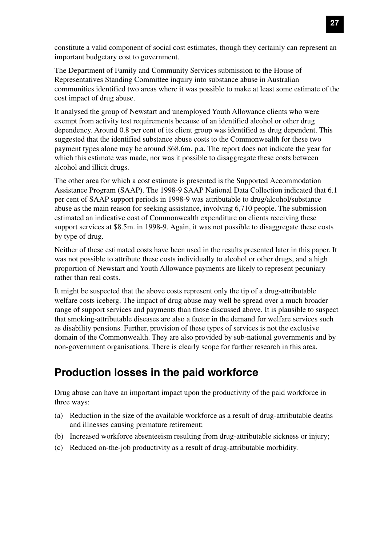constitute a valid component of social cost estimates, though they certainly can represent an important budgetary cost to government.

The Department of Family and Community Services submission to the House of Representatives Standing Committee inquiry into substance abuse in Australian communities identified two areas where it was possible to make at least some estimate of the cost impact of drug abuse.

It analysed the group of Newstart and unemployed Youth Allowance clients who were exempt from activity test requirements because of an identified alcohol or other drug dependency. Around 0.8 per cent of its client group was identified as drug dependent. This suggested that the identified substance abuse costs to the Commonwealth for these two payment types alone may be around \$68.6m. p.a. The report does not indicate the year for which this estimate was made, nor was it possible to disaggregate these costs between alcohol and illicit drugs.

The other area for which a cost estimate is presented is the Supported Accommodation Assistance Program (SAAP). The 1998-9 SAAP National Data Collection indicated that 6.1 per cent of SAAP support periods in 1998-9 was attributable to drug/alcohol/substance abuse as the main reason for seeking assistance, involving 6,710 people. The submission estimated an indicative cost of Commonwealth expenditure on clients receiving these support services at \$8.5m. in 1998-9. Again, it was not possible to disaggregate these costs by type of drug.

Neither of these estimated costs have been used in the results presented later in this paper. It was not possible to attribute these costs individually to alcohol or other drugs, and a high proportion of Newstart and Youth Allowance payments are likely to represent pecuniary rather than real costs.

It might be suspected that the above costs represent only the tip of a drug-attributable welfare costs iceberg. The impact of drug abuse may well be spread over a much broader range of support services and payments than those discussed above. It is plausible to suspect that smoking-attributable diseases are also a factor in the demand for welfare services such as disability pensions. Further, provision of these types of services is not the exclusive domain of the Commonwealth. They are also provided by sub-national governments and by non-government organisations. There is clearly scope for further research in this area.

# **Production losses in the paid workforce**

Drug abuse can have an important impact upon the productivity of the paid workforce in three ways:

- (a) Reduction in the size of the available workforce as a result of drug-attributable deaths and illnesses causing premature retirement;
- (b) Increased workforce absenteeism resulting from drug-attributable sickness or injury;
- (c) Reduced on-the-job productivity as a result of drug-attributable morbidity.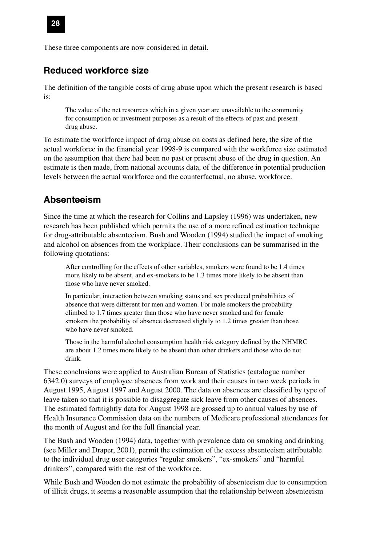These three components are now considered in detail.

### **Reduced workforce size**

The definition of the tangible costs of drug abuse upon which the present research is based is:

The value of the net resources which in a given year are unavailable to the community for consumption or investment purposes as a result of the effects of past and present drug abuse.

To estimate the workforce impact of drug abuse on costs as defined here, the size of the actual workforce in the financial year 1998-9 is compared with the workforce size estimated on the assumption that there had been no past or present abuse of the drug in question. An estimate is then made, from national accounts data, of the difference in potential production levels between the actual workforce and the counterfactual, no abuse, workforce.

### **Absenteeism**

Since the time at which the research for Collins and Lapsley (1996) was undertaken, new research has been published which permits the use of a more refined estimation technique for drug-attributable absenteeism. Bush and Wooden (1994) studied the impact of smoking and alcohol on absences from the workplace. Their conclusions can be summarised in the following quotations:

After controlling for the effects of other variables, smokers were found to be 1.4 times more likely to be absent, and ex-smokers to be 1.3 times more likely to be absent than those who have never smoked.

In particular, interaction between smoking status and sex produced probabilities of absence that were different for men and women. For male smokers the probability climbed to 1.7 times greater than those who have never smoked and for female smokers the probability of absence decreased slightly to 1.2 times greater than those who have never smoked.

Those in the harmful alcohol consumption health risk category defined by the NHMRC are about 1.2 times more likely to be absent than other drinkers and those who do not drink.

These conclusions were applied to Australian Bureau of Statistics (catalogue number 6342.0) surveys of employee absences from work and their causes in two week periods in August 1995, August 1997 and August 2000. The data on absences are classified by type of leave taken so that it is possible to disaggregate sick leave from other causes of absences. The estimated fortnightly data for August 1998 are grossed up to annual values by use of Health Insurance Commission data on the numbers of Medicare professional attendances for the month of August and for the full financial year.

The Bush and Wooden (1994) data, together with prevalence data on smoking and drinking (see Miller and Draper, 2001), permit the estimation of the excess absenteeism attributable to the individual drug user categories "regular smokers", "ex-smokers" and "harmful drinkers", compared with the rest of the workforce.

While Bush and Wooden do not estimate the probability of absenteeism due to consumption of illicit drugs, it seems a reasonable assumption that the relationship between absenteeism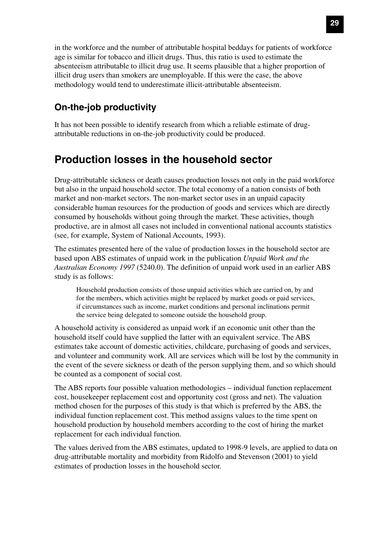in the workforce and the number of attributable hospital beddays for patients of workforce age is similar for tobacco and illicit drugs. Thus, this ratio is used to estimate the absenteeism attributable to illicit drug use. It seems plausible that a higher proportion of illicit drug users than smokers are unemployable. If this were the case, the above methodology would tend to underestimate illicit-attributable absenteeism.

### **On-the-job productivity**

It has not been possible to identify research from which a reliable estimate of drugattributable reductions in on-the-job productivity could be produced.

# **Production losses in the household sector**

Drug-attributable sickness or death causes production losses not only in the paid workforce but also in the unpaid household sector. The total economy of a nation consists of both market and non-market sectors. The non-market sector uses in an unpaid capacity considerable human resources for the production of goods and services which are directly consumed by households without going through the market. These activities, though productive, are in almost all cases not included in conventional national accounts statistics (see, for example, System of National Accounts, 1993).

The estimates presented here of the value of production losses in the household sector are based upon ABS estimates of unpaid work in the publication *Unpaid Work and the Australian Economy 1997* (5240.0). The definition of unpaid work used in an earlier ABS study is as follows:

Household production consists of those unpaid activities which are carried on, by and for the members, which activities might be replaced by market goods or paid services, if circumstances such as income, market conditions and personal inclinations permit the service being delegated to someone outside the household group.

A household activity is considered as unpaid work if an economic unit other than the household itself could have supplied the latter with an equivalent service. The ABS estimates take account of domestic activities, childcare, purchasing of goods and services, and volunteer and community work. All are services which will be lost by the community in the event of the severe sickness or death of the person supplying them, and so which should be counted as a component of social cost.

The ABS reports four possible valuation methodologies – individual function replacement cost, housekeeper replacement cost and opportunity cost (gross and net). The valuation method chosen for the purposes of this study is that which is preferred by the ABS, the individual function replacement cost. This method assigns values to the time spent on household production by household members according to the cost of hiring the market replacement for each individual function.

The values derived from the ABS estimates, updated to 1998-9 levels, are applied to data on drug-attributable mortality and morbidity from Ridolfo and Stevenson (2001) to yield estimates of production losses in the household sector.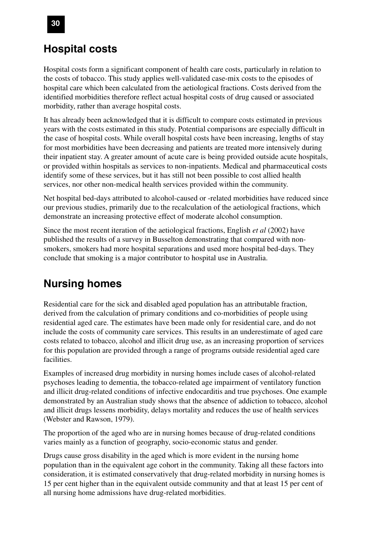# **Hospital costs**

Hospital costs form a significant component of health care costs, particularly in relation to the costs of tobacco. This study applies well-validated case-mix costs to the episodes of hospital care which been calculated from the aetiological fractions. Costs derived from the identified morbidities therefore reflect actual hospital costs of drug caused or associated morbidity, rather than average hospital costs.

It has already been acknowledged that it is difficult to compare costs estimated in previous years with the costs estimated in this study. Potential comparisons are especially difficult in the case of hospital costs. While overall hospital costs have been increasing, lengths of stay for most morbidities have been decreasing and patients are treated more intensively during their inpatient stay. A greater amount of acute care is being provided outside acute hospitals, or provided within hospitals as services to non-inpatients. Medical and pharmaceutical costs identify some of these services, but it has still not been possible to cost allied health services, nor other non-medical health services provided within the community.

Net hospital bed-days attributed to alcohol-caused or -related morbidities have reduced since our previous studies, primarily due to the recalculation of the aetiological fractions, which demonstrate an increasing protective effect of moderate alcohol consumption.

Since the most recent iteration of the aetiological fractions, English *et al* (2002) have published the results of a survey in Busselton demonstrating that compared with nonsmokers, smokers had more hospital separations and used more hospital bed-days. They conclude that smoking is a major contributor to hospital use in Australia.

# **Nursing homes**

Residential care for the sick and disabled aged population has an attributable fraction, derived from the calculation of primary conditions and co-morbidities of people using residential aged care. The estimates have been made only for residential care, and do not include the costs of community care services. This results in an underestimate of aged care costs related to tobacco, alcohol and illicit drug use, as an increasing proportion of services for this population are provided through a range of programs outside residential aged care facilities.

Examples of increased drug morbidity in nursing homes include cases of alcohol-related psychoses leading to dementia, the tobacco-related age impairment of ventilatory function and illicit drug-related conditions of infective endocarditis and true psychoses. One example demonstrated by an Australian study shows that the absence of addiction to tobacco, alcohol and illicit drugs lessens morbidity, delays mortality and reduces the use of health services (Webster and Rawson, 1979).

The proportion of the aged who are in nursing homes because of drug-related conditions varies mainly as a function of geography, socio-economic status and gender.

Drugs cause gross disability in the aged which is more evident in the nursing home population than in the equivalent age cohort in the community. Taking all these factors into consideration, it is estimated conservatively that drug-related morbidity in nursing homes is 15 per cent higher than in the equivalent outside community and that at least 15 per cent of all nursing home admissions have drug-related morbidities.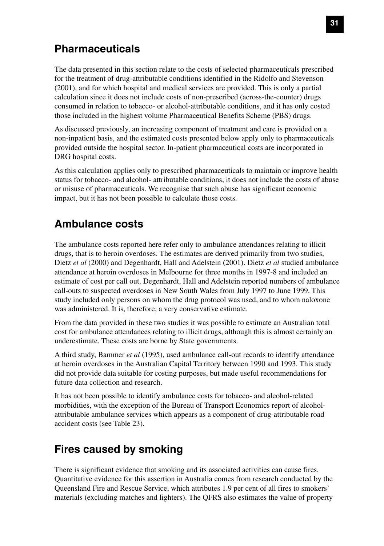# **Pharmaceuticals**

The data presented in this section relate to the costs of selected pharmaceuticals prescribed for the treatment of drug-attributable conditions identified in the Ridolfo and Stevenson (2001), and for which hospital and medical services are provided. This is only a partial calculation since it does not include costs of non-prescribed (across-the-counter) drugs consumed in relation to tobacco- or alcohol-attributable conditions, and it has only costed those included in the highest volume Pharmaceutical Benefits Scheme (PBS) drugs.

As discussed previously, an increasing component of treatment and care is provided on a non-inpatient basis, and the estimated costs presented below apply only to pharmaceuticals provided outside the hospital sector. In-patient pharmaceutical costs are incorporated in DRG hospital costs.

As this calculation applies only to prescribed pharmaceuticals to maintain or improve health status for tobacco- and alcohol- attributable conditions, it does not include the costs of abuse or misuse of pharmaceuticals. We recognise that such abuse has significant economic impact, but it has not been possible to calculate those costs.

# **Ambulance costs**

The ambulance costs reported here refer only to ambulance attendances relating to illicit drugs, that is to heroin overdoses. The estimates are derived primarily from two studies, Dietz *et al* (2000) and Degenhardt, Hall and Adelstein (2001). Dietz *et al* studied ambulance attendance at heroin overdoses in Melbourne for three months in 1997-8 and included an estimate of cost per call out. Degenhardt, Hall and Adelstein reported numbers of ambulance call-outs to suspected overdoses in New South Wales from July 1997 to June 1999. This study included only persons on whom the drug protocol was used, and to whom naloxone was administered. It is, therefore, a very conservative estimate.

From the data provided in these two studies it was possible to estimate an Australian total cost for ambulance attendances relating to illicit drugs, although this is almost certainly an underestimate. These costs are borne by State governments.

A third study, Bammer *et al* (1995), used ambulance call-out records to identify attendance at heroin overdoses in the Australian Capital Territory between 1990 and 1993. This study did not provide data suitable for costing purposes, but made useful recommendations for future data collection and research.

It has not been possible to identify ambulance costs for tobacco- and alcohol-related morbidities, with the exception of the Bureau of Transport Economics report of alcoholattributable ambulance services which appears as a component of drug-attributable road accident costs (see Table 23).

## **Fires caused by smoking**

There is significant evidence that smoking and its associated activities can cause fires. Quantitative evidence for this assertion in Australia comes from research conducted by the Queensland Fire and Rescue Service, which attributes 1.9 per cent of all fires to smokers' materials (excluding matches and lighters). The QFRS also estimates the value of property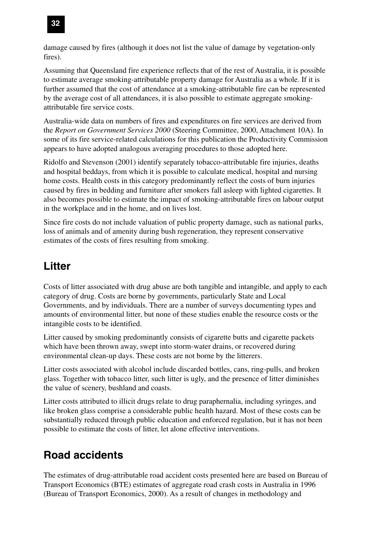

damage caused by fires (although it does not list the value of damage by vegetation-only fires).

Assuming that Queensland fire experience reflects that of the rest of Australia, it is possible to estimate average smoking-attributable property damage for Australia as a whole. If it is further assumed that the cost of attendance at a smoking-attributable fire can be represented by the average cost of all attendances, it is also possible to estimate aggregate smokingattributable fire service costs.

Australia-wide data on numbers of fires and expenditures on fire services are derived from the *Report on Government Services 2000* (Steering Committee, 2000, Attachment 10A). In some of its fire service-related calculations for this publication the Productivity Commission appears to have adopted analogous averaging procedures to those adopted here.

Ridolfo and Stevenson (2001) identify separately tobacco-attributable fire injuries, deaths and hospital beddays, from which it is possible to calculate medical, hospital and nursing home costs. Health costs in this category predominantly reflect the costs of burn injuries caused by fires in bedding and furniture after smokers fall asleep with lighted cigarettes. It also becomes possible to estimate the impact of smoking-attributable fires on labour output in the workplace and in the home, and on lives lost.

Since fire costs do not include valuation of public property damage, such as national parks, loss of animals and of amenity during bush regeneration, they represent conservative estimates of the costs of fires resulting from smoking.

# **Litter**

Costs of litter associated with drug abuse are both tangible and intangible, and apply to each category of drug. Costs are borne by governments, particularly State and Local Governments, and by individuals. There are a number of surveys documenting types and amounts of environmental litter, but none of these studies enable the resource costs or the intangible costs to be identified.

Litter caused by smoking predominantly consists of cigarette butts and cigarette packets which have been thrown away, swept into storm-water drains, or recovered during environmental clean-up days. These costs are not borne by the litterers.

Litter costs associated with alcohol include discarded bottles, cans, ring-pulls, and broken glass. Together with tobacco litter, such litter is ugly, and the presence of litter diminishes the value of scenery, bushland and coasts.

Litter costs attributed to illicit drugs relate to drug paraphernalia, including syringes, and like broken glass comprise a considerable public health hazard. Most of these costs can be substantially reduced through public education and enforced regulation, but it has not been possible to estimate the costs of litter, let alone effective interventions.

# **Road accidents**

The estimates of drug-attributable road accident costs presented here are based on Bureau of Transport Economics (BTE) estimates of aggregate road crash costs in Australia in 1996 (Bureau of Transport Economics, 2000). As a result of changes in methodology and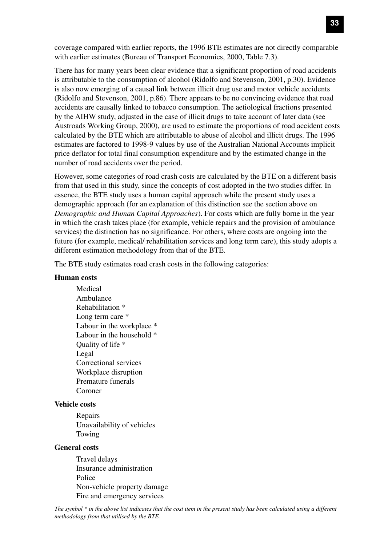coverage compared with earlier reports, the 1996 BTE estimates are not directly comparable with earlier estimates (Bureau of Transport Economics, 2000, Table 7.3).

There has for many years been clear evidence that a significant proportion of road accidents is attributable to the consumption of alcohol (Ridolfo and Stevenson, 2001, p.30). Evidence is also now emerging of a causal link between illicit drug use and motor vehicle accidents (Ridolfo and Stevenson, 2001, p.86). There appears to be no convincing evidence that road accidents are causally linked to tobacco consumption. The aetiological fractions presented by the AIHW study, adjusted in the case of illicit drugs to take account of later data (see Austroads Working Group, 2000), are used to estimate the proportions of road accident costs calculated by the BTE which are attributable to abuse of alcohol and illicit drugs. The 1996 estimates are factored to 1998-9 values by use of the Australian National Accounts implicit price deflator for total final consumption expenditure and by the estimated change in the number of road accidents over the period.

However, some categories of road crash costs are calculated by the BTE on a different basis from that used in this study, since the concepts of cost adopted in the two studies differ. In essence, the BTE study uses a human capital approach while the present study uses a demographic approach (for an explanation of this distinction see the section above on *Demographic and Human Capital Approaches*). For costs which are fully borne in the year in which the crash takes place (for example, vehicle repairs and the provision of ambulance services) the distinction has no significance. For others, where costs are ongoing into the future (for example, medical/ rehabilitation services and long term care), this study adopts a different estimation methodology from that of the BTE.

The BTE study estimates road crash costs in the following categories:

#### **Human costs**

Medical Ambulance Rehabilitation \* Long term care \* Labour in the workplace \* Labour in the household  $*$ Quality of life \* Legal Correctional services Workplace disruption Premature funerals Coroner

#### **Vehicle costs**

Repairs Unavailability of vehicles Towing

#### **General costs**

Travel delays Insurance administration Police Non-vehicle property damage Fire and emergency services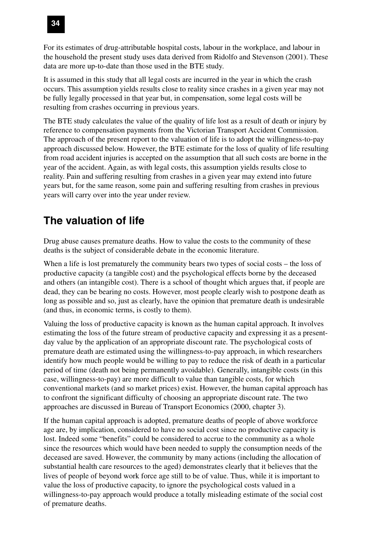

For its estimates of drug-attributable hospital costs, labour in the workplace, and labour in the household the present study uses data derived from Ridolfo and Stevenson (2001). These data are more up-to-date than those used in the BTE study.

It is assumed in this study that all legal costs are incurred in the year in which the crash occurs. This assumption yields results close to reality since crashes in a given year may not be fully legally processed in that year but, in compensation, some legal costs will be resulting from crashes occurring in previous years.

The BTE study calculates the value of the quality of life lost as a result of death or injury by reference to compensation payments from the Victorian Transport Accident Commission. The approach of the present report to the valuation of life is to adopt the willingness-to-pay approach discussed below. However, the BTE estimate for the loss of quality of life resulting from road accident injuries is accepted on the assumption that all such costs are borne in the year of the accident. Again, as with legal costs, this assumption yields results close to reality. Pain and suffering resulting from crashes in a given year may extend into future years but, for the same reason, some pain and suffering resulting from crashes in previous years will carry over into the year under review.

# **The valuation of life**

Drug abuse causes premature deaths. How to value the costs to the community of these deaths is the subject of considerable debate in the economic literature.

When a life is lost prematurely the community bears two types of social costs – the loss of productive capacity (a tangible cost) and the psychological effects borne by the deceased and others (an intangible cost). There is a school of thought which argues that, if people are dead, they can be bearing no costs. However, most people clearly wish to postpone death as long as possible and so, just as clearly, have the opinion that premature death is undesirable (and thus, in economic terms, is costly to them).

Valuing the loss of productive capacity is known as the human capital approach. It involves estimating the loss of the future stream of productive capacity and expressing it as a presentday value by the application of an appropriate discount rate. The psychological costs of premature death are estimated using the willingness-to-pay approach, in which researchers identify how much people would be willing to pay to reduce the risk of death in a particular period of time (death not being permanently avoidable). Generally, intangible costs (in this case, willingness-to-pay) are more difficult to value than tangible costs, for which conventional markets (and so market prices) exist. However, the human capital approach has to confront the significant difficulty of choosing an appropriate discount rate. The two approaches are discussed in Bureau of Transport Economics (2000, chapter 3).

If the human capital approach is adopted, premature deaths of people of above workforce age are, by implication, considered to have no social cost since no productive capacity is lost. Indeed some "benefits" could be considered to accrue to the community as a whole since the resources which would have been needed to supply the consumption needs of the deceased are saved. However, the community by many actions (including the allocation of substantial health care resources to the aged) demonstrates clearly that it believes that the lives of people of beyond work force age still to be of value. Thus, while it is important to value the loss of productive capacity, to ignore the psychological costs valued in a willingness-to-pay approach would produce a totally misleading estimate of the social cost of premature deaths.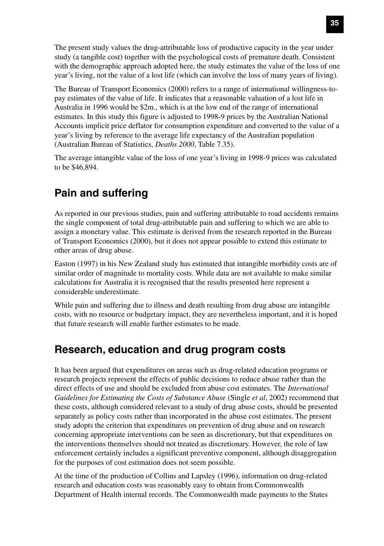The present study values the drug-attributable loss of productive capacity in the year under study (a tangible cost) together with the psychological costs of premature death. Consistent with the demographic approach adopted here, the study estimates the value of the loss of one year's living, not the value of a lost life (which can involve the loss of many years of living).

The Bureau of Transport Economics (2000) refers to a range of international willingness-topay estimates of the value of life. It indicates that a reasonable valuation of a lost life in Australia in 1996 would be \$2m., which is at the low end of the range of international estimates. In this study this figure is adjusted to 1998-9 prices by the Australian National Accounts implicit price deflator for consumption expenditure and converted to the value of a year's living by reference to the average life expectancy of the Australian population (Australian Bureau of Statistics, *Deaths 2000*, Table 7.35).

The average intangible value of the loss of one year's living in 1998-9 prices was calculated to be \$46,894.

# **Pain and suffering**

As reported in our previous studies, pain and suffering attributable to road accidents remains the single component of total drug-attributable pain and suffering to which we are able to assign a monetary value. This estimate is derived from the research reported in the Bureau of Transport Economics (2000), but it does not appear possible to extend this estimate to other areas of drug abuse.

Easton (1997) in his New Zealand study has estimated that intangible morbidity costs are of similar order of magnitude to mortality costs. While data are not available to make similar calculations for Australia it is recognised that the results presented here represent a considerable underestimate.

While pain and suffering due to illness and death resulting from drug abuse are intangible costs, with no resource or budgetary impact, they are nevertheless important, and it is hoped that future research will enable further estimates to be made.

## **Research, education and drug program costs**

It has been argued that expenditures on areas such as drug-related education programs or research projects represent the effects of public decisions to reduce abuse rather than the direct effects of use and should be excluded from abuse cost estimates. The *International Guidelines for Estimating the Costs of Substance Abuse* (Single *et al*, 2002) recommend that these costs, although considered relevant to a study of drug abuse costs, should be presented separately as policy costs rather than incorporated in the abuse cost estimates. The present study adopts the criterion that expenditures on prevention of drug abuse and on research concerning appropriate interventions can be seen as discretionary, but that expenditures on the interventions themselves should not treated as discretionary. However, the role of law enforcement certainly includes a significant preventive component, although disaggregation for the purposes of cost estimation does not seem possible.

At the time of the production of Collins and Lapsley (1996), information on drug-related research and education costs was reasonably easy to obtain from Commonwealth Department of Health internal records. The Commonwealth made payments to the States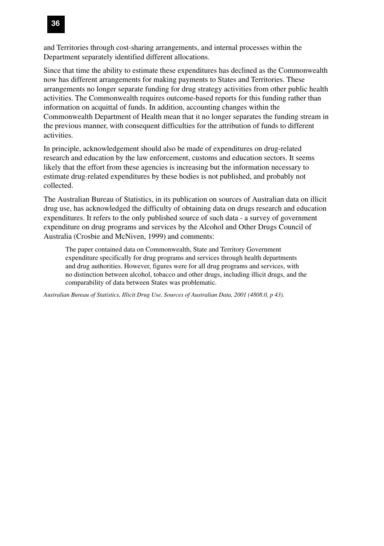

and Territories through cost-sharing arrangements, and internal processes within the Department separately identified different allocations.

Since that time the ability to estimate these expenditures has declined as the Commonwealth now has different arrangements for making payments to States and Territories. These arrangements no longer separate funding for drug strategy activities from other public health activities. The Commonwealth requires outcome-based reports for this funding rather than information on acquittal of funds. In addition, accounting changes within the Commonwealth Department of Health mean that it no longer separates the funding stream in the previous manner, with consequent difficulties for the attribution of funds to different activities.

In principle, acknowledgement should also be made of expenditures on drug-related research and education by the law enforcement, customs and education sectors. It seems likely that the effort from these agencies is increasing but the information necessary to estimate drug-related expenditures by these bodies is not published, and probably not collected.

The Australian Bureau of Statistics, in its publication on sources of Australian data on illicit drug use, has acknowledged the difficulty of obtaining data on drugs research and education expenditures. It refers to the only published source of such data - a survey of government expenditure on drug programs and services by the Alcohol and Other Drugs Council of Australia (Crosbie and McNiven, 1999) and comments:

The paper contained data on Commonwealth, State and Territory Government expenditure specifically for drug programs and services through health departments and drug authorities. However, figures were for all drug programs and services, with no distinction between alcohol, tobacco and other drugs, including illicit drugs, and the comparability of data between States was problematic.

*Australian Bureau of Statistics, Illicit Drug Use, Sources of Australian Data, 2001 (4808.0, p 43).*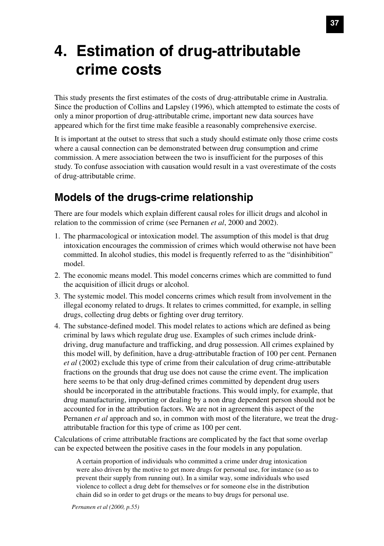# **4. Estimation of drug-attributable crime costs**

This study presents the first estimates of the costs of drug-attributable crime in Australia. Since the production of Collins and Lapsley (1996), which attempted to estimate the costs of only a minor proportion of drug-attributable crime, important new data sources have appeared which for the first time make feasible a reasonably comprehensive exercise.

It is important at the outset to stress that such a study should estimate only those crime costs where a causal connection can be demonstrated between drug consumption and crime commission. A mere association between the two is insufficient for the purposes of this study. To confuse association with causation would result in a vast overestimate of the costs of drug-attributable crime.

# **Models of the drugs-crime relationship**

There are four models which explain different causal roles for illicit drugs and alcohol in relation to the commission of crime (see Pernanen *et al*, 2000 and 2002).

- 1. The pharmacological or intoxication model. The assumption of this model is that drug intoxication encourages the commission of crimes which would otherwise not have been committed. In alcohol studies, this model is frequently referred to as the "disinhibition" model.
- 2. The economic means model. This model concerns crimes which are committed to fund the acquisition of illicit drugs or alcohol.
- 3. The systemic model. This model concerns crimes which result from involvement in the illegal economy related to drugs. It relates to crimes committed, for example, in selling drugs, collecting drug debts or fighting over drug territory.
- 4. The substance-defined model. This model relates to actions which are defined as being criminal by laws which regulate drug use. Examples of such crimes include drinkdriving, drug manufacture and trafficking, and drug possession. All crimes explained by this model will, by definition, have a drug-attributable fraction of 100 per cent. Pernanen *et al* (2002) exclude this type of crime from their calculation of drug crime-attributable fractions on the grounds that drug use does not cause the crime event. The implication here seems to be that only drug-defined crimes committed by dependent drug users should be incorporated in the attributable fractions. This would imply, for example, that drug manufacturing, importing or dealing by a non drug dependent person should not be accounted for in the attribution factors. We are not in agreement this aspect of the Pernanen *et al* approach and so, in common with most of the literature, we treat the drugattributable fraction for this type of crime as 100 per cent.

Calculations of crime attributable fractions are complicated by the fact that some overlap can be expected between the positive cases in the four models in any population.

A certain proportion of individuals who committed a crime under drug intoxication were also driven by the motive to get more drugs for personal use, for instance (so as to prevent their supply from running out). In a similar way, some individuals who used violence to collect a drug debt for themselves or for someone else in the distribution chain did so in order to get drugs or the means to buy drugs for personal use.

*Pernanen et al (2000, p.55)*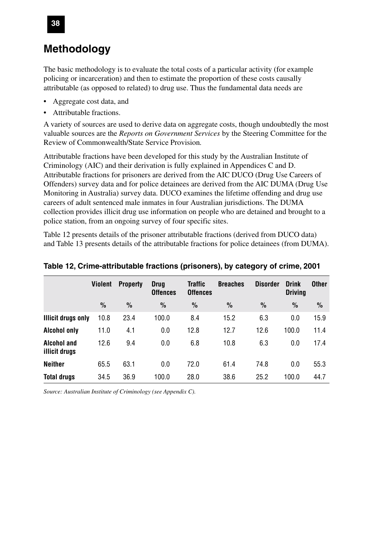## **Methodology**

The basic methodology is to evaluate the total costs of a particular activity (for example policing or incarceration) and then to estimate the proportion of these costs causally attributable (as opposed to related) to drug use. Thus the fundamental data needs are

- Aggregate cost data, and
- Attributable fractions.

A variety of sources are used to derive data on aggregate costs, though undoubtedly the most valuable sources are the *Reports on Government Services* by the Steering Committee for the Review of Commonwealth/State Service Provision*.*

Attributable fractions have been developed for this study by the Australian Institute of Criminology (AIC) and their derivation is fully explained in Appendices C and D. Attributable fractions for prisoners are derived from the AIC DUCO (Drug Use Careers of Offenders) survey data and for police detainees are derived from the AIC DUMA (Drug Use Monitoring in Australia) survey data. DUCO examines the lifetime offending and drug use careers of adult sentenced male inmates in four Australian jurisdictions. The DUMA collection provides illicit drug use information on people who are detained and brought to a police station, from an ongoing survey of four specific sites.

Table 12 presents details of the prisoner attributable fractions (derived from DUCO data) and Table 13 presents details of the attributable fractions for police detainees (from DUMA).

|                              | Violent       | <b>Property</b> | <b>Drug</b><br><b>Offences</b> | Traffic<br><b>Offences</b> | <b>Breaches</b> | <b>Disorder</b> | <b>Drink</b><br><b>Driving</b> | <b>Other</b>  |
|------------------------------|---------------|-----------------|--------------------------------|----------------------------|-----------------|-----------------|--------------------------------|---------------|
|                              | $\frac{0}{0}$ | $\frac{0}{0}$   | $\frac{0}{0}$                  | $\frac{0}{0}$              | $\frac{0}{0}$   | $\frac{0}{0}$   | $\%$                           | $\frac{0}{0}$ |
| <b>Illicit drugs only</b>    | 10.8          | 23.4            | 100.0                          | 8.4                        | 15.2            | 6.3             | 0.0                            | 15.9          |
| <b>Alcohol only</b>          | 11.0          | 4.1             | 0.0                            | 12.8                       | 12.7            | 12.6            | 100.0                          | 11.4          |
| Alcohol and<br>illicit drugs | 12.6          | 9.4             | 0.0                            | 6.8                        | 10.8            | 6.3             | 0.0                            | 17.4          |
| <b>Neither</b>               | 65.5          | 63.1            | 0.0                            | 72.0                       | 61.4            | 74.8            | 0.0                            | 55.3          |
| <b>Total drugs</b>           | 34.5          | 36.9            | 100.0                          | 28.0                       | 38.6            | 25.2            | 100.0                          | 44.7          |

**Table 12, Crime-attributable fractions (prisoners), by category of crime, 2001**

*Source: Australian Institute of Criminology (see Appendix C).*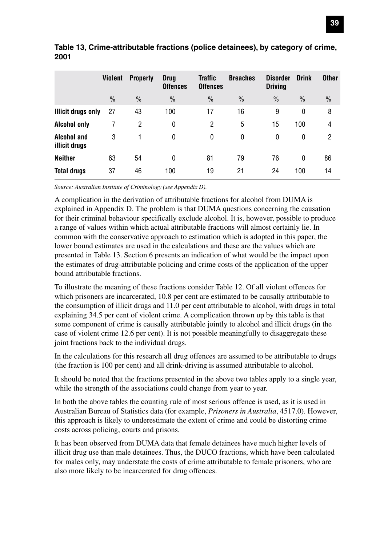|                              | Violent       | <b>Property</b> | <b>Drug</b><br><b>Offences</b> | <b>Traffic</b><br><b>Offences</b> | <b>Breaches</b> | <b>Disorder</b><br><b>Driving</b> | <b>Drink</b>  | <b>Other</b>   |
|------------------------------|---------------|-----------------|--------------------------------|-----------------------------------|-----------------|-----------------------------------|---------------|----------------|
|                              | $\frac{0}{0}$ | $\%$            | $\frac{0}{0}$                  | $\frac{0}{0}$                     | $\frac{0}{0}$   | $\frac{0}{0}$                     | $\frac{0}{0}$ | $\frac{0}{0}$  |
| <b>Illicit drugs only</b>    | 27            | 43              | 100                            | 17                                | 16              | 9                                 | 0             | 8              |
| <b>Alcohol only</b>          |               | 2               | 0                              | 2                                 | 5               | 15                                | 100           | $\overline{4}$ |
| Alcohol and<br>illicit drugs | 3             |                 | 0                              | 0                                 | 0               | 0                                 | 0             | 2              |
| <b>Neither</b>               | 63            | 54              | 0                              | 81                                | 79              | 76                                | 0             | 86             |
| <b>Total drugs</b>           | 37            | 46              | 100                            | 19                                | 21              | 24                                | 100           | 14             |

**Table 13, Crime-attributable fractions (police detainees), by category of crime, 2001**

*Source: Australian Institute of Criminology (see Appendix D).*

A complication in the derivation of attributable fractions for alcohol from DUMA is explained in Appendix D. The problem is that DUMA questions concerning the causation for their criminal behaviour specifically exclude alcohol. It is, however, possible to produce a range of values within which actual attributable fractions will almost certainly lie. In common with the conservative approach to estimation which is adopted in this paper, the lower bound estimates are used in the calculations and these are the values which are presented in Table 13. Section 6 presents an indication of what would be the impact upon the estimates of drug-attributable policing and crime costs of the application of the upper bound attributable fractions.

To illustrate the meaning of these fractions consider Table 12. Of all violent offences for which prisoners are incarcerated, 10.8 per cent are estimated to be causally attributable to the consumption of illicit drugs and 11.0 per cent attributable to alcohol, with drugs in total explaining 34.5 per cent of violent crime. A complication thrown up by this table is that some component of crime is causally attributable jointly to alcohol and illicit drugs (in the case of violent crime 12.6 per cent). It is not possible meaningfully to disaggregate these joint fractions back to the individual drugs.

In the calculations for this research all drug offences are assumed to be attributable to drugs (the fraction is 100 per cent) and all drink-driving is assumed attributable to alcohol.

It should be noted that the fractions presented in the above two tables apply to a single year, while the strength of the associations could change from year to year.

In both the above tables the counting rule of most serious offence is used, as it is used in Australian Bureau of Statistics data (for example, *Prisoners in Australia*, 4517.0). However, this approach is likely to underestimate the extent of crime and could be distorting crime costs across policing, courts and prisons.

It has been observed from DUMA data that female detainees have much higher levels of illicit drug use than male detainees. Thus, the DUCO fractions, which have been calculated for males only, may understate the costs of crime attributable to female prisoners, who are also more likely to be incarcerated for drug offences.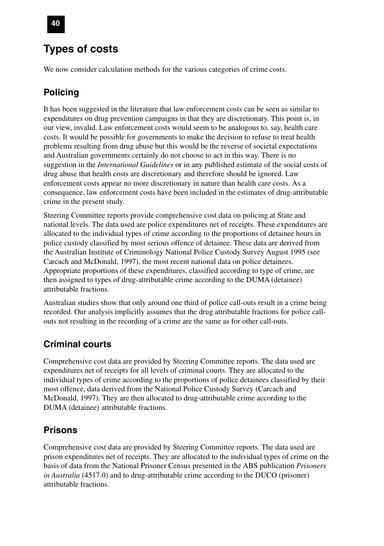# **Types of costs**

We now consider calculation methods for the various categories of crime costs.

### **Policing**

It has been suggested in the literature that law enforcement costs can be seen as similar to expenditures on drug prevention campaigns in that they are discretionary. This point is, in our view, invalid. Law enforcement costs would seem to be analogous to, say, health care costs. It would be possible for governments to make the decision to refuse to treat health problems resulting from drug abuse but this would be the reverse of societal expectations and Australian governments certainly do not choose to act in this way. There is no suggestion in the *International Guidelines* or in any published estimate of the social costs of drug abuse that health costs are discretionary and therefore should be ignored. Law enforcement costs appear no more discretionary in nature than health care costs. As a consequence, law enforcement costs have been included in the estimates of drug-attributable crime in the present study.

Steering Committee reports provide comprehensive cost data on policing at State and national levels. The data used are police expenditures net of receipts. These expenditures are allocated to the individual types of crime according to the proportions of detainee hours in police custody classified by most serious offence of detainee. These data are derived from the Australian Institute of Criminology National Police Custody Survey August 1995 (see Carcach and McDonald, 1997), the most recent national data on police detainees. Appropriate proportions of these expenditures, classified according to type of crime, are then assigned to types of drug-attributable crime according to the DUMA (detainee) attributable fractions.

Australian studies show that only around one third of police call-outs result in a crime being recorded. Our analysis implicitly assumes that the drug attributable fractions for police callouts not resulting in the recording of a crime are the same as for other call-outs.

### **Criminal courts**

Comprehensive cost data are provided by Steering Committee reports. The data used are expenditures net of receipts for all levels of criminal courts. They are allocated to the individual types of crime according to the proportions of police detainees classified by their most offence, data derived from the National Police Custody Survey (Carcach and McDonald, 1997). They are then allocated to drug-attributable crime according to the DUMA (detainee) attributable fractions.

### **Prisons**

Comprehensive cost data are provided by Steering Committee reports. The data used are prison expenditures net of receipts. They are allocated to the individual types of crime on the basis of data from the National Prisoner Census presented in the ABS publication *Prisoners in Australia* (4517.0) and to drug-attributable crime according to the DUCO (prisoner) attributable fractions.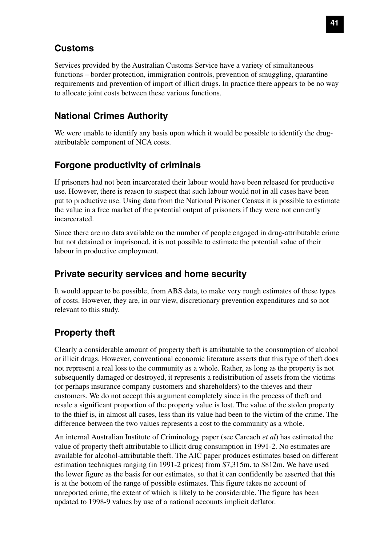### **Customs**

Services provided by the Australian Customs Service have a variety of simultaneous functions – border protection, immigration controls, prevention of smuggling, quarantine requirements and prevention of import of illicit drugs. In practice there appears to be no way to allocate joint costs between these various functions.

### **National Crimes Authority**

We were unable to identify any basis upon which it would be possible to identify the drugattributable component of NCA costs.

### **Forgone productivity of criminals**

If prisoners had not been incarcerated their labour would have been released for productive use. However, there is reason to suspect that such labour would not in all cases have been put to productive use. Using data from the National Prisoner Census it is possible to estimate the value in a free market of the potential output of prisoners if they were not currently incarcerated.

Since there are no data available on the number of people engaged in drug-attributable crime but not detained or imprisoned, it is not possible to estimate the potential value of their labour in productive employment.

### **Private security services and home security**

It would appear to be possible, from ABS data, to make very rough estimates of these types of costs. However, they are, in our view, discretionary prevention expenditures and so not relevant to this study.

### **Property theft**

Clearly a considerable amount of property theft is attributable to the consumption of alcohol or illicit drugs. However, conventional economic literature asserts that this type of theft does not represent a real loss to the community as a whole. Rather, as long as the property is not subsequently damaged or destroyed, it represents a redistribution of assets from the victims (or perhaps insurance company customers and shareholders) to the thieves and their customers. We do not accept this argument completely since in the process of theft and resale a significant proportion of the property value is lost. The value of the stolen property to the thief is, in almost all cases, less than its value had been to the victim of the crime. The difference between the two values represents a cost to the community as a whole.

An internal Australian Institute of Criminology paper (see Carcach *et al*) has estimated the value of property theft attributable to illicit drug consumption in 1991-2. No estimates are available for alcohol-attributable theft. The AIC paper produces estimates based on different estimation techniques ranging (in 1991-2 prices) from \$7,315m. to \$812m. We have used the lower figure as the basis for our estimates, so that it can confidently be asserted that this is at the bottom of the range of possible estimates. This figure takes no account of unreported crime, the extent of which is likely to be considerable. The figure has been updated to 1998-9 values by use of a national accounts implicit deflator.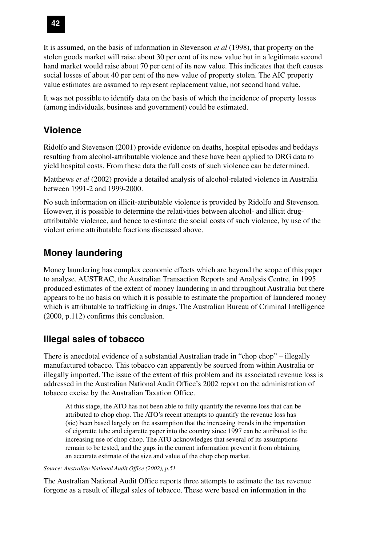

It is assumed, on the basis of information in Stevenson *et al* (1998), that property on the stolen goods market will raise about 30 per cent of its new value but in a legitimate second hand market would raise about 70 per cent of its new value. This indicates that theft causes social losses of about 40 per cent of the new value of property stolen. The AIC property value estimates are assumed to represent replacement value, not second hand value.

It was not possible to identify data on the basis of which the incidence of property losses (among individuals, business and government) could be estimated.

### **Violence**

Ridolfo and Stevenson (2001) provide evidence on deaths, hospital episodes and beddays resulting from alcohol-attributable violence and these have been applied to DRG data to yield hospital costs. From these data the full costs of such violence can be determined.

Matthews *et al* (2002) provide a detailed analysis of alcohol-related violence in Australia between 1991-2 and 1999-2000.

No such information on illicit-attributable violence is provided by Ridolfo and Stevenson. However, it is possible to determine the relativities between alcohol- and illicit drugattributable violence, and hence to estimate the social costs of such violence, by use of the violent crime attributable fractions discussed above.

### **Money laundering**

Money laundering has complex economic effects which are beyond the scope of this paper to analyse. AUSTRAC, the Australian Transaction Reports and Analysis Centre, in 1995 produced estimates of the extent of money laundering in and throughout Australia but there appears to be no basis on which it is possible to estimate the proportion of laundered money which is attributable to trafficking in drugs. The Australian Bureau of Criminal Intelligence (2000, p.112) confirms this conclusion.

### **Illegal sales of tobacco**

There is anecdotal evidence of a substantial Australian trade in "chop chop" – illegally manufactured tobacco. This tobacco can apparently be sourced from within Australia or illegally imported. The issue of the extent of this problem and its associated revenue loss is addressed in the Australian National Audit Office's 2002 report on the administration of tobacco excise by the Australian Taxation Office.

At this stage, the ATO has not been able to fully quantify the revenue loss that can be attributed to chop chop. The ATO's recent attempts to quantify the revenue loss has (sic) been based largely on the assumption that the increasing trends in the importation of cigarette tube and cigarette paper into the country since 1997 can be attributed to the increasing use of chop chop. The ATO acknowledges that several of its assumptions remain to be tested, and the gaps in the current information prevent it from obtaining an accurate estimate of the size and value of the chop chop market.

*Source: Australian National Audit Office (2002), p.51*

The Australian National Audit Office reports three attempts to estimate the tax revenue forgone as a result of illegal sales of tobacco. These were based on information in the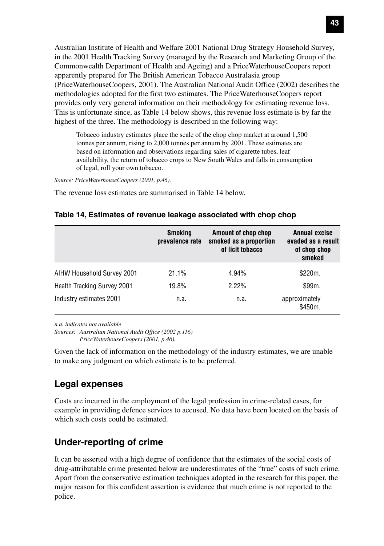Australian Institute of Health and Welfare 2001 National Drug Strategy Household Survey, in the 2001 Health Tracking Survey (managed by the Research and Marketing Group of the Commonwealth Department of Health and Ageing) and a PriceWaterhouseCoopers report apparently prepared for The British American Tobacco Australasia group (PriceWaterhouseCoopers, 2001). The Australian National Audit Office (2002) describes the methodologies adopted for the first two estimates. The PriceWaterhouseCoopers report provides only very general information on their methodology for estimating revenue loss. This is unfortunate since, as Table 14 below shows, this revenue loss estimate is by far the highest of the three. The methodology is described in the following way:

Tobacco industry estimates place the scale of the chop chop market at around 1,500 tonnes per annum, rising to 2,000 tonnes per annum by 2001. These estimates are based on information and observations regarding sales of cigarette tubes, leaf availability, the return of tobacco crops to New South Wales and falls in consumption of legal, roll your own tobacco.

*Source: PriceWaterhouseCoopers (2001, p.46).*

The revenue loss estimates are summarised in Table 14 below.

#### **Table 14, Estimates of revenue leakage associated with chop chop**

|                                    | <b>Smoking</b><br>prevalence rate | Amount of chop chop<br>smoked as a proportion<br>of licit tobacco | Annual excise<br>evaded as a result<br>of chop chop<br>smoked |
|------------------------------------|-----------------------------------|-------------------------------------------------------------------|---------------------------------------------------------------|
| AIHW Household Survey 2001         | $21.1\%$                          | 4.94%                                                             | \$220m.                                                       |
| <b>Health Tracking Survey 2001</b> | 19.8%                             | 2.22%                                                             | \$99m.                                                        |
| Industry estimates 2001            | n.a.                              | n.a.                                                              | approximately<br>\$450m.                                      |

*n.a. indicates not available*

*Sources: Australian National Audit Office (2002 p.116) PriceWaterhouseCoopers (2001, p.46).*

Given the lack of information on the methodology of the industry estimates, we are unable to make any judgment on which estimate is to be preferred.

### **Legal expenses**

Costs are incurred in the employment of the legal profession in crime-related cases, for example in providing defence services to accused. No data have been located on the basis of which such costs could be estimated.

### **Under-reporting of crime**

It can be asserted with a high degree of confidence that the estimates of the social costs of drug-attributable crime presented below are underestimates of the "true" costs of such crime. Apart from the conservative estimation techniques adopted in the research for this paper, the major reason for this confident assertion is evidence that much crime is not reported to the police.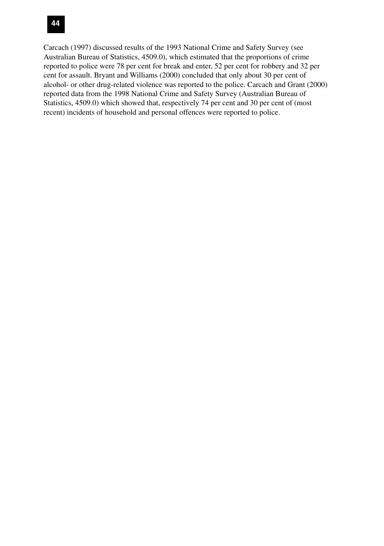### **44**

Carcach (1997) discussed results of the 1993 National Crime and Safety Survey (see Australian Bureau of Statistics, 4509.0), which estimated that the proportions of crime reported to police were 78 per cent for break and enter, 52 per cent for robbery and 32 per cent for assault. Bryant and Williams (2000) concluded that only about 30 per cent of alcohol- or other drug-related violence was reported to the police. Carcach and Grant (2000) reported data from the 1998 National Crime and Safety Survey (Australian Bureau of Statistics, 4509.0) which showed that, respectively 74 per cent and 30 per cent of (most recent) incidents of household and personal offences were reported to police.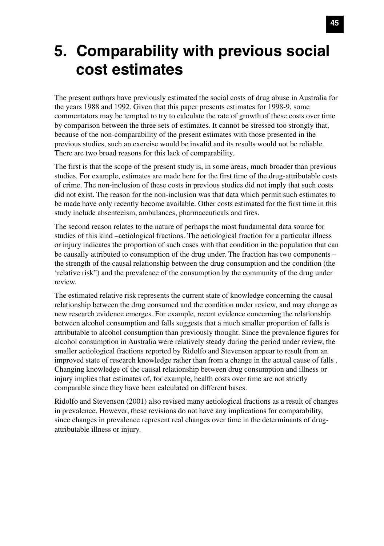# **5. Comparability with previous social cost estimates**

The present authors have previously estimated the social costs of drug abuse in Australia for the years 1988 and 1992. Given that this paper presents estimates for 1998-9, some commentators may be tempted to try to calculate the rate of growth of these costs over time by comparison between the three sets of estimates. It cannot be stressed too strongly that, because of the non-comparability of the present estimates with those presented in the previous studies, such an exercise would be invalid and its results would not be reliable. There are two broad reasons for this lack of comparability.

The first is that the scope of the present study is, in some areas, much broader than previous studies. For example, estimates are made here for the first time of the drug-attributable costs of crime. The non-inclusion of these costs in previous studies did not imply that such costs did not exist. The reason for the non-inclusion was that data which permit such estimates to be made have only recently become available. Other costs estimated for the first time in this study include absenteeism, ambulances, pharmaceuticals and fires.

The second reason relates to the nature of perhaps the most fundamental data source for studies of this kind –aetiological fractions. The aetiological fraction for a particular illness or injury indicates the proportion of such cases with that condition in the population that can be causally attributed to consumption of the drug under. The fraction has two components – the strength of the causal relationship between the drug consumption and the condition (the 'relative risk") and the prevalence of the consumption by the community of the drug under review.

The estimated relative risk represents the current state of knowledge concerning the causal relationship between the drug consumed and the condition under review, and may change as new research evidence emerges. For example, recent evidence concerning the relationship between alcohol consumption and falls suggests that a much smaller proportion of falls is attributable to alcohol consumption than previously thought. Since the prevalence figures for alcohol consumption in Australia were relatively steady during the period under review, the smaller aetiological fractions reported by Ridolfo and Stevenson appear to result from an improved state of research knowledge rather than from a change in the actual cause of falls . Changing knowledge of the causal relationship between drug consumption and illness or injury implies that estimates of, for example, health costs over time are not strictly comparable since they have been calculated on different bases.

Ridolfo and Stevenson (2001) also revised many aetiological fractions as a result of changes in prevalence. However, these revisions do not have any implications for comparability, since changes in prevalence represent real changes over time in the determinants of drugattributable illness or injury.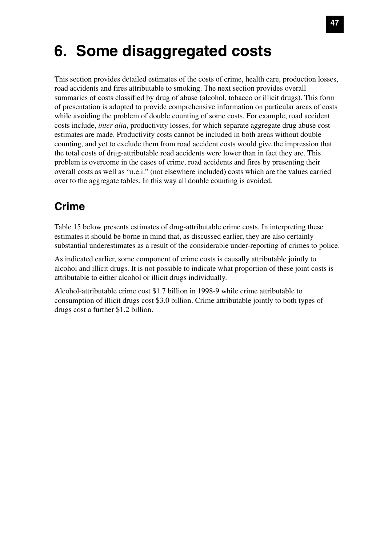# **6. Some disaggregated costs**

This section provides detailed estimates of the costs of crime, health care, production losses, road accidents and fires attributable to smoking. The next section provides overall summaries of costs classified by drug of abuse (alcohol, tobacco or illicit drugs). This form of presentation is adopted to provide comprehensive information on particular areas of costs while avoiding the problem of double counting of some costs. For example, road accident costs include, *inter alia*, productivity losses, for which separate aggregate drug abuse cost estimates are made. Productivity costs cannot be included in both areas without double counting, and yet to exclude them from road accident costs would give the impression that the total costs of drug-attributable road accidents were lower than in fact they are. This problem is overcome in the cases of crime, road accidents and fires by presenting their overall costs as well as "n.e.i." (not elsewhere included) costs which are the values carried over to the aggregate tables. In this way all double counting is avoided.

# **Crime**

Table 15 below presents estimates of drug-attributable crime costs. In interpreting these estimates it should be borne in mind that, as discussed earlier, they are also certainly substantial underestimates as a result of the considerable under-reporting of crimes to police.

As indicated earlier, some component of crime costs is causally attributable jointly to alcohol and illicit drugs. It is not possible to indicate what proportion of these joint costs is attributable to either alcohol or illicit drugs individually.

Alcohol-attributable crime cost \$1.7 billion in 1998-9 while crime attributable to consumption of illicit drugs cost \$3.0 billion. Crime attributable jointly to both types of drugs cost a further \$1.2 billion.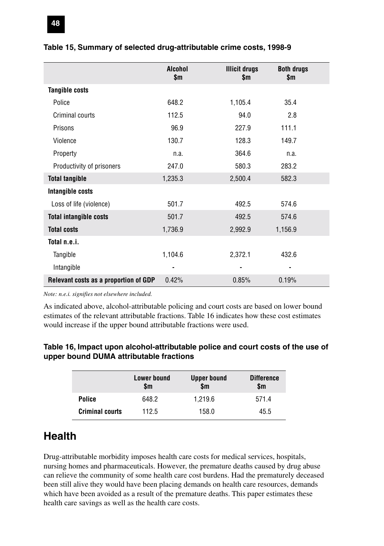|                                       | <b>Alcohol</b><br>\$m | <b>Illicit drugs</b><br>\$m | <b>Both drugs</b><br>\$m |  |
|---------------------------------------|-----------------------|-----------------------------|--------------------------|--|
| <b>Tangible costs</b>                 |                       |                             |                          |  |
| Police                                | 648.2                 | 1,105.4                     | 35.4                     |  |
| Criminal courts                       | 112.5                 | 94.0                        | 2.8                      |  |
| Prisons                               | 96.9                  | 227.9                       | 111.1                    |  |
| Violence                              | 130.7                 | 128.3                       | 149.7                    |  |
| Property                              | n.a.                  | 364.6                       | n.a.                     |  |
| Productivity of prisoners             | 247.0                 | 580.3                       | 283.2                    |  |
| <b>Total tangible</b>                 | 1,235.3               | 2,500.4                     | 582.3                    |  |
| Intangible costs                      |                       |                             |                          |  |
| Loss of life (violence)               | 501.7                 | 492.5                       | 574.6                    |  |
| <b>Total intangible costs</b>         | 501.7                 | 492.5                       | 574.6                    |  |
| <b>Total costs</b>                    | 1,736.9               | 2,992.9                     | 1,156.9                  |  |
| Total n.e.i.                          |                       |                             |                          |  |
| Tangible                              | 1,104.6               | 2,372.1                     | 432.6                    |  |
| Intangible                            |                       |                             |                          |  |
| Relevant costs as a proportion of GDP | 0.42%                 | 0.85%                       | 0.19%                    |  |

#### **Table 15, Summary of selected drug-attributable crime costs, 1998-9**

*Note: n.e.i. signifies not elsewhere included.*

As indicated above, alcohol-attributable policing and court costs are based on lower bound estimates of the relevant attributable fractions. Table 16 indicates how these cost estimates would increase if the upper bound attributable fractions were used.

#### **Table 16, Impact upon alcohol-attributable police and court costs of the use of upper bound DUMA attributable fractions**

|                        | <b>Lower bound</b><br>\$m | <b>Upper bound</b><br>\$m | <b>Difference</b><br>\$m |
|------------------------|---------------------------|---------------------------|--------------------------|
| Police                 | 648.2                     | 1.219.6                   | 571.4                    |
| <b>Criminal courts</b> | 112.5                     | 158.0                     | 45.5                     |

## **Health**

Drug-attributable morbidity imposes health care costs for medical services, hospitals, nursing homes and pharmaceuticals. However, the premature deaths caused by drug abuse can relieve the community of some health care cost burdens. Had the prematurely deceased been still alive they would have been placing demands on health care resources, demands which have been avoided as a result of the premature deaths. This paper estimates these health care savings as well as the health care costs.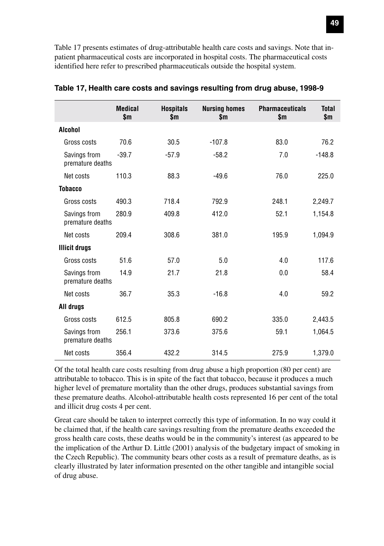Table 17 presents estimates of drug-attributable health care costs and savings. Note that inpatient pharmaceutical costs are incorporated in hospital costs. The pharmaceutical costs identified here refer to prescribed pharmaceuticals outside the hospital system.

|                                  | <b>Medical</b><br>\$m | <b>Hospitals</b><br>\$m | <b>Nursing homes</b><br>\$m | <b>Pharmaceuticals</b><br>\$m | <b>Total</b><br>\$m |
|----------------------------------|-----------------------|-------------------------|-----------------------------|-------------------------------|---------------------|
| Alcohol                          |                       |                         |                             |                               |                     |
| Gross costs                      | 70.6                  | 30.5                    | $-107.8$                    | 83.0                          | 76.2                |
| Savings from<br>premature deaths | $-39.7$               | $-57.9$                 | $-58.2$                     | 7.0                           | $-148.8$            |
| Net costs                        | 110.3                 | 88.3                    | $-49.6$                     | 76.0                          | 225.0               |
| <b>Tobacco</b>                   |                       |                         |                             |                               |                     |
| Gross costs                      | 490.3                 | 718.4                   | 792.9                       | 248.1                         | 2,249.7             |
| Savings from<br>premature deaths | 280.9                 | 409.8                   | 412.0                       | 52.1                          | 1,154.8             |
| Net costs                        | 209.4                 | 308.6                   | 381.0                       | 195.9                         | 1,094.9             |
| <b>Illicit drugs</b>             |                       |                         |                             |                               |                     |
| Gross costs                      | 51.6                  | 57.0                    | 5.0                         | 4.0                           | 117.6               |
| Savings from<br>premature deaths | 14.9                  | 21.7                    | 21.8                        | 0.0                           | 58.4                |
| Net costs                        | 36.7                  | 35.3                    | $-16.8$                     | 4.0                           | 59.2                |
| All drugs                        |                       |                         |                             |                               |                     |
| Gross costs                      | 612.5                 | 805.8                   | 690.2                       | 335.0                         | 2,443.5             |
| Savings from<br>premature deaths | 256.1                 | 373.6                   | 375.6                       | 59.1                          | 1,064.5             |
| Net costs                        | 356.4                 | 432.2                   | 314.5                       | 275.9                         | 1,379.0             |

|  | Table 17, Health care costs and savings resulting from drug abuse, 1998-9 |  |  |  |
|--|---------------------------------------------------------------------------|--|--|--|
|--|---------------------------------------------------------------------------|--|--|--|

Of the total health care costs resulting from drug abuse a high proportion (80 per cent) are attributable to tobacco. This is in spite of the fact that tobacco, because it produces a much higher level of premature mortality than the other drugs, produces substantial savings from these premature deaths. Alcohol-attributable health costs represented 16 per cent of the total and illicit drug costs 4 per cent.

Great care should be taken to interpret correctly this type of information. In no way could it be claimed that, if the health care savings resulting from the premature deaths exceeded the gross health care costs, these deaths would be in the community's interest (as appeared to be the implication of the Arthur D. Little (2001) analysis of the budgetary impact of smoking in the Czech Republic). The community bears other costs as a result of premature deaths, as is clearly illustrated by later information presented on the other tangible and intangible social of drug abuse.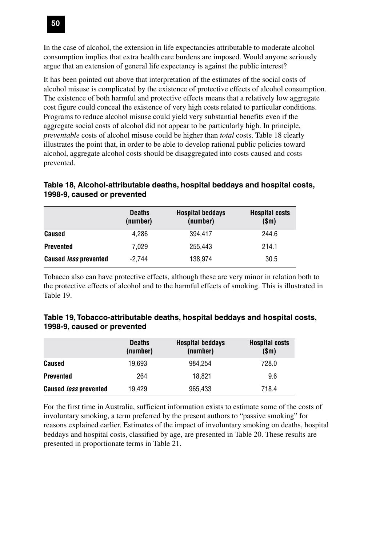

In the case of alcohol, the extension in life expectancies attributable to moderate alcohol consumption implies that extra health care burdens are imposed. Would anyone seriously argue that an extension of general life expectancy is against the public interest?

It has been pointed out above that interpretation of the estimates of the social costs of alcohol misuse is complicated by the existence of protective effects of alcohol consumption. The existence of both harmful and protective effects means that a relatively low aggregate cost figure could conceal the existence of very high costs related to particular conditions. Programs to reduce alcohol misuse could yield very substantial benefits even if the aggregate social costs of alcohol did not appear to be particularly high. In principle, *preventable* costs of alcohol misuse could be higher than *total* costs. Table 18 clearly illustrates the point that, in order to be able to develop rational public policies toward alcohol, aggregate alcohol costs should be disaggregated into costs caused and costs prevented.

| Table 18, Alcohol-attributable deaths, hospital beddays and hospital costs, |  |
|-----------------------------------------------------------------------------|--|
| 1998-9, caused or prevented                                                 |  |

|                              | <b>Deaths</b><br>(number) | <b>Hospital beddays</b><br>(number) | <b>Hospital costs</b><br>\$m\$ |
|------------------------------|---------------------------|-------------------------------------|--------------------------------|
| Caused                       | 4.286                     | 394.417                             | 244.6                          |
| <b>Prevented</b>             | 7.029                     | 255.443                             | 214.1                          |
| <b>Caused less prevented</b> | $-2.744$                  | 138.974                             | 30.5                           |

Tobacco also can have protective effects, although these are very minor in relation both to the protective effects of alcohol and to the harmful effects of smoking. This is illustrated in Table 19.

| Table 19, Tobacco-attributable deaths, hospital beddays and hospital costs, |  |  |
|-----------------------------------------------------------------------------|--|--|
| 1998-9, caused or prevented                                                 |  |  |

|                              | <b>Deaths</b><br>(number) | <b>Hospital beddays</b><br>(number) | <b>Hospital costs</b><br>\$m\$ |
|------------------------------|---------------------------|-------------------------------------|--------------------------------|
| Caused                       | 19.693                    | 984.254                             | 728.0                          |
| <b>Prevented</b>             | 264                       | 18.821                              | 9.6                            |
| <b>Caused less prevented</b> | 19.429                    | 965.433                             | 718.4                          |

For the first time in Australia, sufficient information exists to estimate some of the costs of involuntary smoking, a term preferred by the present authors to "passive smoking" for reasons explained earlier. Estimates of the impact of involuntary smoking on deaths, hospital beddays and hospital costs, classified by age, are presented in Table 20. These results are presented in proportionate terms in Table 21.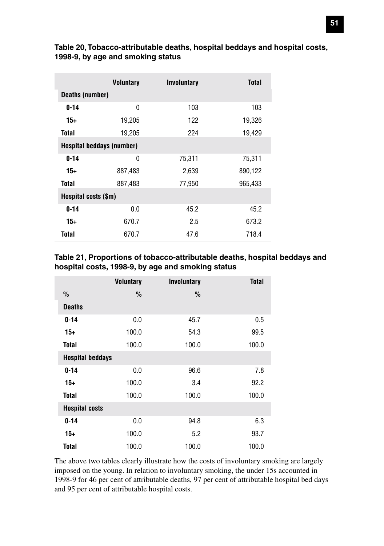|                           | <b>Voluntary</b> | <b>Involuntary</b> | Total   |
|---------------------------|------------------|--------------------|---------|
| Deaths (number)           |                  |                    |         |
| $0 - 14$                  | $\mathbf{0}$     | 103                | 103     |
| $15+$                     | 19,205           | 122                | 19,326  |
| Total                     | 19,205           | 224                | 19,429  |
| Hospital beddays (number) |                  |                    |         |
| $0 - 14$                  | $\Omega$         | 75,311             | 75,311  |
| $15+$                     | 887,483          | 2,639              | 890,122 |
| Total                     | 887,483          | 77,950             | 965,433 |
| Hospital costs (\$m)      |                  |                    |         |
| $0 - 14$                  | 0.0              | 45.2               | 45.2    |
| $15+$                     | 670.7            | 2.5                | 673.2   |
| Total                     | 670.7            | 47.6               | 718.4   |

**Table 20, Tobacco-attributable deaths, hospital beddays and hospital costs, 1998-9, by age and smoking status**

#### **Table 21, Proportions of tobacco-attributable deaths, hospital beddays and hospital costs, 1998-9, by age and smoking status**

|                         | <b>Voluntary</b> | Involuntary   | <b>Total</b> |
|-------------------------|------------------|---------------|--------------|
| $\frac{0}{0}$           | $\frac{0}{0}$    | $\frac{0}{0}$ |              |
| <b>Deaths</b>           |                  |               |              |
| $0 - 14$                | 0.0              | 45.7          | 0.5          |
| $15+$                   | 100.0            | 54.3          | 99.5         |
| <b>Total</b>            | 100.0            | 100.0         | 100.0        |
| <b>Hospital beddays</b> |                  |               |              |
| $0 - 14$                | 0.0              | 96.6          | 7.8          |
| 15+                     | 100.0            | 3.4           | 92.2         |
| <b>Total</b>            | 100.0            | 100.0         | 100.0        |
| <b>Hospital costs</b>   |                  |               |              |
| $0 - 14$                | 0.0              | 94.8          | 6.3          |
| 15+                     | 100.0            | 5.2           | 93.7         |
| Total                   | 100.0            | 100.0         | 100.0        |

The above two tables clearly illustrate how the costs of involuntary smoking are largely imposed on the young. In relation to involuntary smoking, the under 15s accounted in 1998-9 for 46 per cent of attributable deaths, 97 per cent of attributable hospital bed days and 95 per cent of attributable hospital costs.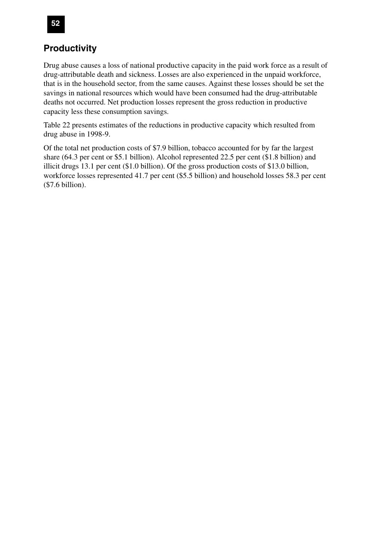# **52**

### **Productivity**

Drug abuse causes a loss of national productive capacity in the paid work force as a result of drug-attributable death and sickness. Losses are also experienced in the unpaid workforce, that is in the household sector, from the same causes. Against these losses should be set the savings in national resources which would have been consumed had the drug-attributable deaths not occurred. Net production losses represent the gross reduction in productive capacity less these consumption savings.

Table 22 presents estimates of the reductions in productive capacity which resulted from drug abuse in 1998-9.

Of the total net production costs of \$7.9 billion, tobacco accounted for by far the largest share (64.3 per cent or \$5.1 billion). Alcohol represented 22.5 per cent (\$1.8 billion) and illicit drugs 13.1 per cent (\$1.0 billion). Of the gross production costs of \$13.0 billion, workforce losses represented 41.7 per cent (\$5.5 billion) and household losses 58.3 per cent (\$7.6 billion).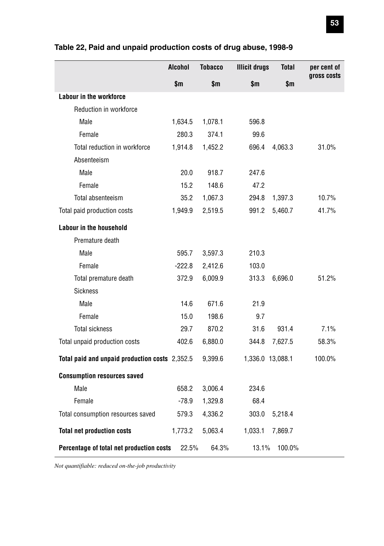|                                                | <b>Alcohol</b> | <b>Tobacco</b> | <b>Illicit drugs</b> | <b>Total</b> | per cent of |
|------------------------------------------------|----------------|----------------|----------------------|--------------|-------------|
|                                                | \$m            | \$m            | \$m                  | \$m          | gross costs |
| Labour in the workforce                        |                |                |                      |              |             |
| Reduction in workforce                         |                |                |                      |              |             |
| Male                                           | 1,634.5        | 1,078.1        | 596.8                |              |             |
| Female                                         | 280.3          | 374.1          | 99.6                 |              |             |
| Total reduction in workforce                   | 1,914.8        | 1,452.2        | 696.4                | 4,063.3      | 31.0%       |
| Absenteeism                                    |                |                |                      |              |             |
| Male                                           | 20.0           | 918.7          | 247.6                |              |             |
| Female                                         | 15.2           | 148.6          | 47.2                 |              |             |
| Total absenteeism                              | 35.2           | 1,067.3        | 294.8                | 1,397.3      | 10.7%       |
| Total paid production costs                    | 1,949.9        | 2,519.5        | 991.2                | 5,460.7      | 41.7%       |
| <b>Labour in the household</b>                 |                |                |                      |              |             |
| Premature death                                |                |                |                      |              |             |
| Male                                           | 595.7          | 3,597.3        | 210.3                |              |             |
| Female                                         | $-222.8$       | 2,412.6        | 103.0                |              |             |
| Total premature death                          | 372.9          | 6,009.9        | 313.3                | 6,696.0      | 51.2%       |
| <b>Sickness</b>                                |                |                |                      |              |             |
| Male                                           | 14.6           | 671.6          | 21.9                 |              |             |
| Female                                         | 15.0           | 198.6          | 9.7                  |              |             |
| <b>Total sickness</b>                          | 29.7           | 870.2          | 31.6                 | 931.4        | 7.1%        |
| Total unpaid production costs                  | 402.6          | 6,880.0        | 344.8                | 7,627.5      | 58.3%       |
| Total paid and unpaid production costs 2,352.5 |                | 9,399.6        | 1,336.0 13,088.1     |              | 100.0%      |
| <b>Consumption resources saved</b>             |                |                |                      |              |             |
| Male                                           | 658.2          | 3,006.4        | 234.6                |              |             |
| Female                                         | $-78.9$        | 1,329.8        | 68.4                 |              |             |
| Total consumption resources saved              | 579.3          | 4,336.2        | 303.0                | 5,218.4      |             |
| <b>Total net production costs</b>              | 1,773.2        | 5,063.4        | 1,033.1              | 7,869.7      |             |
| Percentage of total net production costs       | 22.5%          | 64.3%          | 13.1%                | 100.0%       |             |

#### **Table 22, Paid and unpaid production costs of drug abuse, 1998-9**

*Not quantifiable: reduced on-the-job productivity*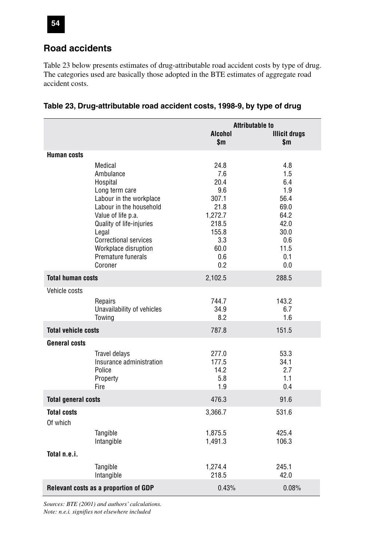

Table 23 below presents estimates of drug-attributable road accident costs by type of drug. The categories used are basically those adopted in the BTE estimates of aggregate road accident costs.

|                            |                                       |                         | <b>Attributable to</b>      |  |  |
|----------------------------|---------------------------------------|-------------------------|-----------------------------|--|--|
|                            |                                       | <b>Alcohol</b><br>\$m\$ | <b>Illicit drugs</b><br>\$m |  |  |
| <b>Human costs</b>         |                                       |                         |                             |  |  |
|                            |                                       |                         |                             |  |  |
|                            | Medical<br>Ambulance                  | 24.8<br>7.6             | 4.8<br>1.5                  |  |  |
|                            | Hospital                              | 20.4                    | 6.4                         |  |  |
|                            | Long term care                        | 9.6                     | 1.9                         |  |  |
|                            | Labour in the workplace               | 307.1                   | 56.4                        |  |  |
|                            | Labour in the household               | 21.8                    | 69.0                        |  |  |
|                            | Value of life p.a.                    | 1,272.7                 | 64.2                        |  |  |
|                            | Quality of life-injuries              | 218.5                   | 42.0                        |  |  |
|                            | Legal                                 | 155.8                   | 30.0                        |  |  |
|                            | <b>Correctional services</b>          | 3.3                     | 0.6                         |  |  |
|                            | Workplace disruption                  | 60.0                    | 11.5                        |  |  |
|                            | Premature funerals<br>Coroner         | 0.6<br>0.2              | 0.1                         |  |  |
|                            |                                       |                         | 0.0                         |  |  |
| <b>Total human costs</b>   |                                       | 2,102.5                 | 288.5                       |  |  |
| Vehicle costs              |                                       |                         |                             |  |  |
|                            | Repairs                               | 744.7                   | 143.2                       |  |  |
|                            | Unavailability of vehicles            | 34.9                    | 6.7                         |  |  |
|                            | Towing                                | 8.2                     | 1.6                         |  |  |
| <b>Total vehicle costs</b> |                                       | 787.8                   | 151.5                       |  |  |
| <b>General costs</b>       |                                       |                         |                             |  |  |
|                            | Travel delays                         | 277.0                   | 53.3                        |  |  |
|                            | Insurance administration              | 177.5                   | 34.1                        |  |  |
|                            | Police                                | 14.2                    | 2.7                         |  |  |
|                            | Property                              | 5.8                     | 1.1                         |  |  |
|                            | Fire                                  | 1.9                     | 0.4                         |  |  |
| <b>Total general costs</b> |                                       | 476.3                   | 91.6                        |  |  |
| <b>Total costs</b>         |                                       | 3,366.7                 | 531.6                       |  |  |
| Of which                   |                                       |                         |                             |  |  |
|                            | Tangible                              | 1,875.5                 | 425.4                       |  |  |
|                            | Intangible                            | 1,491.3                 | 106.3                       |  |  |
| Total n.e.i.               |                                       |                         |                             |  |  |
|                            | Tangible                              | 1,274.4                 | 245.1                       |  |  |
|                            | Intangible                            | 218.5                   | 42.0                        |  |  |
|                            | Relevant costs as a proportion of GDP | 0.43%                   | 0.08%                       |  |  |

**Table 23, Drug-attributable road accident costs, 1998-9, by type of drug**

*Sources: BTE (2001) and authors' calculations. Note: n.e.i. signifies not elsewhere included*

**54**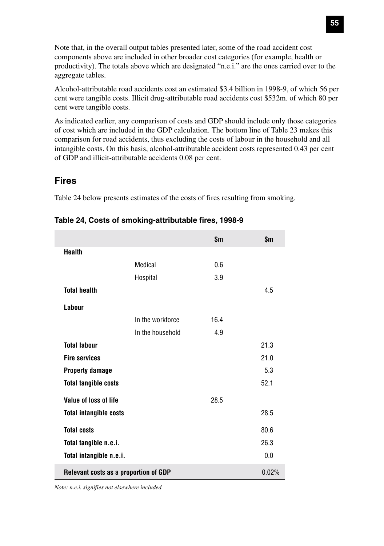Note that, in the overall output tables presented later, some of the road accident cost components above are included in other broader cost categories (for example, health or productivity). The totals above which are designated "n.e.i." are the ones carried over to the aggregate tables.

Alcohol-attributable road accidents cost an estimated \$3.4 billion in 1998-9, of which 56 per cent were tangible costs. Illicit drug-attributable road accidents cost \$532m. of which 80 per cent were tangible costs.

As indicated earlier, any comparison of costs and GDP should include only those categories of cost which are included in the GDP calculation. The bottom line of Table 23 makes this comparison for road accidents, thus excluding the costs of labour in the household and all intangible costs. On this basis, alcohol-attributable accident costs represented 0.43 per cent of GDP and illicit-attributable accidents 0.08 per cent.

#### **Fires**

Table 24 below presents estimates of the costs of fires resulting from smoking.

|                                       |                  | \$m\$ | \$m\$ |
|---------------------------------------|------------------|-------|-------|
| <b>Health</b>                         |                  |       |       |
|                                       | Medical          | 0.6   |       |
|                                       | Hospital         | 3.9   |       |
| <b>Total health</b>                   |                  |       | 4.5   |
| Labour                                |                  |       |       |
|                                       | In the workforce | 16.4  |       |
|                                       | In the household | 4.9   |       |
| <b>Total labour</b>                   |                  |       | 21.3  |
| <b>Fire services</b>                  |                  |       | 21.0  |
| <b>Property damage</b>                |                  |       | 5.3   |
| <b>Total tangible costs</b>           |                  |       | 52.1  |
| Value of loss of life                 |                  | 28.5  |       |
| <b>Total intangible costs</b>         |                  |       | 28.5  |
| <b>Total costs</b>                    |                  |       | 80.6  |
| Total tangible n.e.i.                 |                  |       | 26.3  |
| Total intangible n.e.i.               |                  |       | 0.0   |
| Relevant costs as a proportion of GDP |                  |       | 0.02% |

| Table 24, Costs of smoking-attributable fires, 1998-9 |  |  |  |  |  |  |
|-------------------------------------------------------|--|--|--|--|--|--|
|-------------------------------------------------------|--|--|--|--|--|--|

*Note: n.e.i. signifies not elsewhere included*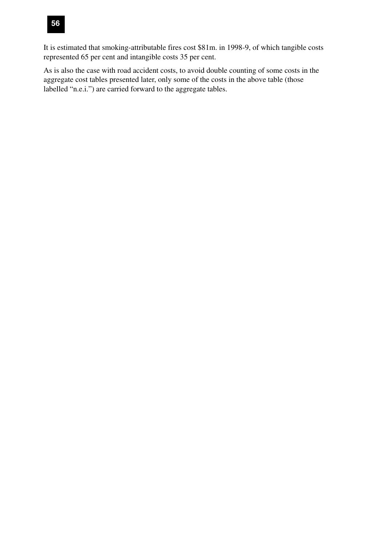

It is estimated that smoking-attributable fires cost \$81m. in 1998-9, of which tangible costs represented 65 per cent and intangible costs 35 per cent.

As is also the case with road accident costs, to avoid double counting of some costs in the aggregate cost tables presented later, only some of the costs in the above table (those labelled "n.e.i.") are carried forward to the aggregate tables.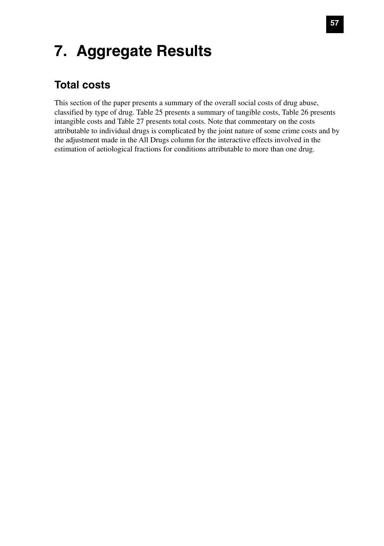# **7. Aggregate Results**

# **Total costs**

This section of the paper presents a summary of the overall social costs of drug abuse, classified by type of drug. Table 25 presents a summary of tangible costs, Table 26 presents intangible costs and Table 27 presents total costs. Note that commentary on the costs attributable to individual drugs is complicated by the joint nature of some crime costs and by the adjustment made in the All Drugs column for the interactive effects involved in the estimation of aetiological fractions for conditions attributable to more than one drug.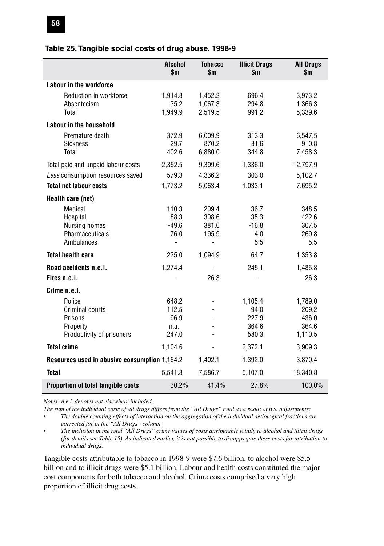#### **Table 25, Tangible social costs of drug abuse, 1998-9**

|                                                                               | <b>Alcohol</b><br>\$m\$                 | <b>Tobacco</b><br>\$m            | <b>Illicit Drugs</b><br>\$m                | <b>All Drugs</b><br>\$m                       |
|-------------------------------------------------------------------------------|-----------------------------------------|----------------------------------|--------------------------------------------|-----------------------------------------------|
| Labour in the workforce                                                       |                                         |                                  |                                            |                                               |
| Reduction in workforce<br>Absenteeism<br>Total                                | 1,914.8<br>35.2<br>1,949.9              | 1,452.2<br>1,067.3<br>2,519.5    | 696.4<br>294.8<br>991.2                    | 3,973.2<br>1,366.3<br>5,339.6                 |
| Labour in the household                                                       |                                         |                                  |                                            |                                               |
| Premature death<br><b>Sickness</b><br>Total                                   | 372.9<br>29.7<br>402.6                  | 6.009.9<br>870.2<br>6,880.0      | 313.3<br>31.6<br>344.8                     | 6,547.5<br>910.8<br>7,458.3                   |
| Total paid and unpaid labour costs                                            | 2,352.5                                 | 9,399.6                          | 1,336.0                                    | 12,797.9                                      |
| Less consumption resources saved                                              | 579.3                                   | 4,336.2                          | 303.0                                      | 5,102.7                                       |
| <b>Total net labour costs</b>                                                 | 1,773.2                                 | 5,063.4                          | 1,033.1                                    | 7,695.2                                       |
| Health care (net)                                                             |                                         |                                  |                                            |                                               |
| Medical<br>Hospital<br>Nursing homes<br>Pharmaceuticals<br>Ambulances         | 110.3<br>88.3<br>$-49.6$<br>76.0<br>ä,  | 209.4<br>308.6<br>381.0<br>195.9 | 36.7<br>35.3<br>$-16.8$<br>4.0<br>5.5      | 348.5<br>422.6<br>307.5<br>269.8<br>5.5       |
| <b>Total health care</b>                                                      | 225.0                                   | 1,094.9                          | 64.7                                       | 1,353.8                                       |
| Road accidents n.e.i.<br>Fires n.e.i.                                         | 1,274.4                                 | 26.3                             | 245.1                                      | 1,485.8<br>26.3                               |
| Crime n.e.i.                                                                  |                                         |                                  |                                            |                                               |
| Police<br>Criminal courts<br>Prisons<br>Property<br>Productivity of prisoners | 648.2<br>112.5<br>96.9<br>n.a.<br>247.0 |                                  | 1,105.4<br>94.0<br>227.9<br>364.6<br>580.3 | 1,789.0<br>209.2<br>436.0<br>364.6<br>1,110.5 |
| <b>Total crime</b>                                                            | 1,104.6                                 |                                  | 2,372.1                                    | 3,909.3                                       |
| Resources used in abusive consumption 1,164.2                                 |                                         | 1,402.1                          | 1,392.0                                    | 3,870.4                                       |
| <b>Total</b>                                                                  | 5,541.3                                 | 7,586.7                          | 5.107.0                                    | 18,340.8                                      |
| Proportion of total tangible costs                                            | 30.2%                                   | 41.4%                            | 27.8%                                      | 100.0%                                        |

*Notes: n.e.i. denotes not elsewhere included.*

*The sum of the individual costs of all drugs differs from the "All Drugs" total as a result of two adjustments:*

*• The double counting effects of interaction on the aggregation of the individual aetiological fractions are corrected for in the "All Drugs" column.*

*• The inclusion in the total "All Drugs" crime values of costs attributable jointly to alcohol and illicit drugs (for details see Table 15). As indicated earlier, it is not possible to disaggregate these costs for attribution to individual drugs.*

Tangible costs attributable to tobacco in 1998-9 were \$7.6 billion, to alcohol were \$5.5 billion and to illicit drugs were \$5.1 billion. Labour and health costs constituted the major cost components for both tobacco and alcohol. Crime costs comprised a very high proportion of illicit drug costs.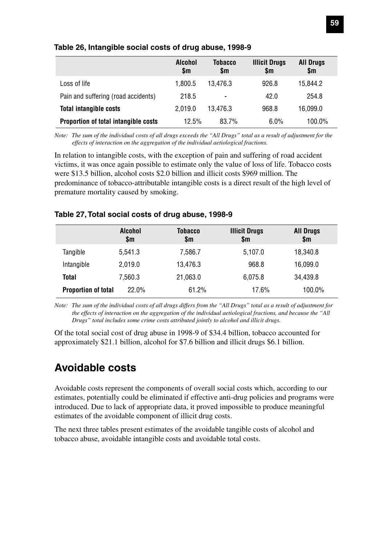|                                      | <b>Alcohol</b><br>\$m | Tobacco<br>\$m | <b>Illicit Drugs</b><br>\$m | <b>All Drugs</b><br>\$m |
|--------------------------------------|-----------------------|----------------|-----------------------------|-------------------------|
| Loss of life                         | 1.800.5               | 13.476.3       | 926.8                       | 15.844.2                |
| Pain and suffering (road accidents)  | 218.5                 | $\blacksquare$ | 42.0                        | 254.8                   |
| <b>Total intangible costs</b>        | 2.019.0               | 13.476.3       | 968.8                       | 16,099.0                |
| Proportion of total intangible costs | 12.5%                 | 83.7%          | 6.0%                        | 100.0%                  |

#### **Table 26, Intangible social costs of drug abuse, 1998-9**

*Note: The sum of the individual costs of all drugs exceeds the "All Drugs" total as a result of adjustment for the effects of interaction on the aggregation of the individual aetiological fractions.*

In relation to intangible costs, with the exception of pain and suffering of road accident victims, it was once again possible to estimate only the value of loss of life. Tobacco costs were \$13.5 billion, alcohol costs \$2.0 billion and illicit costs \$969 million. The predominance of tobacco-attributable intangible costs is a direct result of the high level of premature mortality caused by smoking.

#### **Table 27, Total social costs of drug abuse, 1998-9**

|                            | <b>Alcohol</b><br>\$m | Tobacco<br>\$m | <b>Illicit Drugs</b><br>\$m | <b>All Drugs</b><br>\$m |
|----------------------------|-----------------------|----------------|-----------------------------|-------------------------|
| Tangible                   | 5,541.3               | 7,586.7        | 5,107.0                     | 18,340.8                |
| Intangible                 | 2.019.0               | 13,476.3       | 968.8                       | 16,099.0                |
| Total                      | 7.560.3               | 21.063.0       | 6.075.8                     | 34,439.8                |
| <b>Proportion of total</b> | 22.0%                 | 61.2%          | 17.6%                       | 100.0%                  |

*Note: The sum of the individual costs of all drugs differs from the "All Drugs" total as a result of adjustment for the effects of interaction on the aggregation of the individual aetiological fractions, and because the "All Drugs" total includes some crime costs attributed jointly to alcohol and illicit drugs.*

Of the total social cost of drug abuse in 1998-9 of \$34.4 billion, tobacco accounted for approximately \$21.1 billion, alcohol for \$7.6 billion and illicit drugs \$6.1 billion.

# **Avoidable costs**

Avoidable costs represent the components of overall social costs which, according to our estimates, potentially could be eliminated if effective anti-drug policies and programs were introduced. Due to lack of appropriate data, it proved impossible to produce meaningful estimates of the avoidable component of illicit drug costs.

The next three tables present estimates of the avoidable tangible costs of alcohol and tobacco abuse, avoidable intangible costs and avoidable total costs.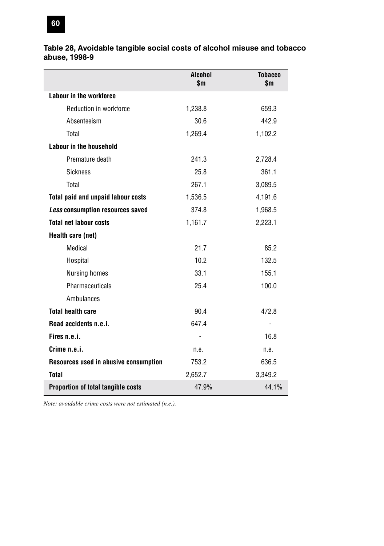#### **Table 28, Avoidable tangible social costs of alcohol misuse and tobacco abuse, 1998-9**

|                                       | Alcohol<br>\$m | <b>Tobacco</b><br>\$m |
|---------------------------------------|----------------|-----------------------|
| Labour in the workforce               |                |                       |
| Reduction in workforce                | 1,238.8        | 659.3                 |
| Absenteeism                           | 30.6           | 442.9                 |
| Total                                 | 1,269.4        | 1,102.2               |
| Labour in the household               |                |                       |
| Premature death                       | 241.3          | 2,728.4               |
| <b>Sickness</b>                       | 25.8           | 361.1                 |
| Total                                 | 267.1          | 3,089.5               |
| Total paid and unpaid labour costs    | 1,536.5        | 4,191.6               |
| Less consumption resources saved      | 374.8          | 1,968.5               |
| <b>Total net labour costs</b>         | 1,161.7        | 2,223.1               |
| Health care (net)                     |                |                       |
| Medical                               | 21.7           | 85.2                  |
| Hospital                              | 10.2           | 132.5                 |
| Nursing homes                         | 33.1           | 155.1                 |
| Pharmaceuticals                       | 25.4           | 100.0                 |
| Ambulances                            |                |                       |
| <b>Total health care</b>              | 90.4           | 472.8                 |
| Road accidents n.e.i.                 | 647.4          |                       |
| Fires n.e.i.                          |                | 16.8                  |
| Crime n.e.i.                          | n.e.           | n.e.                  |
| Resources used in abusive consumption | 753.2          | 636.5                 |
| <b>Total</b>                          | 2,652.7        | 3,349.2               |
| Proportion of total tangible costs    | 47.9%          | 44.1%                 |

*Note: avoidable crime costs were not estimated (n.e.).*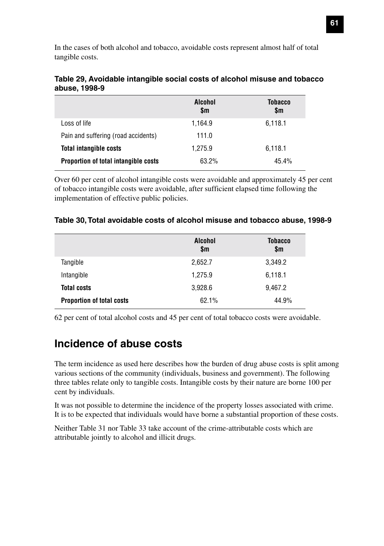In the cases of both alcohol and tobacco, avoidable costs represent almost half of total tangible costs.

|                                      | <b>Alcohol</b><br>\$m | Tobacco<br>\$m |
|--------------------------------------|-----------------------|----------------|
| Loss of life                         | 1.164.9               | 6,118.1        |
| Pain and suffering (road accidents)  | 111.0                 |                |
| <b>Total intangible costs</b>        | 1.275.9               | 6,118.1        |
| Proportion of total intangible costs | 63.2%                 | 45.4%          |

#### **Table 29, Avoidable intangible social costs of alcohol misuse and tobacco abuse, 1998-9**

Over 60 per cent of alcohol intangible costs were avoidable and approximately 45 per cent of tobacco intangible costs were avoidable, after sufficient elapsed time following the implementation of effective public policies.

|                                  | <b>Alcohol</b><br>\$m | Tobacco<br>\$m |
|----------------------------------|-----------------------|----------------|
| Tangible                         | 2,652.7               | 3,349.2        |
| Intangible                       | 1,275.9               | 6,118.1        |
| <b>Total costs</b>               | 3,928.6               | 9,467.2        |
| <b>Proportion of total costs</b> | 62.1%                 | 44.9%          |

#### **Table 30, Total avoidable costs of alcohol misuse and tobacco abuse, 1998-9**

62 per cent of total alcohol costs and 45 per cent of total tobacco costs were avoidable.

# **Incidence of abuse costs**

The term incidence as used here describes how the burden of drug abuse costs is split among various sections of the community (individuals, business and government). The following three tables relate only to tangible costs. Intangible costs by their nature are borne 100 per cent by individuals.

It was not possible to determine the incidence of the property losses associated with crime. It is to be expected that individuals would have borne a substantial proportion of these costs.

Neither Table 31 nor Table 33 take account of the crime-attributable costs which are attributable jointly to alcohol and illicit drugs.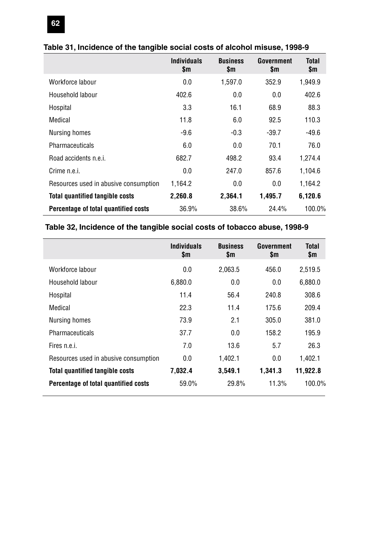|                                        | <b>Individuals</b><br>\$m | <b>Business</b><br>\$m | Government<br>\$m | Total<br>\$m |
|----------------------------------------|---------------------------|------------------------|-------------------|--------------|
| Workforce labour                       | 0.0                       | 1,597.0                | 352.9             | 1,949.9      |
| Household labour                       | 402.6                     | 0.0                    | 0.0               | 402.6        |
| Hospital                               | 3.3                       | 16.1                   | 68.9              | 88.3         |
| Medical                                | 11.8                      | 6.0                    | 92.5              | 110.3        |
| Nursing homes                          | -9.6                      | $-0.3$                 | $-39.7$           | $-49.6$      |
| Pharmaceuticals                        | 6.0                       | 0.0                    | 70.1              | 76.0         |
| Road accidents n.e.i.                  | 682.7                     | 498.2                  | 93.4              | 1,274.4      |
| Crime n.e.i.                           | 0.0                       | 247.0                  | 857.6             | 1,104.6      |
| Resources used in abusive consumption  | 1,164.2                   | 0.0                    | 0.0               | 1,164.2      |
| <b>Total quantified tangible costs</b> | 2,260.8                   | 2,364.1                | 1,495.7           | 6,120.6      |
| Percentage of total quantified costs   | 36.9%                     | 38.6%                  | 24.4%             | 100.0%       |

#### **Table 31, Incidence of the tangible social costs of alcohol misuse, 1998-9**

### **Table 32, Incidence of the tangible social costs of tobacco abuse, 1998-9**

|                                        | <b>Individuals</b><br>\$m | <b>Business</b><br>\$m | Government<br>\$m | Total<br>\$m |
|----------------------------------------|---------------------------|------------------------|-------------------|--------------|
| Workforce labour                       | 0.0                       | 2,063.5                | 456.0             | 2,519.5      |
| Household labour                       | 6,880.0                   | 0.0                    | 0.0               | 6,880.0      |
| Hospital                               | 11.4                      | 56.4                   | 240.8             | 308.6        |
| Medical                                | 22.3                      | 11.4                   | 175.6             | 209.4        |
| Nursing homes                          | 73.9                      | 2.1                    | 305.0             | 381.0        |
| Pharmaceuticals                        | 37.7                      | 0.0                    | 158.2             | 195.9        |
| Fires n.e.i.                           | 7.0                       | 13.6                   | 5.7               | 26.3         |
| Resources used in abusive consumption  | 0.0                       | 1,402.1                | 0.0               | 1,402.1      |
| <b>Total quantified tangible costs</b> | 7.032.4                   | 3,549.1                | 1.341.3           | 11.922.8     |
| Percentage of total quantified costs   | 59.0%                     | 29.8%                  | 11.3%             | 100.0%       |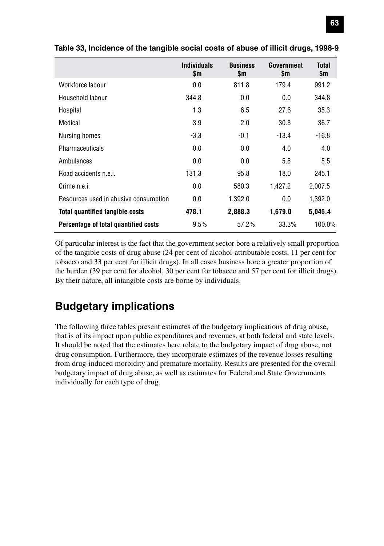|                                        | <b>Individuals</b><br>\$m | <b>Business</b><br>\$m | Government<br>\$m | Total<br>\$m |
|----------------------------------------|---------------------------|------------------------|-------------------|--------------|
| Workforce labour                       | 0.0                       | 811.8                  | 179.4             | 991.2        |
| Household labour                       | 344.8                     | 0.0                    | 0.0               | 344.8        |
| Hospital                               | 1.3                       | 6.5                    | 27.6              | 35.3         |
| Medical                                | 3.9                       | 2.0                    | 30.8              | 36.7         |
| Nursing homes                          | $-3.3$                    | $-0.1$                 | $-13.4$           | $-16.8$      |
| <b>Pharmaceuticals</b>                 | 0.0                       | 0.0                    | 4.0               | 4.0          |
| Ambulances                             | 0.0                       | 0.0                    | 5.5               | 5.5          |
| Road accidents n.e.i.                  | 131.3                     | 95.8                   | 18.0              | 245.1        |
| Crime n.e.i.                           | 0.0                       | 580.3                  | 1,427.2           | 2,007.5      |
| Resources used in abusive consumption  | 0.0                       | 1,392.0                | 0.0               | 1,392.0      |
| <b>Total quantified tangible costs</b> | 478.1                     | 2,888.3                | 1,679.0           | 5,045.4      |
| Percentage of total quantified costs   | 9.5%                      | 57.2%                  | 33.3%             | 100.0%       |

**Table 33, Incidence of the tangible social costs of abuse of illicit drugs, 1998-9**

Of particular interest is the fact that the government sector bore a relatively small proportion of the tangible costs of drug abuse (24 per cent of alcohol-attributable costs, 11 per cent for tobacco and 33 per cent for illicit drugs). In all cases business bore a greater proportion of the burden (39 per cent for alcohol, 30 per cent for tobacco and 57 per cent for illicit drugs). By their nature, all intangible costs are borne by individuals.

### **Budgetary implications**

The following three tables present estimates of the budgetary implications of drug abuse, that is of its impact upon public expenditures and revenues, at both federal and state levels. It should be noted that the estimates here relate to the budgetary impact of drug abuse, not drug consumption. Furthermore, they incorporate estimates of the revenue losses resulting from drug-induced morbidity and premature mortality. Results are presented for the overall budgetary impact of drug abuse, as well as estimates for Federal and State Governments individually for each type of drug.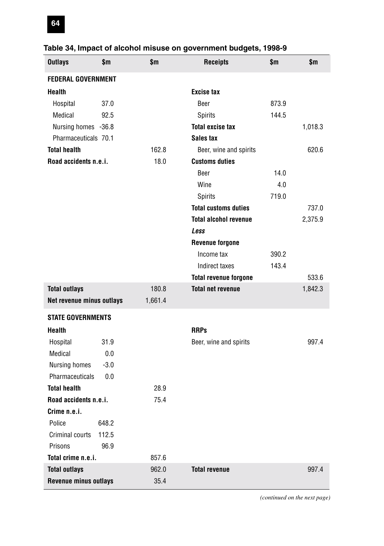| <b>Outlays</b>            | \$m    | \$m     | <b>Receipts</b>              | \$m   | \$m     |
|---------------------------|--------|---------|------------------------------|-------|---------|
| <b>FEDERAL GOVERNMENT</b> |        |         |                              |       |         |
| <b>Health</b>             |        |         | <b>Excise tax</b>            |       |         |
| Hospital                  | 37.0   |         | Beer                         | 873.9 |         |
| Medical                   | 92.5   |         | Spirits                      | 144.5 |         |
| Nursing homes -36.8       |        |         | <b>Total excise tax</b>      |       | 1,018.3 |
| Pharmaceuticals 70.1      |        |         | Sales tax                    |       |         |
| <b>Total health</b>       |        | 162.8   | Beer, wine and spirits       |       | 620.6   |
| Road accidents n.e.i.     |        | 18.0    | <b>Customs duties</b>        |       |         |
|                           |        |         | Beer                         | 14.0  |         |
|                           |        |         | Wine                         | 4.0   |         |
|                           |        |         | Spirits                      | 719.0 |         |
|                           |        |         | <b>Total customs duties</b>  |       | 737.0   |
|                           |        |         | <b>Total alcohol revenue</b> |       | 2,375.9 |
|                           |        |         | Less                         |       |         |
|                           |        |         | <b>Revenue forgone</b>       |       |         |
|                           |        |         | Income tax                   | 390.2 |         |
|                           |        |         | Indirect taxes               | 143.4 |         |
|                           |        |         | <b>Total revenue forgone</b> |       | 533.6   |
| <b>Total outlays</b>      |        | 180.8   | <b>Total net revenue</b>     |       | 1,842.3 |
| Net revenue minus outlays |        | 1,661.4 |                              |       |         |
| <b>STATE GOVERNMENTS</b>  |        |         |                              |       |         |
| <b>Health</b>             |        |         | <b>RRPs</b>                  |       |         |
| Hospital                  | 31.9   |         | Beer, wine and spirits       |       | 997.4   |
| Medical                   | 0.0    |         |                              |       |         |
| Nursing homes             | $-3.0$ |         |                              |       |         |
| Pharmaceuticals           | 0.0    |         |                              |       |         |
| <b>Total health</b>       |        | 28.9    |                              |       |         |
| Road accidents n.e.i.     |        | 75.4    |                              |       |         |
| Crime n.e.i.              |        |         |                              |       |         |
| Police                    | 648.2  |         |                              |       |         |
| Criminal courts           | 112.5  |         |                              |       |         |
| Prisons                   | 96.9   |         |                              |       |         |
| Total crime n.e.i.        |        | 857.6   |                              |       |         |
| <b>Total outlays</b>      |        | 962.0   | <b>Total revenue</b>         |       | 997.4   |
| Revenue minus outlays     |        | 35.4    |                              |       |         |

# **Table 34, Impact of alcohol misuse on government budgets, 1998-9**

*(continued on the next page)*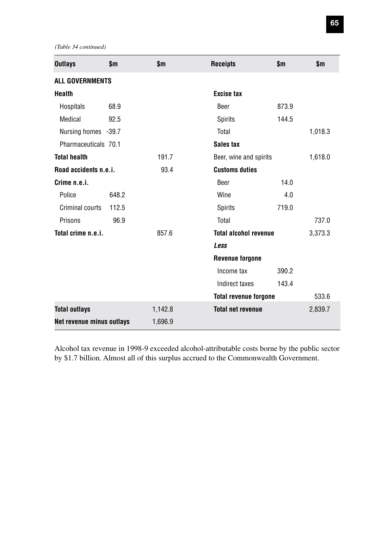*(Table 34 continued)*

| <b>Outlays</b>            | \$m   | \$m     | <b>Receipts</b>              | \$m\$ | \$m     |
|---------------------------|-------|---------|------------------------------|-------|---------|
| <b>ALL GOVERNMENTS</b>    |       |         |                              |       |         |
| <b>Health</b>             |       |         | <b>Excise tax</b>            |       |         |
| Hospitals                 | 68.9  |         | Beer                         | 873.9 |         |
| Medical                   | 92.5  |         | Spirits                      | 144.5 |         |
| Nursing homes -39.7       |       |         | Total                        |       | 1,018.3 |
| Pharmaceuticals 70.1      |       |         | Sales tax                    |       |         |
| <b>Total health</b>       |       | 191.7   | Beer, wine and spirits       |       | 1,618.0 |
| Road accidents n.e.i.     |       | 93.4    | <b>Customs duties</b>        |       |         |
| Crime n.e.i.              |       |         | Beer                         | 14.0  |         |
| Police                    | 648.2 |         | Wine                         | 4.0   |         |
| Criminal courts           | 112.5 |         | Spirits                      | 719.0 |         |
| Prisons                   | 96.9  |         | Total                        |       | 737.0   |
| Total crime n.e.i.        |       | 857.6   | <b>Total alcohol revenue</b> |       | 3,373.3 |
|                           |       |         | Less                         |       |         |
|                           |       |         | <b>Revenue forgone</b>       |       |         |
|                           |       |         | Income tax                   | 390.2 |         |
|                           |       |         | Indirect taxes               | 143.4 |         |
|                           |       |         | <b>Total revenue forgone</b> |       | 533.6   |
| <b>Total outlays</b>      |       | 1,142.8 | <b>Total net revenue</b>     |       | 2,839.7 |
| Net revenue minus outlays |       | 1,696.9 |                              |       |         |

Alcohol tax revenue in 1998-9 exceeded alcohol-attributable costs borne by the public sector by \$1.7 billion. Almost all of this surplus accrued to the Commonwealth Government.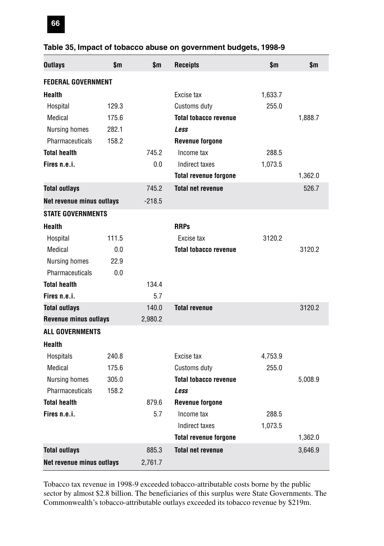| <b>Outlays</b>               | \$m   | \$m      | <b>Receipts</b>              | \$m     | $\mathbf{m}$ |
|------------------------------|-------|----------|------------------------------|---------|--------------|
| <b>FEDERAL GOVERNMENT</b>    |       |          |                              |         |              |
| <b>Health</b>                |       |          | Excise tax                   | 1,633.7 |              |
| Hospital                     | 129.3 |          | Customs duty                 | 255.0   |              |
| Medical                      | 175.6 |          | <b>Total tobacco revenue</b> |         | 1,888.7      |
| Nursing homes                | 282.1 |          | Less                         |         |              |
| Pharmaceuticals              | 158.2 |          | <b>Revenue forgone</b>       |         |              |
| <b>Total health</b>          |       | 745.2    | Income tax                   | 288.5   |              |
| Fires n.e.i.                 |       | 0.0      | Indirect taxes               | 1,073.5 |              |
|                              |       |          | <b>Total revenue forgone</b> |         | 1,362.0      |
| <b>Total outlays</b>         |       | 745.2    | <b>Total net revenue</b>     |         | 526.7        |
| Net revenue minus outlays    |       | $-218.5$ |                              |         |              |
| <b>STATE GOVERNMENTS</b>     |       |          |                              |         |              |
| <b>Health</b>                |       |          | <b>RRPs</b>                  |         |              |
| Hospital                     | 111.5 |          | Excise tax                   | 3120.2  |              |
| Medical                      | 0.0   |          | <b>Total tobacco revenue</b> |         | 3120.2       |
| <b>Nursing homes</b>         | 22.9  |          |                              |         |              |
| Pharmaceuticals              | 0.0   |          |                              |         |              |
| <b>Total health</b>          |       | 134.4    |                              |         |              |
| Fires n.e.i.                 |       | 5.7      |                              |         |              |
| <b>Total outlays</b>         |       | 140.0    | <b>Total revenue</b>         |         | 3120.2       |
| <b>Revenue minus outlays</b> |       | 2,980.2  |                              |         |              |
| <b>ALL GOVERNMENTS</b>       |       |          |                              |         |              |
| Health                       |       |          |                              |         |              |
| Hospitals                    | 240.8 |          | Excise tax                   | 4,753.9 |              |
| Medical                      | 175.6 |          | Customs duty                 | 255.0   |              |
| Nursing homes                | 305.0 |          | <b>Total tobacco revenue</b> |         | 5,008.9      |
| Pharmaceuticals              | 158.2 |          | Less                         |         |              |
| <b>Total health</b>          |       | 879.6    | <b>Revenue forgone</b>       |         |              |
| Fires n.e.i.                 |       | 5.7      | Income tax                   | 288.5   |              |
|                              |       |          | Indirect taxes               | 1,073.5 |              |
|                              |       |          | <b>Total revenue forgone</b> |         | 1,362.0      |
| <b>Total outlays</b>         |       | 885.3    | <b>Total net revenue</b>     |         | 3,646.9      |
| Net revenue minus outlays    |       | 2,761.7  |                              |         |              |

#### **Table 35, Impact of tobacco abuse on government budgets, 1998-9**

Tobacco tax revenue in 1998-9 exceeded tobacco-attributable costs borne by the public sector by almost \$2.8 billion. The beneficiaries of this surplus were State Governments. The Commonwealth's tobacco-attributable outlays exceeded its tobacco revenue by \$219m.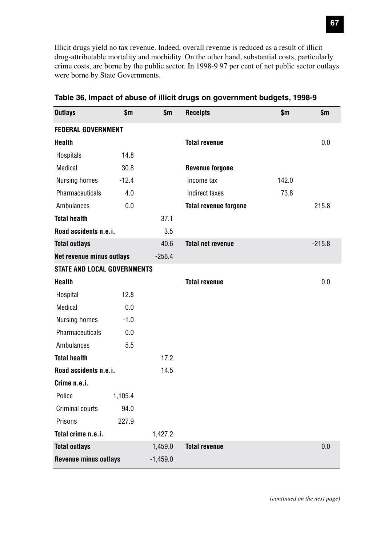Illicit drugs yield no tax revenue. Indeed, overall revenue is reduced as a result of illicit drug-attributable mortality and morbidity. On the other hand, substantial costs, particularly crime costs, are borne by the public sector. In 1998-9 97 per cent of net public sector outlays were borne by State Governments.

| <b>Outlays</b>                     | \$m     | \$m        | <b>Receipts</b>              | \$m   | \$m      |
|------------------------------------|---------|------------|------------------------------|-------|----------|
| <b>FEDERAL GOVERNMENT</b>          |         |            |                              |       |          |
| <b>Health</b>                      |         |            | <b>Total revenue</b>         |       | 0.0      |
| Hospitals                          | 14.8    |            |                              |       |          |
| Medical                            | 30.8    |            | <b>Revenue forgone</b>       |       |          |
| Nursing homes                      | $-12.4$ |            | Income tax                   | 142.0 |          |
| Pharmaceuticals                    | 4.0     |            | Indirect taxes               | 73.8  |          |
| Ambulances                         | 0.0     |            | <b>Total revenue forgone</b> |       | 215.8    |
| <b>Total health</b>                |         | 37.1       |                              |       |          |
| Road accidents n.e.i.              |         | 3.5        |                              |       |          |
| <b>Total outlays</b>               |         | 40.6       | <b>Total net revenue</b>     |       | $-215.8$ |
| Net revenue minus outlays          |         | $-256.4$   |                              |       |          |
| <b>STATE AND LOCAL GOVERNMENTS</b> |         |            |                              |       |          |
| <b>Health</b>                      |         |            | <b>Total revenue</b>         |       | 0.0      |
| Hospital                           | 12.8    |            |                              |       |          |
| <b>Medical</b>                     | 0.0     |            |                              |       |          |
| Nursing homes                      | $-1.0$  |            |                              |       |          |
| Pharmaceuticals                    | 0.0     |            |                              |       |          |
| Ambulances                         | 5.5     |            |                              |       |          |
| <b>Total health</b>                |         | 17.2       |                              |       |          |
| Road accidents n.e.i.              |         | 14.5       |                              |       |          |
| Crime n.e.i.                       |         |            |                              |       |          |
| Police                             | 1,105.4 |            |                              |       |          |
| Criminal courts                    | 94.0    |            |                              |       |          |
| Prisons                            | 227.9   |            |                              |       |          |
| Total crime n.e.i.                 |         | 1,427.2    |                              |       |          |
| <b>Total outlays</b>               |         | 1,459.0    | <b>Total revenue</b>         |       | 0.0      |
| Revenue minus outlays              |         | $-1,459.0$ |                              |       |          |

**Table 36, Impact of abuse of illicit drugs on government budgets, 1998-9**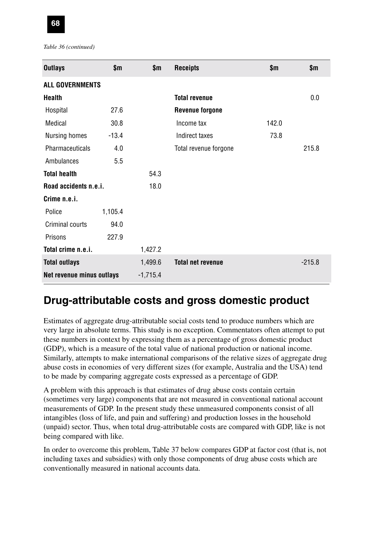

*Table 36 (continued)*

| <b>Outlays</b>            | \$m     | \$m        | <b>Receipts</b>          | \$m   | \$m      |
|---------------------------|---------|------------|--------------------------|-------|----------|
| <b>ALL GOVERNMENTS</b>    |         |            |                          |       |          |
| Health                    |         |            | <b>Total revenue</b>     |       | 0.0      |
| Hospital                  | 27.6    |            | <b>Revenue forgone</b>   |       |          |
| Medical                   | 30.8    |            | Income tax               | 142.0 |          |
| Nursing homes             | $-13.4$ |            | Indirect taxes           | 73.8  |          |
| <b>Pharmaceuticals</b>    | 4.0     |            | Total revenue forgone    |       | 215.8    |
| Ambulances                | 5.5     |            |                          |       |          |
| <b>Total health</b>       |         | 54.3       |                          |       |          |
| Road accidents n.e.i.     |         | 18.0       |                          |       |          |
| Crime n.e.i.              |         |            |                          |       |          |
| Police                    | 1,105.4 |            |                          |       |          |
| Criminal courts           | 94.0    |            |                          |       |          |
| Prisons                   | 227.9   |            |                          |       |          |
| Total crime n.e.i.        |         | 1,427.2    |                          |       |          |
| <b>Total outlays</b>      |         | 1,499.6    | <b>Total net revenue</b> |       | $-215.8$ |
| Net revenue minus outlays |         | $-1,715.4$ |                          |       |          |

# **Drug-attributable costs and gross domestic product**

Estimates of aggregate drug-attributable social costs tend to produce numbers which are very large in absolute terms. This study is no exception. Commentators often attempt to put these numbers in context by expressing them as a percentage of gross domestic product (GDP), which is a measure of the total value of national production or national income. Similarly, attempts to make international comparisons of the relative sizes of aggregate drug abuse costs in economies of very different sizes (for example, Australia and the USA) tend to be made by comparing aggregate costs expressed as a percentage of GDP.

A problem with this approach is that estimates of drug abuse costs contain certain (sometimes very large) components that are not measured in conventional national account measurements of GDP. In the present study these unmeasured components consist of all intangibles (loss of life, and pain and suffering) and production losses in the household (unpaid) sector. Thus, when total drug-attributable costs are compared with GDP, like is not being compared with like.

In order to overcome this problem, Table 37 below compares GDP at factor cost (that is, not including taxes and subsidies) with only those components of drug abuse costs which are conventionally measured in national accounts data.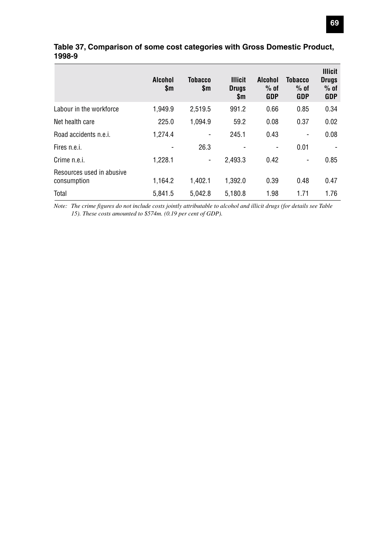|                                          | Alcohol<br>\$m | <b>Tobacco</b><br>\$m | <b>Illicit</b><br><b>Drugs</b><br>\$m | <b>Alcohol</b><br>$%$ of<br>GDP | <b>Tobacco</b><br>$%$ of<br>GDP | <b>Illicit</b><br><b>Drugs</b><br>$%$ of<br><b>GDP</b> |
|------------------------------------------|----------------|-----------------------|---------------------------------------|---------------------------------|---------------------------------|--------------------------------------------------------|
| Labour in the workforce                  | 1,949.9        | 2,519.5               | 991.2                                 | 0.66                            | 0.85                            | 0.34                                                   |
| Net health care                          | 225.0          | 1,094.9               | 59.2                                  | 0.08                            | 0.37                            | 0.02                                                   |
| Road accidents n.e.i.                    | 1,274.4        |                       | 245.1                                 | 0.43                            | $\overline{\phantom{a}}$        | 0.08                                                   |
| Fires n.e.i.                             |                | 26.3                  |                                       | $\overline{\phantom{a}}$        | 0.01                            |                                                        |
| Crime n.e.i.                             | 1,228.1        | ۰                     | 2.493.3                               | 0.42                            | ٠                               | 0.85                                                   |
| Resources used in abusive<br>consumption | 1,164.2        | 1,402.1               | 1.392.0                               | 0.39                            | 0.48                            | 0.47                                                   |
| Total                                    | 5.841.5        | 5.042.8               | 5.180.8                               | 1.98                            | 1.71                            | 1.76                                                   |

#### **Table 37, Comparison of some cost categories with Gross Domestic Product, 1998-9**

*Note: The crime figures do not include costs jointly attributable to alcohol and illicit drugs (for details see Table 15). These costs amounted to \$574m. (0.19 per cent of GDP).*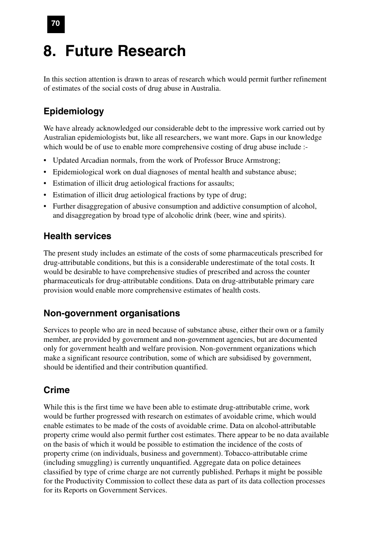# **8. Future Research**

In this section attention is drawn to areas of research which would permit further refinement of estimates of the social costs of drug abuse in Australia.

# **Epidemiology**

We have already acknowledged our considerable debt to the impressive work carried out by Australian epidemiologists but, like all researchers, we want more. Gaps in our knowledge which would be of use to enable more comprehensive costing of drug abuse include :-

- Updated Arcadian normals, from the work of Professor Bruce Armstrong;
- Epidemiological work on dual diagnoses of mental health and substance abuse;
- Estimation of illicit drug aetiological fractions for assaults;
- Estimation of illicit drug aetiological fractions by type of drug;
- Further disaggregation of abusive consumption and addictive consumption of alcohol, and disaggregation by broad type of alcoholic drink (beer, wine and spirits).

### **Health services**

The present study includes an estimate of the costs of some pharmaceuticals prescribed for drug-attributable conditions, but this is a considerable underestimate of the total costs. It would be desirable to have comprehensive studies of prescribed and across the counter pharmaceuticals for drug-attributable conditions. Data on drug-attributable primary care provision would enable more comprehensive estimates of health costs.

## **Non-government organisations**

Services to people who are in need because of substance abuse, either their own or a family member, are provided by government and non-government agencies, but are documented only for government health and welfare provision. Non-government organizations which make a significant resource contribution, some of which are subsidised by government, should be identified and their contribution quantified.

## **Crime**

While this is the first time we have been able to estimate drug-attributable crime, work would be further progressed with research on estimates of avoidable crime, which would enable estimates to be made of the costs of avoidable crime. Data on alcohol-attributable property crime would also permit further cost estimates. There appear to be no data available on the basis of which it would be possible to estimation the incidence of the costs of property crime (on individuals, business and government). Tobacco-attributable crime (including smuggling) is currently unquantified. Aggregate data on police detainees classified by type of crime charge are not currently published. Perhaps it might be possible for the Productivity Commission to collect these data as part of its data collection processes for its Reports on Government Services.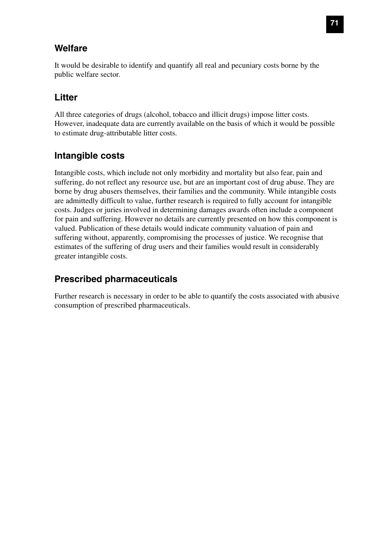### **Welfare**

It would be desirable to identify and quantify all real and pecuniary costs borne by the public welfare sector.

## **Litter**

All three categories of drugs (alcohol, tobacco and illicit drugs) impose litter costs. However, inadequate data are currently available on the basis of which it would be possible to estimate drug-attributable litter costs.

## **Intangible costs**

Intangible costs, which include not only morbidity and mortality but also fear, pain and suffering, do not reflect any resource use, but are an important cost of drug abuse. They are borne by drug abusers themselves, their families and the community. While intangible costs are admittedly difficult to value, further research is required to fully account for intangible costs. Judges or juries involved in determining damages awards often include a component for pain and suffering. However no details are currently presented on how this component is valued. Publication of these details would indicate community valuation of pain and suffering without, apparently, compromising the processes of justice. We recognise that estimates of the suffering of drug users and their families would result in considerably greater intangible costs.

## **Prescribed pharmaceuticals**

Further research is necessary in order to be able to quantify the costs associated with abusive consumption of prescribed pharmaceuticals.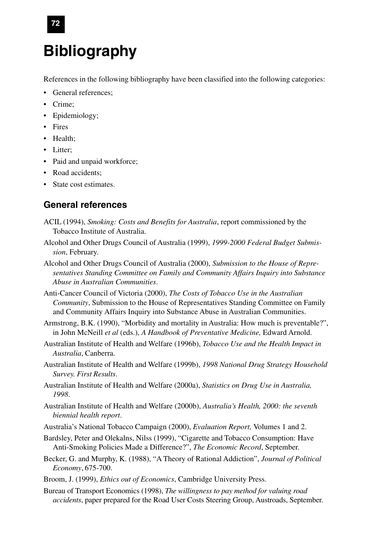# **Bibliography**

References in the following bibliography have been classified into the following categories:

- General references:
- Crime;
- Epidemiology;
- Fires
- Health;
- Litter:
- Paid and unpaid workforce;
- Road accidents:
- State cost estimates.

#### **General references**

- ACIL (1994), *Smoking: Costs and Benefits for Australia*, report commissioned by the Tobacco Institute of Australia.
- Alcohol and Other Drugs Council of Australia (1999), *1999-2000 Federal Budget Submission*, February.
- Alcohol and Other Drugs Council of Australia (2000), *Submission to the House of Representatives Standing Committee on Family and Community Affairs Inquiry into Substance Abuse in Australian Communities*.
- Anti-Cancer Council of Victoria (2000), *The Costs of Tobacco Use in the Australian Community*, Submission to the House of Representatives Standing Committee on Family and Community Affairs Inquiry into Substance Abuse in Australian Communities.
- Armstrong, B.K. (1990), "Morbidity and mortality in Australia: How much is preventable?", in John McNeill *et al* (eds.), *A Handbook of Preventative Medicine,* Edward Arnold.
- Australian Institute of Health and Welfare (1996b), *Tobacco Use and the Health Impact in Australia*, Canberra.
- Australian Institute of Health and Welfare (1999b), *1998 National Drug Strategy Household Survey. First Results*.
- Australian Institute of Health and Welfare (2000a), *Statistics on Drug Use in Australia, 1998*.
- Australian Institute of Health and Welfare (2000b), *Australia's Health, 2000: the seventh biennial health report*.
- Australia's National Tobacco Campaign (2000), *Evaluation Report,* Volumes 1 and 2.
- Bardsley, Peter and Olekalns, Nilss (1999), "Cigarette and Tobacco Consumption: Have Anti-Smoking Policies Made a Difference?", *The Economic Record*, September.
- Becker, G. and Murphy, K. (1988), "A Theory of Rational Addiction", *Journal of Political Economy*, 675-700.
- Broom, J. (1999), *Ethics out of Economics*, Cambridge University Press.
- Bureau of Transport Economics (1998), *The willingness to pay method for valuing road accidents*, paper prepared for the Road User Costs Steering Group, Austroads, September.

**72**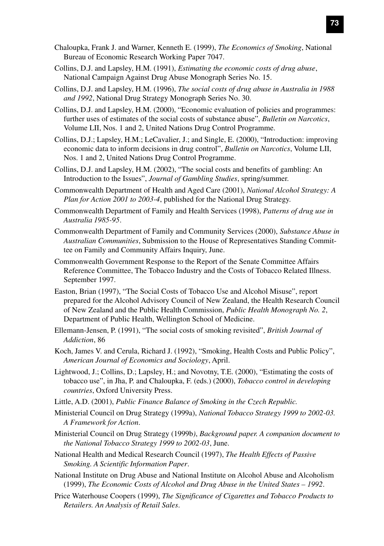- Chaloupka, Frank J. and Warner, Kenneth E. (1999), *The Economics of Smoking*, National Bureau of Economic Research Working Paper 7047.
- Collins, D.J. and Lapsley, H.M. (1991), *Estimating the economic costs of drug abuse*, National Campaign Against Drug Abuse Monograph Series No. 15.
- Collins, D.J. and Lapsley, H.M. (1996), *The social costs of drug abuse in Australia in 1988 and 1992*, National Drug Strategy Monograph Series No. 30.
- Collins, D.J. and Lapsley, H.M. (2000), "Economic evaluation of policies and programmes: further uses of estimates of the social costs of substance abuse", *Bulletin on Narcotics*, Volume LII, Nos. 1 and 2, United Nations Drug Control Programme.
- Collins, D.J.; Lapsley, H.M.; LeCavalier, J.; and Single, E. (2000), "Introduction: improving economic data to inform decisions in drug control", *Bulletin on Narcotics*, Volume LII, Nos. 1 and 2, United Nations Drug Control Programme.
- Collins, D.J. and Lapsley, H.M. (2002), "The social costs and benefits of gambling: An Introduction to the Issues", *Journal of Gambling Studies*, spring/summer.
- Commonwealth Department of Health and Aged Care (2001), *National Alcohol Strategy: A Plan for Action 2001 to 2003-4*, published for the National Drug Strategy.
- Commonwealth Department of Family and Health Services (1998), *Patterns of drug use in Australia 1985-95*.
- Commonwealth Department of Family and Community Services (2000), *Substance Abuse in Australian Communities*, Submission to the House of Representatives Standing Committee on Family and Community Affairs Inquiry, June.
- Commonwealth Government Response to the Report of the Senate Committee Affairs Reference Committee, The Tobacco Industry and the Costs of Tobacco Related Illness. September 1997.
- Easton, Brian (1997), "The Social Costs of Tobacco Use and Alcohol Misuse", report prepared for the Alcohol Advisory Council of New Zealand, the Health Research Council of New Zealand and the Public Health Commission, *Public Health Monograph No. 2*, Department of Public Health, Wellington School of Medicine.
- Ellemann-Jensen, P. (1991), "The social costs of smoking revisited", *British Journal of Addiction*, 86
- Koch, James V. and Cerula, Richard J. (1992), "Smoking, Health Costs and Public Policy", *American Journal of Economics and Sociology*, April.
- Lightwood, J.; Collins, D.; Lapsley, H.; and Novotny, T.E. (2000), "Estimating the costs of tobacco use", in Jha, P. and Chaloupka, F. (eds.) (2000), *Tobacco control in developing countries*, Oxford University Press.
- Little, A.D. (2001), *Public Finance Balance of Smoking in the Czech Republic.*
- Ministerial Council on Drug Strategy (1999a), *National Tobacco Strategy 1999 to 2002-03. A Framework for Action*.
- Ministerial Council on Drug Strategy (1999b*)*, *Background paper. A companion document to the National Tobacco Strategy 1999 to 2002-03*, June.
- National Health and Medical Research Council (1997), *The Health Effects of Passive Smoking. A Scientific Information Paper*.
- National Institute on Drug Abuse and National Institute on Alcohol Abuse and Alcoholism (1999), *The Economic Costs of Alcohol and Drug Abuse in the United States – 1992*.
- Price Waterhouse Coopers (1999), *The Significance of Cigarettes and Tobacco Products to Retailers. An Analysis of Retail Sales*.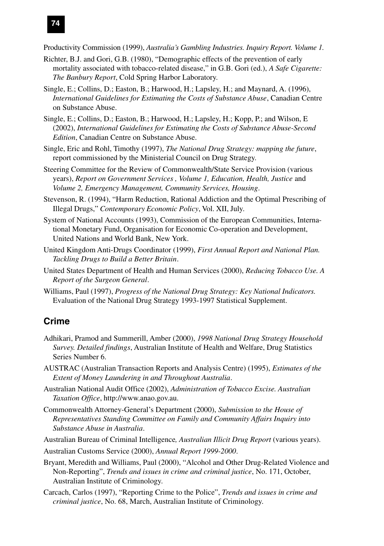

Productivity Commission (1999), *Australia's Gambling Industries. Inquiry Report. Volume 1.*

- Richter, B.J. and Gori, G.B. (1980), "Demographic effects of the prevention of early mortality associated with tobacco-related disease," in G.B. Gori (ed.), *A Safe Cigarette: The Banbury Report*, Cold Spring Harbor Laboratory.
- Single, E.; Collins, D.; Easton, B.; Harwood, H.; Lapsley, H.; and Maynard, A. (1996), *International Guidelines for Estimating the Costs of Substance Abuse*, Canadian Centre on Substance Abuse.
- Single, E.; Collins, D.; Easton, B.; Harwood, H.; Lapsley, H.; Kopp, P.; and Wilson, E (2002), *International Guidelines for Estimating the Costs of Substance Abuse-Second Edition*, Canadian Centre on Substance Abuse.
- Single, Eric and Rohl, Timothy (1997), *The National Drug Strategy: mapping the future*, report commissioned by the Ministerial Council on Drug Strategy.
- Steering Committee for the Review of Commonwealth/State Service Provision (various years), *Report on Government Services , Volume 1, Education, Health, Justice* and *Volume 2, Emergency Management, Community Services, Housing*.
- Stevenson, R. (1994), "Harm Reduction, Rational Addiction and the Optimal Prescribing of Illegal Drugs," *Contemporary Economic Policy*, Vol. XII, July.
- System of National Accounts (1993), Commission of the European Communities, International Monetary Fund, Organisation for Economic Co-operation and Development, United Nations and World Bank, New York.
- United Kingdom Anti-Drugs Coordinator (1999), *First Annual Report and National Plan. Tackling Drugs to Build a Better Britain*.
- United States Department of Health and Human Services (2000), *Reducing Tobacco Use. A Report of the Surgeon General*.
- Williams, Paul (1997), *Progress of the National Drug Strategy: Key National Indicators.* Evaluation of the National Drug Strategy 1993-1997 Statistical Supplement.

#### **Crime**

- Adhikari, Pramod and Summerill, Amber (2000), *1998 National Drug Strategy Household Survey. Detailed findings*, Australian Institute of Health and Welfare, Drug Statistics Series Number 6.
- AUSTRAC (Australian Transaction Reports and Analysis Centre) (1995), *Estimates of the Extent of Money Laundering in and Throughout Australia*.
- Australian National Audit Office (2002), *Administration of Tobacco Excise. Australian Taxation Office*, http://www.anao.gov.au.
- Commonwealth Attorney-General's Department (2000), *Submission to the House of Representatives Standing Committee on Family and Community Affairs Inquiry into Substance Abuse in Australia*.
- Australian Bureau of Criminal Intelligence*, Australian Illicit Drug Report* (various years).
- Australian Customs Service (2000), *Annual Report 1999-2000*.
- Bryant, Meredith and Williams, Paul (2000), "Alcohol and Other Drug-Related Violence and Non-Reporting", *Trends and issues in crime and criminal justice*, No. 171, October, Australian Institute of Criminology.
- Carcach, Carlos (1997), "Reporting Crime to the Police", *Trends and issues in crime and criminal justice*, No. 68, March, Australian Institute of Criminology.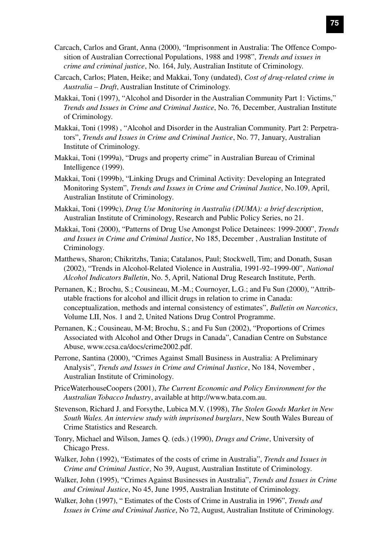- Carcach, Carlos and Grant, Anna (2000), "Imprisonment in Australia: The Offence Composition of Australian Correctional Populations, 1988 and 1998", *Trends and issues in crime and criminal justice*, No. 164, July, Australian Institute of Criminology.
- Carcach, Carlos; Platen, Heike; and Makkai, Tony (undated), *Cost of drug-related crime in Australia – Draft*, Australian Institute of Criminology.
- Makkai, Toni (1997), "Alcohol and Disorder in the Australian Community Part 1: Victims," *Trends and Issues in Crime and Criminal Justice*, No. 76, December, Australian Institute of Criminology.
- Makkai, Toni (1998) , "Alcohol and Disorder in the Australian Community. Part 2: Perpetrators", *Trends and Issues in Crime and Criminal Justice*, No. 77, January, Australian Institute of Criminology.
- Makkai, Toni (1999a), "Drugs and property crime" in Australian Bureau of Criminal Intelligence (1999).
- Makkai, Toni (1999b), "Linking Drugs and Criminal Activity: Developing an Integrated Monitoring System", *Trends and Issues in Crime and Criminal Justice*, No.109, April, Australian Institute of Criminology.
- Makkai, Toni (1999c), *Drug Use Monitoring in Australia (DUMA): a brief description*, Australian Institute of Criminology, Research and Public Policy Series, no 21.
- Makkai, Toni (2000), "Patterns of Drug Use Amongst Police Detainees: 1999-2000", *Trends and Issues in Crime and Criminal Justice*, No 185, December , Australian Institute of Criminology.
- Matthews, Sharon; Chikritzhs, Tania; Catalanos, Paul; Stockwell, Tim; and Donath, Susan (2002), "Trends in Alcohol-Related Violence in Australia, 1991-92–1999-00", *National Alcohol Indicators Bulletin*, No. 5, April, National Drug Research Institute, Perth.
- Pernanen, K.; Brochu, S.; Cousineau, M.-M.; Cournoyer, L.G.; and Fu Sun (2000), "Attributable fractions for alcohol and illicit drugs in relation to crime in Canada: conceptualization, methods and internal consistency of estimates", *Bulletin on Narcotics*, Volume LII, Nos. 1 and 2, United Nations Drug Control Programme.
- Pernanen, K.; Cousineau, M-M; Brochu, S.; and Fu Sun (2002), "Proportions of Crimes Associated with Alcohol and Other Drugs in Canada", Canadian Centre on Substance Abuse, www.ccsa.ca/docs/crime2002.pdf.
- Perrone, Santina (2000), "Crimes Against Small Business in Australia: A Preliminary Analysis", *Trends and Issues in Crime and Criminal Justice*, No 184, November , Australian Institute of Criminology.
- PriceWaterhouseCoopers (2001), *The Current Economic and Policy Environment for the Australian Tobacco Industry*, available at http://www.bata.com.au.
- Stevenson, Richard J. and Forsythe, Lubica M.V. (1998), *The Stolen Goods Market in New South Wales. An interview study with imprisoned burglars*, New South Wales Bureau of Crime Statistics and Research.
- Tonry, Michael and Wilson, James Q. (eds.) (1990), *Drugs and Crime*, University of Chicago Press.
- Walker, John (1992), "Estimates of the costs of crime in Australia", *Trends and Issues in Crime and Criminal Justice*, No 39, August, Australian Institute of Criminology.
- Walker, John (1995), "Crimes Against Businesses in Australia", *Trends and Issues in Crime and Criminal Justice*, No 45, June 1995, Australian Institute of Criminology.
- Walker, John (1997), " Estimates of the Costs of Crime in Australia in 1996", *Trends and Issues in Crime and Criminal Justice*, No 72, August, Australian Institute of Criminology.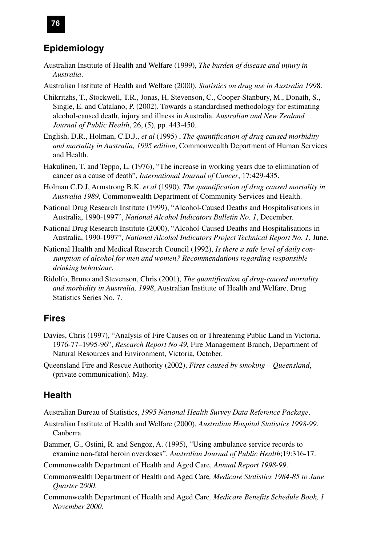### **Epidemiology**

- Australian Institute of Health and Welfare (1999), *The burden of disease and injury in Australia*.
- Australian Institute of Health and Welfare (2000), *Statistics on drug use in Australia 199*8.
- Chikritzhs, T., Stockwell, T.R., Jonas, H, Stevenson, C., Cooper-Stanbury, M., Donath, S., Single, E. and Catalano, P. (2002). Towards a standardised methodology for estimating alcohol-caused death, injury and illness in Australia. *Australian and New Zealand Journal of Public Health*, 26, (5), pp. 443-450.
- English, D.R., Holman, C.D.J., *et al* (1995) , *The quantification of drug caused morbidity and mortality in Australia, 1995 edition*, Commonwealth Department of Human Services and Health.
- Hakulinen, T. and Teppo, L. (1976), "The increase in working years due to elimination of cancer as a cause of death", *International Journal of Cancer*, 17:429-435.
- Holman C.D.J, Armstrong B.K. *et al* (1990), *The quantification of drug caused mortality in Australia 1989*, Commonwealth Department of Community Services and Health.
- National Drug Research Institute (1999), "Alcohol-Caused Deaths and Hospitalisations in Australia, 1990-1997", *National Alcohol Indicators Bulletin No. 1*, December.
- National Drug Research Institute (2000), "Alcohol-Caused Deaths and Hospitalisations in Australia, 1990-1997", *National Alcohol Indicators Project Technical Report No. 1*, June.
- National Health and Medical Research Council (1992), *Is there a safe level of daily consumption of alcohol for men and women? Recommendations regarding responsible drinking behaviour*.
- Ridolfo, Bruno and Stevenson, Chris (2001), *The quantification of drug-caused mortality and morbidity in Australia, 1998*, Australian Institute of Health and Welfare, Drug Statistics Series No. 7.

#### **Fires**

- Davies, Chris (1997), "Analysis of Fire Causes on or Threatening Public Land in Victoria. 1976-77–1995-96", *Research Report No 49*, Fire Management Branch, Department of Natural Resources and Environment, Victoria, October.
- Queensland Fire and Rescue Authority (2002), *Fires caused by smoking Queensland*, (private communication). May.

#### **Health**

- Australian Bureau of Statistics, *1995 National Health Survey Data Reference Package*.
- Australian Institute of Health and Welfare (2000), *Australian Hospital Statistics 1998-99*, Canberra.
- Bammer, G., Ostini, R. and Sengoz, A. (1995), "Using ambulance service records to examine non-fatal heroin overdoses", *Australian Journal of Public Health*;19:316-17.
- Commonwealth Department of Health and Aged Care, *Annual Report 1998-99*.
- Commonwealth Department of Health and Aged Care*, Medicare Statistics 1984-85 to June Quarter 2000*.
- Commonwealth Department of Health and Aged Care*, Medicare Benefits Schedule Book, 1 November 2000.*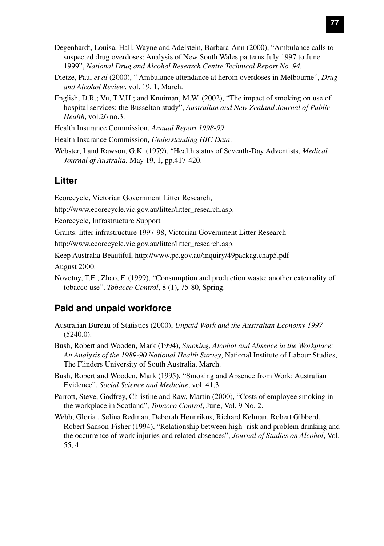- Degenhardt, Louisa, Hall, Wayne and Adelstein, Barbara-Ann (2000), "Ambulance calls to suspected drug overdoses: Analysis of New South Wales patterns July 1997 to June 1999", *National Drug and Alcohol Research Centre Technical Report No. 94.*
- Dietze, Paul *et al* (2000), " Ambulance attendance at heroin overdoses in Melbourne", *Drug and Alcohol Review*, vol. 19, 1, March.
- English, D.R.; Vu, T.V.H.; and Knuiman, M.W. (2002), "The impact of smoking on use of hospital services: the Busselton study", *Australian and New Zealand Journal of Public Health*, vol.26 no.3.
- Health Insurance Commission, *Annual Report 1998-99*.
- Health Insurance Commission, *Understanding HIC Data*.
- Webster, I and Rawson, G.K. (1979), "Health status of Seventh-Day Adventists, *Medical Journal of Australia,* May 19, 1, pp.417-420.

#### **Litter**

Ecorecycle, Victorian Government Litter Research,

http://www.ecorecycle.vic.gov.au/litter/litter\_research.asp.

Ecorecycle, Infrastructure Support

Grants: litter infrastructure 1997-98, Victorian Government Litter Research

http://www.ecorecycle.vic.gov.au/litter/litter\_research.asp.

- Keep Australia Beautiful, http://www.pc.gov.au/inquiry/49packag.chap5.pdf August 2000.
- Novotny, T.E., Zhao, F. (1999), "Consumption and production waste: another externality of tobacco use", *Tobacco Control*, 8 (1), 75-80, Spring.

#### **Paid and unpaid workforce**

- Australian Bureau of Statistics (2000), *Unpaid Work and the Australian Economy 1997* (5240.0).
- Bush, Robert and Wooden, Mark (1994), *Smoking, Alcohol and Absence in the Workplace: An Analysis of the 1989-90 National Health Survey*, National Institute of Labour Studies, The Flinders University of South Australia, March.
- Bush, Robert and Wooden, Mark (1995), "Smoking and Absence from Work: Australian Evidence", *Social Science and Medicine*, vol. 41,3.
- Parrott, Steve, Godfrey, Christine and Raw, Martin (2000), "Costs of employee smoking in the workplace in Scotland", *Tobacco Control*, June, Vol. 9 No. 2.
- Webb, Gloria , Selina Redman, Deborah Hennrikus, Richard Kelman, Robert Gibberd, Robert Sanson-Fisher (1994), "Relationship between high -risk and problem drinking and the occurrence of work injuries and related absences", *Journal of Studies on Alcohol*, Vol. 55, 4.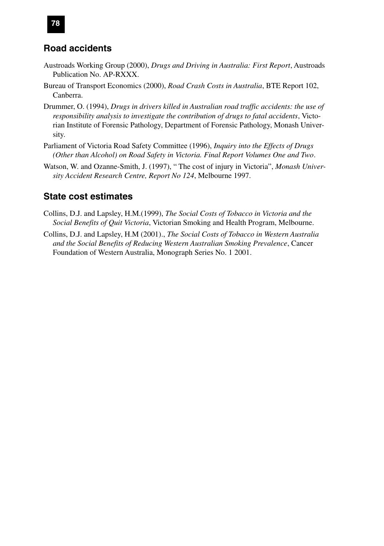#### **Road accidents**

- Austroads Working Group (2000), *Drugs and Driving in Australia: First Report*, Austroads Publication No. AP-RXXX.
- Bureau of Transport Economics (2000), *Road Crash Costs in Australia*, BTE Report 102, Canberra.
- Drummer, O. (1994), *Drugs in drivers killed in Australian road traffic accidents: the use of responsibility analysis to investigate the contribution of drugs to fatal accidents*, Victorian Institute of Forensic Pathology, Department of Forensic Pathology, Monash University.
- Parliament of Victoria Road Safety Committee (1996), *Inquiry into the Effects of Drugs (Other than Alcohol) on Road Safety in Victoria. Final Report Volumes One and Two*.
- Watson, W. and Ozanne-Smith, J. (1997), " The cost of injury in Victoria", *Monash University Accident Research Centre, Report No 124*, Melbourne 1997.

#### **State cost estimates**

- Collins, D.J. and Lapsley, H.M.(1999), *The Social Costs of Tobacco in Victoria and the Social Benefits of Quit Victoria*, Victorian Smoking and Health Program, Melbourne.
- Collins, D.J. and Lapsley, H.M (2001)., *The Social Costs of Tobacco in Western Australia and the Social Benefits of Reducing Western Australian Smoking Prevalence*, Cancer Foundation of Western Australia, Monograph Series No. 1 2001.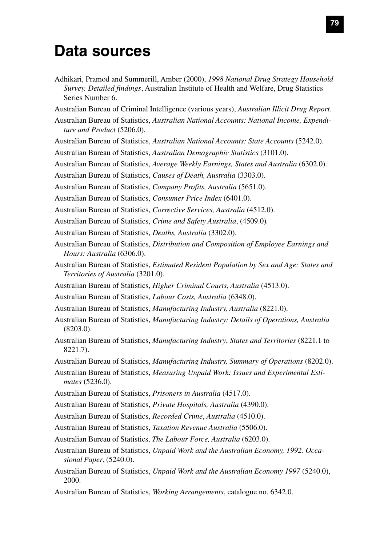# **Data sources**

- Adhikari, Pramod and Summerill, Amber (2000), *1998 National Drug Strategy Household Survey. Detailed findings*, Australian Institute of Health and Welfare, Drug Statistics Series Number 6.
- Australian Bureau of Criminal Intelligence (various years), *Australian Illicit Drug Report*.
- Australian Bureau of Statistics, *Australian National Accounts: National Income, Expenditure and Product* (5206.0).
- Australian Bureau of Statistics, *Australian National Accounts: State Accounts* (5242.0).
- Australian Bureau of Statistics, *Australian Demographic Statistics* (3101.0).
- Australian Bureau of Statistics, *Average Weekly Earnings, States and Australia* (6302.0).
- Australian Bureau of Statistics, *Causes of Death, Australia* (3303.0).
- Australian Bureau of Statistics, *Company Profits, Australia* (5651.0).
- Australian Bureau of Statistics, *Consumer Price Index* (6401.0).
- Australian Bureau of Statistics, *Corrective Services, Australia* (4512.0).
- Australian Bureau of Statistics, *Crime and Safety Australia*, (4509.0)*.*
- Australian Bureau of Statistics, *Deaths, Australia* (3302.0).
- Australian Bureau of Statistics, *Distribution and Composition of Employee Earnings and Hours: Australia* (6306.0).
- Australian Bureau of Statistics, *Estimated Resident Population by Sex and Age: States and Territories of Australia* (3201.0).
- Australian Bureau of Statistics, *Higher Criminal Courts, Australia* (4513.0).
- Australian Bureau of Statistics, *Labour Costs, Australia* (6348.0).
- Australian Bureau of Statistics, *Manufacturing Industry, Australia* (8221.0).
- Australian Bureau of Statistics, *Manufacturing Industry: Details of Operations, Australia* (8203.0).
- Australian Bureau of Statistics, *Manufacturing Industry*, *States and Territories* (8221.1 to 8221.7).
- Australian Bureau of Statistics, *Manufacturing Industry, Summary of Operations* (8202.0).
- Australian Bureau of Statistics, *Measuring Unpaid Work: Issues and Experimental Estimates* (5236.0).
- Australian Bureau of Statistics, *Prisoners in Australia* (4517.0).
- Australian Bureau of Statistics, *Private Hospitals, Australia* (4390.0).
- Australian Bureau of Statistics, *Recorded Crime*, *Australia* (4510.0).
- Australian Bureau of Statistics, *Taxation Revenue Australia* (5506.0).
- Australian Bureau of Statistics, *The Labour Force, Australia* (6203.0).
- Australian Bureau of Statistics, *Unpaid Work and the Australian Economy, 1992. Occasional Paper*, (5240.0).
- Australian Bureau of Statistics, *Unpaid Work and the Australian Economy 1997* (5240.0), 2000.
- Australian Bureau of Statistics, *Working Arrangements*, catalogue no. 6342.0.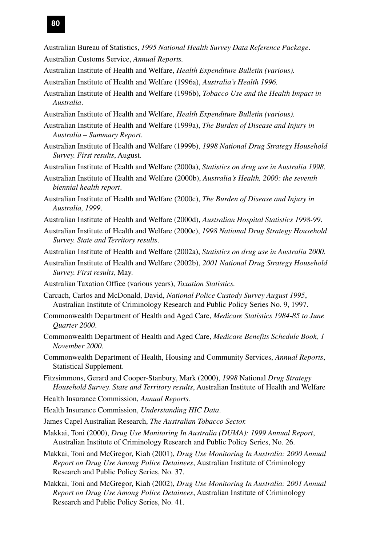- Australian Bureau of Statistics, *1995 National Health Survey Data Reference Package*. Australian Customs Service, *Annual Reports.*
- Australian Institute of Health and Welfare, *Health Expenditure Bulletin (various).*
- Australian Institute of Health and Welfare (1996a), *Australia's Health 1996.*
- Australian Institute of Health and Welfare (1996b), *Tobacco Use and the Health Impact in Australia*.
- Australian Institute of Health and Welfare, *Health Expenditure Bulletin (various).*
- Australian Institute of Health and Welfare (1999a), *The Burden of Disease and Injury in Australia – Summary Report*.
- Australian Institute of Health and Welfare (1999b), *1998 National Drug Strategy Household Survey. First results*, August.
- Australian Institute of Health and Welfare (2000a), *Statistics on drug use in Australia 1998*.
- Australian Institute of Health and Welfare (2000b), *Australia's Health, 2000: the seventh biennial health report*.
- Australian Institute of Health and Welfare (2000c), *The Burden of Disease and Injury in Australia, 1999*.
- Australian Institute of Health and Welfare (2000d), *Australian Hospital Statistics 1998-99*.
- Australian Institute of Health and Welfare (2000e), *1998 National Drug Strategy Household Survey. State and Territory results*.
- Australian Institute of Health and Welfare (2002a), *Statistics on drug use in Australia 2000*.
- Australian Institute of Health and Welfare (2002b), *2001 National Drug Strategy Household Survey. First results*, May.
- Australian Taxation Office (various years), *Taxation Statistics.*
- Carcach, Carlos and McDonald, David, *National Police Custody Survey August 1995*, Australian Institute of Criminology Research and Public Policy Series No. 9, 1997.
- Commonwealth Department of Health and Aged Care, *Medicare Statistics 1984-85 to June Quarter 2000*.
- Commonwealth Department of Health and Aged Care, *Medicare Benefits Schedule Book, 1 November 2000*.
- Commonwealth Department of Health, Housing and Community Services, *Annual Reports*, Statistical Supplement.
- Fitzsimmons, Gerard and Cooper-Stanbury, Mark (2000), *1998* National *Drug Strategy Household Survey. State and Territory results*, Australian Institute of Health and Welfare
- Health Insurance Commission, *Annual Reports.*
- Health Insurance Commission, *Understanding HIC Data*.
- James Capel Australian Research, *The Australian Tobacco Sector.*
- Makkai, Toni (2000), *Drug Use Monitoring In Australia (DUMA): 1999 Annual Report*, Australian Institute of Criminology Research and Public Policy Series, No. 26.
- Makkai, Toni and McGregor, Kiah (2001), *Drug Use Monitoring In Australia: 2000 Annual Report on Drug Use Among Police Detainees*, Australian Institute of Criminology Research and Public Policy Series, No. 37.
- Makkai, Toni and McGregor, Kiah (2002), *Drug Use Monitoring In Australia: 2001 Annual Report on Drug Use Among Police Detainees*, Australian Institute of Criminology Research and Public Policy Series, No. 41.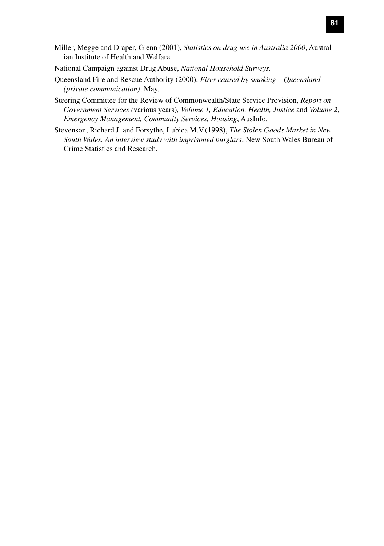- Miller, Megge and Draper, Glenn (2001), *Statistics on drug use in Australia 2000*, Australian Institute of Health and Welfare.
- National Campaign against Drug Abuse, *National Household Surveys.*
- Queensland Fire and Rescue Authority (2000), *Fires caused by smoking Queensland (private communication)*, May.
- Steering Committee for the Review of Commonwealth/State Service Provision, *Report on Government Services (*various years)*, Volume 1, Education, Health, Justice* and *Volume 2, Emergency Management, Community Services, Housing*, AusInfo.
- Stevenson, Richard J. and Forsythe, Lubica M.V.(1998), *The Stolen Goods Market in New South Wales. An interview study with imprisoned burglars*, New South Wales Bureau of Crime Statistics and Research.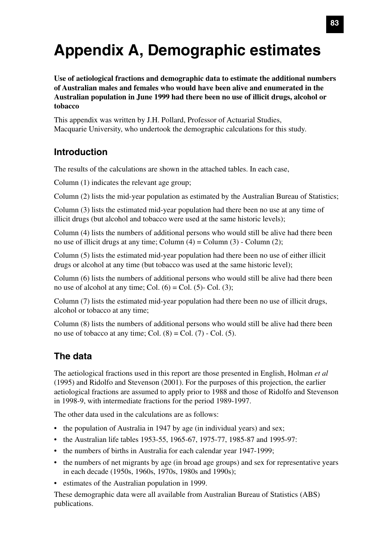# **Appendix A, Demographic estimates**

**Use of aetiological fractions and demographic data to estimate the additional numbers of Australian males and females who would have been alive and enumerated in the Australian population in June 1999 had there been no use of illicit drugs, alcohol or tobacco**

This appendix was written by J.H. Pollard, Professor of Actuarial Studies, Macquarie University, who undertook the demographic calculations for this study.

#### **Introduction**

The results of the calculations are shown in the attached tables. In each case,

Column (1) indicates the relevant age group;

Column (2) lists the mid-year population as estimated by the Australian Bureau of Statistics;

Column (3) lists the estimated mid-year population had there been no use at any time of illicit drugs (but alcohol and tobacco were used at the same historic levels);

Column (4) lists the numbers of additional persons who would still be alive had there been no use of illicit drugs at any time; Column  $(4)$  = Column  $(3)$  - Column  $(2)$ ;

Column (5) lists the estimated mid-year population had there been no use of either illicit drugs or alcohol at any time (but tobacco was used at the same historic level);

Column (6) lists the numbers of additional persons who would still be alive had there been no use of alcohol at any time; Col.  $(6) = Col. (5)$ - Col.  $(3)$ ;

Column (7) lists the estimated mid-year population had there been no use of illicit drugs, alcohol or tobacco at any time;

Column (8) lists the numbers of additional persons who would still be alive had there been no use of tobacco at any time; Col.  $(8) =$  Col.  $(7)$  - Col.  $(5)$ .

## **The data**

The aetiological fractions used in this report are those presented in English, Holman *et al* (1995) and Ridolfo and Stevenson (2001). For the purposes of this projection, the earlier aetiological fractions are assumed to apply prior to 1988 and those of Ridolfo and Stevenson in 1998-9, with intermediate fractions for the period 1989-1997.

The other data used in the calculations are as follows:

- the population of Australia in 1947 by age (in individual years) and sex;
- the Australian life tables 1953-55, 1965-67, 1975-77, 1985-87 and 1995-97:
- the numbers of births in Australia for each calendar year 1947-1999;
- the numbers of net migrants by age (in broad age groups) and sex for representative years in each decade (1950s, 1960s, 1970s, 1980s and 1990s);
- estimates of the Australian population in 1999.

These demographic data were all available from Australian Bureau of Statistics (ABS) publications.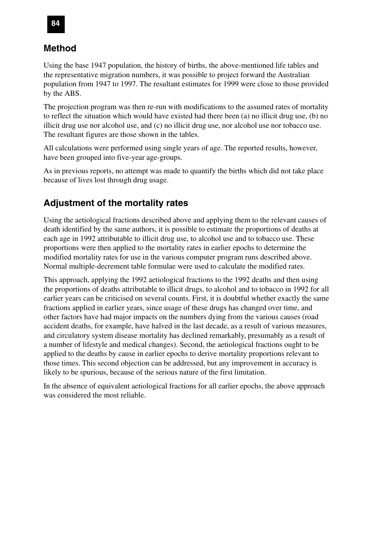### **Method**

Using the base 1947 population, the history of births, the above-mentioned life tables and the representative migration numbers, it was possible to project forward the Australian population from 1947 to 1997. The resultant estimates for 1999 were close to those provided by the ABS.

The projection program was then re-run with modifications to the assumed rates of mortality to reflect the situation which would have existed had there been (a) no illicit drug use, (b) no illicit drug use nor alcohol use, and (c) no illicit drug use, nor alcohol use nor tobacco use. The resultant figures are those shown in the tables.

All calculations were performed using single years of age. The reported results, however, have been grouped into five-year age-groups.

As in previous reports, no attempt was made to quantify the births which did not take place because of lives lost through drug usage.

#### **Adjustment of the mortality rates**

Using the aetiological fractions described above and applying them to the relevant causes of death identified by the same authors, it is possible to estimate the proportions of deaths at each age in 1992 attributable to illicit drug use, to alcohol use and to tobacco use. These proportions were then applied to the mortality rates in earlier epochs to determine the modified mortality rates for use in the various computer program runs described above. Normal multiple-decrement table formulae were used to calculate the modified rates.

This approach, applying the 1992 aetiological fractions to the 1992 deaths and then using the proportions of deaths attributable to illicit drugs, to alcohol and to tobacco in 1992 for all earlier years can be criticised on several counts. First, it is doubtful whether exactly the same fractions applied in earlier years, since usage of these drugs has changed over time, and other factors have had major impacts on the numbers dying from the various causes (road accident deaths, for example, have halved in the last decade, as a result of various measures, and circulatory system disease mortality has declined remarkably, presumably as a result of a number of lifestyle and medical changes). Second, the aetiological fractions ought to be applied to the deaths by cause in earlier epochs to derive mortality proportions relevant to those times. This second objection can be addressed, but any improvement in accuracy is likely to be spurious, because of the serious nature of the first limitation.

In the absence of equivalent aetiological fractions for all earlier epochs, the above approach was considered the most reliable.

#### **84**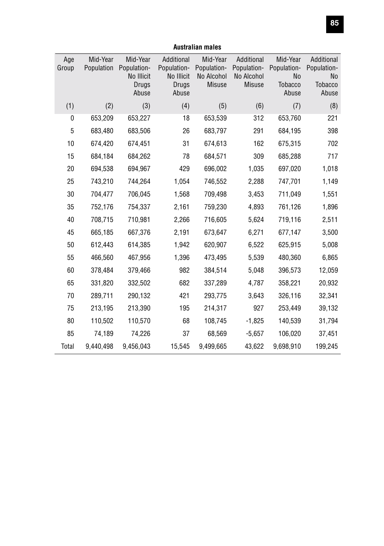| Age<br>Group | Mid-Year<br>Population | Mid-Year<br>Population-<br>No Illicit<br>Drugs<br>Abuse | Additional<br>Population-<br>No Illicit<br>Drugs<br>Abuse | Mid-Year<br>Population-<br>No Alcohol<br><b>Misuse</b> | Additional<br>Population-<br>No Alcohol<br><b>Misuse</b> | Mid-Year<br>Population-<br><b>No</b><br>Tobacco<br>Abuse | Additional<br>Population-<br><b>No</b><br><b>Tobacco</b><br>Abuse |
|--------------|------------------------|---------------------------------------------------------|-----------------------------------------------------------|--------------------------------------------------------|----------------------------------------------------------|----------------------------------------------------------|-------------------------------------------------------------------|
| (1)          | (2)                    | (3)                                                     | (4)                                                       | (5)                                                    | (6)                                                      | (7)                                                      | (8)                                                               |
| 0            | 653,209                | 653,227                                                 | 18                                                        | 653,539                                                | 312                                                      | 653,760                                                  | 221                                                               |
| $\mathbf 5$  | 683,480                | 683,506                                                 | 26                                                        | 683,797                                                | 291                                                      | 684,195                                                  | 398                                                               |
| 10           | 674,420                | 674,451                                                 | 31                                                        | 674,613                                                | 162                                                      | 675,315                                                  | 702                                                               |
| 15           | 684,184                | 684,262                                                 | 78                                                        | 684,571                                                | 309                                                      | 685,288                                                  | 717                                                               |
| 20           | 694,538                | 694,967                                                 | 429                                                       | 696,002                                                | 1,035                                                    | 697,020                                                  | 1,018                                                             |
| 25           | 743,210                | 744,264                                                 | 1,054                                                     | 746,552                                                | 2,288                                                    | 747,701                                                  | 1,149                                                             |
| 30           | 704,477                | 706,045                                                 | 1,568                                                     | 709,498                                                | 3,453                                                    | 711,049                                                  | 1,551                                                             |
| 35           | 752,176                | 754,337                                                 | 2,161                                                     | 759,230                                                | 4,893                                                    | 761,126                                                  | 1,896                                                             |
| 40           | 708,715                | 710,981                                                 | 2,266                                                     | 716,605                                                | 5,624                                                    | 719,116                                                  | 2,511                                                             |
| 45           | 665,185                | 667,376                                                 | 2,191                                                     | 673,647                                                | 6,271                                                    | 677,147                                                  | 3,500                                                             |
| 50           | 612,443                | 614,385                                                 | 1,942                                                     | 620,907                                                | 6,522                                                    | 625,915                                                  | 5,008                                                             |
| 55           | 466,560                | 467,956                                                 | 1,396                                                     | 473,495                                                | 5,539                                                    | 480,360                                                  | 6,865                                                             |
| 60           | 378,484                | 379,466                                                 | 982                                                       | 384,514                                                | 5,048                                                    | 396,573                                                  | 12,059                                                            |
| 65           | 331,820                | 332,502                                                 | 682                                                       | 337,289                                                | 4,787                                                    | 358,221                                                  | 20,932                                                            |
| 70           | 289,711                | 290,132                                                 | 421                                                       | 293,775                                                | 3,643                                                    | 326,116                                                  | 32,341                                                            |
| 75           | 213,195                | 213,390                                                 | 195                                                       | 214,317                                                | 927                                                      | 253,449                                                  | 39,132                                                            |
| 80           | 110,502                | 110,570                                                 | 68                                                        | 108,745                                                | $-1,825$                                                 | 140,539                                                  | 31,794                                                            |
| 85           | 74,189                 | 74,226                                                  | 37                                                        | 68,569                                                 | $-5,657$                                                 | 106,020                                                  | 37,451                                                            |
| Total        | 9,440,498              | 9,456,043                                               | 15,545                                                    | 9,499,665                                              | 43,622                                                   | 9,698,910                                                | 199,245                                                           |

#### **Australian males**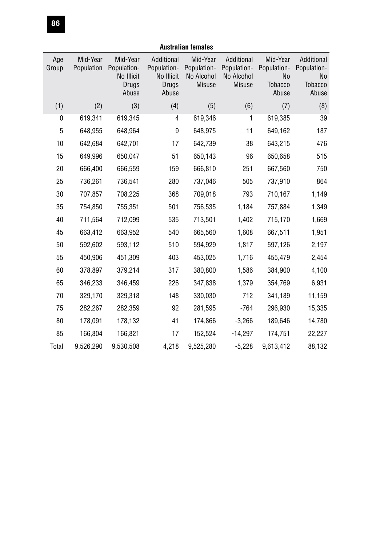| <b>Australian females</b> |                        |                                                         |                                                           |                                                        |                                                          |                                                          |                                                            |
|---------------------------|------------------------|---------------------------------------------------------|-----------------------------------------------------------|--------------------------------------------------------|----------------------------------------------------------|----------------------------------------------------------|------------------------------------------------------------|
| Age<br>Group              | Mid-Year<br>Population | Mid-Year<br>Population-<br>No Illicit<br>Drugs<br>Abuse | Additional<br>Population-<br>No Illicit<br>Drugs<br>Abuse | Mid-Year<br>Population-<br>No Alcohol<br><b>Misuse</b> | Additional<br>Population-<br>No Alcohol<br><b>Misuse</b> | Mid-Year<br>Population-<br>No<br><b>Tobacco</b><br>Abuse | Additional<br>Population-<br>No<br><b>Tobacco</b><br>Abuse |
| (1)                       | (2)                    | (3)                                                     | (4)                                                       | (5)                                                    | (6)                                                      | (7)                                                      | (8)                                                        |
| 0                         | 619,341                | 619,345                                                 | 4                                                         | 619,346                                                | 1                                                        | 619,385                                                  | 39                                                         |
| 5                         | 648,955                | 648,964                                                 | 9                                                         | 648,975                                                | 11                                                       | 649,162                                                  | 187                                                        |
| 10                        | 642,684                | 642,701                                                 | 17                                                        | 642,739                                                | 38                                                       | 643,215                                                  | 476                                                        |
| 15                        | 649,996                | 650,047                                                 | 51                                                        | 650,143                                                | 96                                                       | 650,658                                                  | 515                                                        |
| 20                        | 666,400                | 666,559                                                 | 159                                                       | 666,810                                                | 251                                                      | 667,560                                                  | 750                                                        |
| 25                        | 736,261                | 736,541                                                 | 280                                                       | 737,046                                                | 505                                                      | 737,910                                                  | 864                                                        |
| 30                        | 707,857                | 708,225                                                 | 368                                                       | 709,018                                                | 793                                                      | 710,167                                                  | 1,149                                                      |
| 35                        | 754,850                | 755,351                                                 | 501                                                       | 756,535                                                | 1,184                                                    | 757,884                                                  | 1,349                                                      |
| 40                        | 711,564                | 712,099                                                 | 535                                                       | 713,501                                                | 1,402                                                    | 715,170                                                  | 1,669                                                      |
| 45                        | 663,412                | 663,952                                                 | 540                                                       | 665,560                                                | 1,608                                                    | 667,511                                                  | 1,951                                                      |
| 50                        | 592,602                | 593,112                                                 | 510                                                       | 594,929                                                | 1,817                                                    | 597,126                                                  | 2,197                                                      |
| 55                        | 450,906                | 451,309                                                 | 403                                                       | 453,025                                                | 1,716                                                    | 455,479                                                  | 2,454                                                      |
| 60                        | 378,897                | 379,214                                                 | 317                                                       | 380,800                                                | 1,586                                                    | 384,900                                                  | 4,100                                                      |
| 65                        | 346,233                | 346,459                                                 | 226                                                       | 347,838                                                | 1,379                                                    | 354,769                                                  | 6,931                                                      |
| 70                        | 329,170                | 329,318                                                 | 148                                                       | 330,030                                                | 712                                                      | 341,189                                                  | 11,159                                                     |
| 75                        | 282,267                | 282,359                                                 | 92                                                        | 281,595                                                | $-764$                                                   | 296,930                                                  | 15,335                                                     |
| 80                        | 178,091                | 178,132                                                 | 41                                                        | 174,866                                                | $-3,266$                                                 | 189,646                                                  | 14,780                                                     |
| 85                        | 166,804                | 166,821                                                 | 17                                                        | 152,524                                                | $-14,297$                                                | 174,751                                                  | 22,227                                                     |
| Total                     | 9,526,290              | 9,530,508                                               | 4,218                                                     | 9,525,280                                              | $-5,228$                                                 | 9,613,412                                                | 88,132                                                     |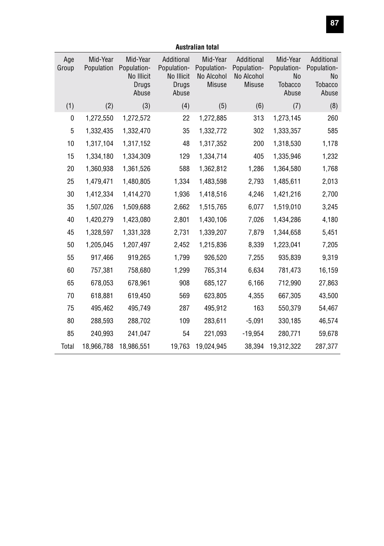| Age<br>Group | Mid-Year<br>Population | Mid-Year<br>Population-<br>No Illicit<br>Drugs<br>Abuse | Additional<br>Population-<br>No Illicit<br>Drugs<br>Abuse | Mid-Year<br>Population-<br>No Alcohol<br><b>Misuse</b> | Additional<br>Population-<br>No Alcohol<br><b>Misuse</b> | Mid-Year<br>Population-<br><b>No</b><br><b>Tobacco</b><br>Abuse | Additional<br>Population-<br>No<br><b>Tobacco</b><br>Abuse |
|--------------|------------------------|---------------------------------------------------------|-----------------------------------------------------------|--------------------------------------------------------|----------------------------------------------------------|-----------------------------------------------------------------|------------------------------------------------------------|
| (1)          | (2)                    | (3)                                                     | (4)                                                       | (5)                                                    | (6)                                                      | (7)                                                             | (8)                                                        |
| 0            | 1,272,550              | 1,272,572                                               | 22                                                        | 1,272,885                                              | 313                                                      | 1,273,145                                                       | 260                                                        |
| 5            | 1,332,435              | 1,332,470                                               | 35                                                        | 1,332,772                                              | 302                                                      | 1,333,357                                                       | 585                                                        |
| 10           | 1,317,104              | 1,317,152                                               | 48                                                        | 1,317,352                                              | 200                                                      | 1,318,530                                                       | 1,178                                                      |
| 15           | 1,334,180              | 1,334,309                                               | 129                                                       | 1,334,714                                              | 405                                                      | 1,335,946                                                       | 1,232                                                      |
| 20           | 1,360,938              | 1,361,526                                               | 588                                                       | 1,362,812                                              | 1,286                                                    | 1,364,580                                                       | 1,768                                                      |
| 25           | 1,479,471              | 1,480,805                                               | 1,334                                                     | 1,483,598                                              | 2,793                                                    | 1,485,611                                                       | 2,013                                                      |
| 30           | 1,412,334              | 1,414,270                                               | 1,936                                                     | 1,418,516                                              | 4,246                                                    | 1,421,216                                                       | 2,700                                                      |
| 35           | 1,507,026              | 1,509,688                                               | 2,662                                                     | 1,515,765                                              | 6,077                                                    | 1,519,010                                                       | 3,245                                                      |
| 40           | 1,420,279              | 1,423,080                                               | 2,801                                                     | 1,430,106                                              | 7,026                                                    | 1,434,286                                                       | 4,180                                                      |
| 45           | 1,328,597              | 1,331,328                                               | 2,731                                                     | 1,339,207                                              | 7,879                                                    | 1,344,658                                                       | 5,451                                                      |
| 50           | 1,205,045              | 1,207,497                                               | 2,452                                                     | 1,215,836                                              | 8,339                                                    | 1,223,041                                                       | 7,205                                                      |
| 55           | 917,466                | 919,265                                                 | 1,799                                                     | 926,520                                                | 7,255                                                    | 935,839                                                         | 9,319                                                      |
| 60           | 757,381                | 758,680                                                 | 1,299                                                     | 765,314                                                | 6,634                                                    | 781,473                                                         | 16,159                                                     |
| 65           | 678,053                | 678,961                                                 | 908                                                       | 685,127                                                | 6,166                                                    | 712,990                                                         | 27,863                                                     |
| 70           | 618,881                | 619,450                                                 | 569                                                       | 623,805                                                | 4,355                                                    | 667,305                                                         | 43,500                                                     |
| 75           | 495,462                | 495,749                                                 | 287                                                       | 495,912                                                | 163                                                      | 550,379                                                         | 54,467                                                     |
| 80           | 288,593                | 288,702                                                 | 109                                                       | 283,611                                                | $-5,091$                                                 | 330,185                                                         | 46,574                                                     |
| 85           | 240,993                | 241,047                                                 | 54                                                        | 221,093                                                | $-19,954$                                                | 280,771                                                         | 59,678                                                     |
| Total        | 18,966,788             | 18,986,551                                              | 19,763                                                    | 19,024,945                                             | 38,394                                                   | 19,312,322                                                      | 287,377                                                    |

**Australian total**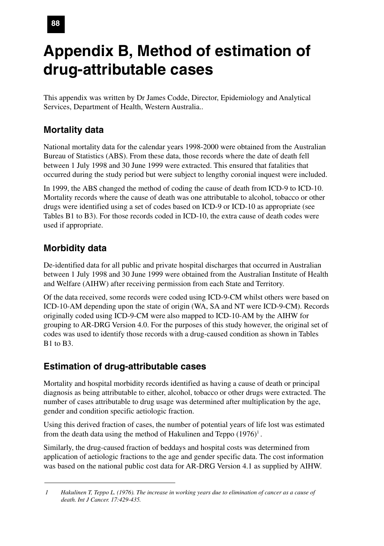# **Appendix B, Method of estimation of drug-attributable cases**

This appendix was written by Dr James Codde, Director, Epidemiology and Analytical Services, Department of Health, Western Australia..

## **Mortality data**

National mortality data for the calendar years 1998-2000 were obtained from the Australian Bureau of Statistics (ABS). From these data, those records where the date of death fell between 1 July 1998 and 30 June 1999 were extracted. This ensured that fatalities that occurred during the study period but were subject to lengthy coronial inquest were included.

In 1999, the ABS changed the method of coding the cause of death from ICD-9 to ICD-10. Mortality records where the cause of death was one attributable to alcohol, tobacco or other drugs were identified using a set of codes based on ICD-9 or ICD-10 as appropriate (see Tables B1 to B3). For those records coded in ICD-10, the extra cause of death codes were used if appropriate.

## **Morbidity data**

De-identified data for all public and private hospital discharges that occurred in Australian between 1 July 1998 and 30 June 1999 were obtained from the Australian Institute of Health and Welfare (AIHW) after receiving permission from each State and Territory.

Of the data received, some records were coded using ICD-9-CM whilst others were based on ICD-10-AM depending upon the state of origin (WA, SA and NT were ICD-9-CM). Records originally coded using ICD-9-CM were also mapped to ICD-10-AM by the AIHW for grouping to AR-DRG Version 4.0. For the purposes of this study however, the original set of codes was used to identify those records with a drug-caused condition as shown in Tables B1 to B3.

## **Estimation of drug-attributable cases**

Mortality and hospital morbidity records identified as having a cause of death or principal diagnosis as being attributable to either, alcohol, tobacco or other drugs were extracted. The number of cases attributable to drug usage was determined after multiplication by the age, gender and condition specific aetiologic fraction.

Using this derived fraction of cases, the number of potential years of life lost was estimated from the death data using the method of Hakulinen and Teppo  $(1976)^1$ .

Similarly, the drug-caused fraction of beddays and hospital costs was determined from application of aetiologic fractions to the age and gender specific data. The cost information was based on the national public cost data for AR-DRG Version 4.1 as supplied by AIHW.

*<sup>1</sup> Hakulinen T, Teppo L. (1976). The increase in working years due to elimination of cancer as a cause of death. Int J Cancer. 17:429-435.*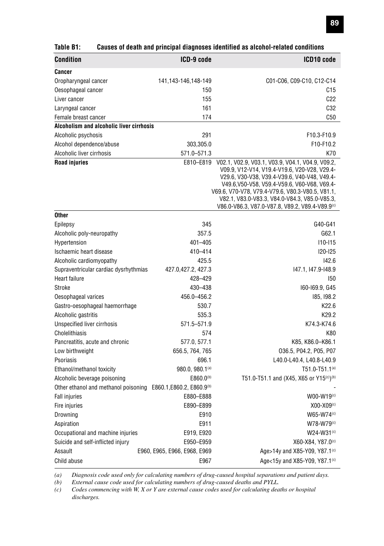| <b>Condition</b>                                                           | ICD-9 code                   | ICD10 code                                                                                       |
|----------------------------------------------------------------------------|------------------------------|--------------------------------------------------------------------------------------------------|
| Cancer                                                                     |                              |                                                                                                  |
| Oropharyngeal cancer                                                       | 141,143-146,148-149          | C01-C06, C09-C10, C12-C14                                                                        |
| Oesophageal cancer                                                         | 150                          | C15                                                                                              |
| Liver cancer                                                               | 155                          | C22                                                                                              |
| Laryngeal cancer                                                           | 161                          | C32                                                                                              |
| Female breast cancer                                                       | 174                          | C50                                                                                              |
| Alcoholism and alcoholic liver cirrhosis                                   |                              |                                                                                                  |
| Alcoholic psychosis                                                        | 291                          | F10.3-F10.9                                                                                      |
| Alcohol dependence/abuse                                                   | 303,305.0                    | F10-F10.2                                                                                        |
| Alcoholic liver cirrhosis                                                  | 571.0-571.3                  | K70                                                                                              |
| <b>Road injuries</b>                                                       | E810-E819                    | V02.1, V02.9, V03.1, V03.9, V04.1, V04.9, V09.2,                                                 |
|                                                                            |                              | V09.9, V12-V14, V19.4-V19.6, V20-V28, V29.4-                                                     |
|                                                                            |                              | V29.6, V30-V38, V39.4-V39.6, V40-V48, V49.4-                                                     |
|                                                                            |                              | V49.6, V50-V58, V59.4-V59.6, V60-V68, V69.4-<br>V69.6, V70-V78, V79.4-V79.6, V80.3-V80.5, V81.1, |
|                                                                            |                              | V82.1, V83.0-V83.3, V84.0-V84.3, V85.0-V85.3,                                                    |
|                                                                            |                              | V86.0-V86.3, V87.0-V87.8, V89.2, V89.4-V89.9 <sup>(c)</sup>                                      |
| <b>Other</b>                                                               |                              |                                                                                                  |
| Epilepsy                                                                   | 345                          | G40-G41                                                                                          |
| Alcoholic poly-neuropathy                                                  | 357.5                        | G62.1                                                                                            |
| Hypertension                                                               | 401-405                      | $110 - 115$                                                                                      |
| Ischaemic heart disease                                                    | 410-414                      | <b>I20-I25</b>                                                                                   |
| Alcoholic cardiomyopathy                                                   | 425.5                        | 142.6                                                                                            |
| Supraventricular cardiac dysrhythmias                                      | 427.0,427.2, 427.3           | 147.1, 147.9-148.9                                                                               |
| <b>Heart failure</b>                                                       | 428-429                      | 150                                                                                              |
| Stroke                                                                     | 430-438                      | I60-I69.9, G45                                                                                   |
| Oesophageal varices                                                        | 456.0-456.2                  | 185, 198.2                                                                                       |
| Gastro-oesophageal haemorrhage                                             | 530.7                        | K22.6                                                                                            |
| Alcoholic gastritis                                                        | 535.3                        | K <sub>29.2</sub>                                                                                |
| Unspecified liver cirrhosis                                                | 571.5-571.9                  | K74.3-K74.6                                                                                      |
| Cholelithiasis                                                             | 574                          | K80                                                                                              |
| Pancreatitis, acute and chronic                                            | 577.0, 577.1                 | K85, K86.0-K86.1                                                                                 |
| Low birthweight                                                            | 656.5, 764, 765              | 036.5, P04.2, P05, P07                                                                           |
| Psoriasis                                                                  | 696.1                        | L40.0-L40.4, L40.8-L40.9                                                                         |
| Ethanol/methanol toxicity                                                  | 980.0, 980.1(a)              | $T51.0 - T51.1^{(a)}$                                                                            |
| Alcoholic beverage poisoning                                               | $E860.0^{(b)}$               | T51.0-T51.1 and (X45, X65 or Y15 <sup>(c)</sup> ) <sup>(b)</sup>                                 |
| Other ethanol and methanol poisoning E860.1, E860.2, E860.9 <sup>(b)</sup> |                              |                                                                                                  |
| <b>Fall injuries</b>                                                       | E880-E888                    | W00-W19(c)                                                                                       |
| Fire injuries                                                              | E890-E899                    | $X00-X09(c)$                                                                                     |
| Drowning                                                                   | E910                         | W65-W74(c)                                                                                       |
| Aspiration                                                                 | E911                         | $W78-W79(c)$                                                                                     |
| Occupational and machine injuries                                          | E919, E920                   | W24-W31 <sup>(c)</sup>                                                                           |
| Suicide and self-inflicted injury                                          | E950-E959                    | X60-X84, Y87.0(c)                                                                                |
| Assault                                                                    | E960, E965, E966, E968, E969 | Age>14y and X85-Y09, Y87.1 <sup>(c)</sup>                                                        |
| Child abuse                                                                | E967                         | Age<15y and X85-Y09, Y87.1 <sup>(c)</sup>                                                        |

#### **Table B1: Causes of death and principal diagnoses identified as alcohol-related conditions**

*(a) Diagnosis code used only for calculating numbers of drug-caused hospital separations and patient days.*

*(b) External cause code used for calculating numbers of drug-caused deaths and PYLL.*

*(c) Codes commencing with W, X or Y are external cause codes used for calculating deaths or hospital discharges.*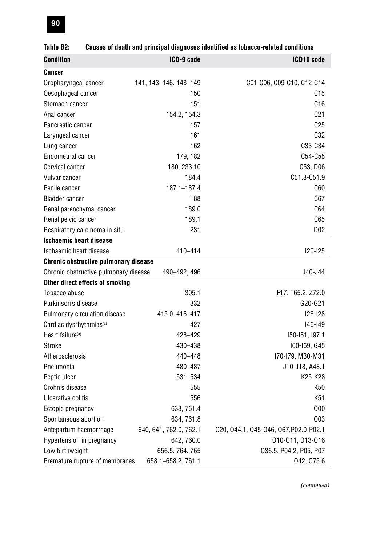|                                       |                       | oausos or uodin anu principai uragnosos luoniniou as iopacco Tolaicu conunions |
|---------------------------------------|-----------------------|--------------------------------------------------------------------------------|
| <b>Condition</b>                      | ICD-9 code            | ICD10 code                                                                     |
| <b>Cancer</b>                         |                       |                                                                                |
| Oropharyngeal cancer                  | 141, 143-146, 148-149 | C01-C06, C09-C10, C12-C14                                                      |
| Oesophageal cancer                    | 150                   | C15                                                                            |
| Stomach cancer                        | 151                   | C16                                                                            |
| Anal cancer                           | 154.2, 154.3          | C <sub>21</sub>                                                                |
| Pancreatic cancer                     | 157                   | C <sub>25</sub>                                                                |
| Laryngeal cancer                      | 161                   | C32                                                                            |
| Lung cancer                           | 162                   | C33-C34                                                                        |
| <b>Endometrial cancer</b>             | 179, 182              | C54-C55                                                                        |
| Cervical cancer                       | 180, 233.10           | C53, D06                                                                       |
| Vulvar cancer                         | 184.4                 | C51.8-C51.9                                                                    |
| Penile cancer                         | 187.1-187.4           | C60                                                                            |
| <b>Bladder cancer</b>                 | 188                   | C67                                                                            |
| Renal parenchymal cancer              | 189.0                 | C64                                                                            |
| Renal pelvic cancer                   | 189.1                 | C65                                                                            |
| Respiratory carcinoma in situ         | 231                   | D <sub>02</sub>                                                                |
| <b>Ischaemic heart disease</b>        |                       |                                                                                |
| Ischaemic heart disease               | 410-414               | 120-125                                                                        |
| Chronic obstructive pulmonary disease |                       |                                                                                |
| Chronic obstructive pulmonary disease | 490-492, 496          | J40-J44                                                                        |
| Other direct effects of smoking       |                       |                                                                                |
| Tobacco abuse                         | 305.1                 | F17, T65.2, Z72.0                                                              |
| Parkinson's disease                   | 332                   | G20-G21                                                                        |
| Pulmonary circulation disease         | 415.0, 416-417        | 126-128                                                                        |
| Cardiac dysrhythmias <sup>(a)</sup>   | 427                   | 146-149                                                                        |
| Heart failure <sup>(a)</sup>          | 428-429               | 150-151, 197.1                                                                 |
| Stroke                                | 430-438               | I60-I69, G45                                                                   |

#### **Table B2: Causes of death and principal diagnoses identified as tobacco-related conditions**

Atherosclerosis 440–448 I70-I79, M30-M31 Pneumonia 480–487 J10-J18, A48.1 Peptic ulcer 531–534 K25-K28 Crohn's disease K50 Ulcerative colitis 650 K51 Ectopic pregnancy 633, 761.4 O00 Spontaneous abortion 634, 761.8 COO3 Antepartum haemorrhage 640, 641, 762.0, 762.1 O20, O44.1, O45-O46, O67,P02.0-P02.1 Hypertension in pregnancy 642, 760.0 010-011, 013-016 Low birthweight 656.5, 764, 765 O36.5, P04.2, P05, P07 Premature rupture of membranes 658.1–658.2, 761.1 042, 075.6

*(continued)*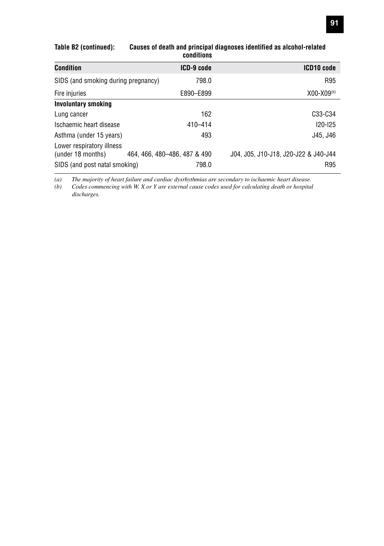| Condition                                      | ICD-9 code                   | ICD10 code                           |
|------------------------------------------------|------------------------------|--------------------------------------|
| SIDS (and smoking during pregnancy)            | 798.0                        | R95                                  |
| Fire injuries                                  | E890-E899                    | $X00-X09(b)$                         |
| <b>Involuntary smoking</b>                     |                              |                                      |
| Lung cancer                                    | 162                          | C33-C34                              |
| Ischaemic heart disease                        | $410 - 414$                  | $120 - 125$                          |
| Asthma (under 15 years)                        | 493                          | J45, J46                             |
| Lower respiratory illness<br>(under 18 months) | 464, 466, 480-486, 487 & 490 | J04, J05, J10-J18, J20-J22 & J40-J44 |
| SIDS (and post natal smoking)                  | 798.0                        | R95                                  |

#### **Table B2 (continued): Causes of death and principal diagnoses identified as alcohol-related conditions**

*(a) The majority of heart failure and cardiac dysrhythmias are secondary to ischaemic heart disease.*

*(b) Codes commencing with W, X or Y are external cause codes used for calculating death or hospital discharges.*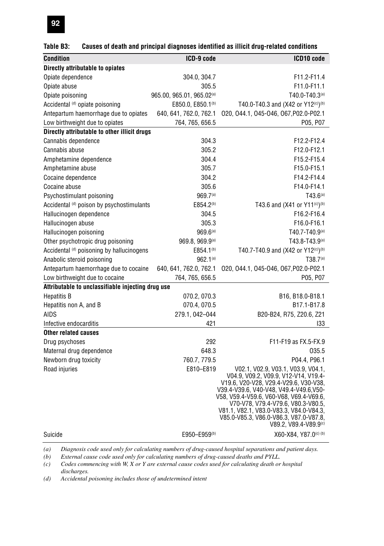| Table B3: |  | Causes of death and principal diagnoses identified as illicit drug-related conditions |  |
|-----------|--|---------------------------------------------------------------------------------------|--|
|           |  |                                                                                       |  |

| <b>Condition</b>                                  | ICD-9 code                    | ICD10 code                                                                    |
|---------------------------------------------------|-------------------------------|-------------------------------------------------------------------------------|
| Directly attributable to opiates                  |                               |                                                                               |
| Opiate dependence                                 | 304.0, 304.7                  | F11.2-F11.4                                                                   |
| Opiate abuse                                      | 305.5                         | F11.0-F11.1                                                                   |
| Opiate poisoning                                  | 965.00, 965.01, 965.02(a)     | T40.0-T40.3(a)                                                                |
| Accidental (d) opiate poisoning                   | E850.0, E850.1 <sup>(b)</sup> | T40.0-T40.3 and (X42 or Y12(c))(b)                                            |
| Antepartum haemorrhage due to opiates             | 640, 641, 762.0, 762.1        | 020, 044.1, 045-046, 067, P02.0-P02.1                                         |
| Low birthweight due to opiates                    | 764, 765, 656.5               | P05, P07                                                                      |
| Directly attributable to other illicit drugs      |                               |                                                                               |
| Cannabis dependence                               | 304.3                         | F12.2-F12.4                                                                   |
| Cannabis abuse                                    | 305.2                         | F12.0-F12.1                                                                   |
| Amphetamine dependence                            | 304.4                         | F15.2-F15.4                                                                   |
| Amphetamine abuse                                 | 305.7                         | F15.0-F15.1                                                                   |
| Cocaine dependence                                | 304.2                         | F14.2-F14.4                                                                   |
| Cocaine abuse                                     | 305.6                         | F14.0-F14.1                                                                   |
| Psychostimulant poisoning                         | 969.7(a)                      | $T43.6^{(a)}$                                                                 |
| Accidental (d) poison by psychostimulants         | E854.2 <sup>(b)</sup>         | T43.6 and (X41 or Y11(c))(b)                                                  |
| Hallucinogen dependence                           | 304.5                         | F16.2-F16.4                                                                   |
| Hallucinogen abuse                                | 305.3                         | F16.0-F16.1                                                                   |
| Hallucinogen poisoning                            | $969.6^{(a)}$                 | $T40.7 - T40.9(a)$                                                            |
| Other psychotropic drug poisoning                 | 969.8, 969.9(a)               | $T43.8 - T43.9(a)$                                                            |
| Accidental (d) poisoning by hallucinogens         | E854.1 <sup>(b)</sup>         | T40.7-T40.9 and (X42 or Y12(c))(b)                                            |
| Anabolic steroid poisoning                        | $962.1^{(a)}$                 | T38.7 <sup>(a)</sup>                                                          |
| Antepartum haemorrhage due to cocaine             | 640, 641, 762.0, 762.1        | 020, 044.1, 045-046, 067, P02.0-P02.1                                         |
| Low birthweight due to cocaine                    | 764, 765, 656.5               | P05, P07                                                                      |
| Attributable to unclassifiable injecting drug use |                               |                                                                               |
| <b>Hepatitis B</b>                                | 070.2, 070.3                  | B16, B18.0-B18.1                                                              |
| Hepatitis non A, and B                            | 070.4, 070.5                  | B <sub>17.1</sub> -B <sub>17.8</sub>                                          |
| AIDS                                              | 279.1, 042-044                | B20-B24, R75, Z20.6, Z21                                                      |
| Infective endocarditis                            | 421                           | 133                                                                           |
| <b>Other related causes</b>                       |                               |                                                                               |
| Drug psychoses                                    | 292                           | F11-F19 as FX.5-FX.9                                                          |
| Maternal drug dependence                          | 648.3                         | 035.5                                                                         |
| Newborn drug toxicity                             | 760.7, 779.5                  | P04.4, P96.1                                                                  |
| Road injuries                                     | E810-E819                     | V02.1, V02.9, V03.1, V03.9, V04.1,                                            |
|                                                   |                               | V04.9, V09.2, V09.9, V12-V14, V19.4-<br>V19.6, V20-V28, V29.4-V29.6, V30-V38, |
|                                                   |                               | V39.4-V39.6, V40-V48, V49.4-V49.6, V50-                                       |
|                                                   |                               | V58, V59.4-V59.6, V60-V68, V69.4-V69.6,                                       |
|                                                   |                               | V70-V78, V79.4-V79.6, V80.3-V80.5,<br>V81.1, V82.1, V83.0-V83.3, V84.0-V84.3, |
|                                                   |                               | V85.0-V85.3, V86.0-V86.3, V87.0-V87.8,                                        |
|                                                   |                               | $V89.2, V89.4-V89.9(c)$                                                       |
| Suicide                                           | E950-E959(b)                  | X60-X84, Y87.0(c) (b)                                                         |

*(a) Diagnosis code used only for calculating numbers of drug-caused hospital separations and patient days.*

*(b) External cause code used only for calculating numbers of drug-caused deaths and PYLL.*

*(c) Codes commencing with W, X or Y are external cause codes used for calculating death or hospital discharges.*

*(d) Accidental poisoning includes those of undetermined intent*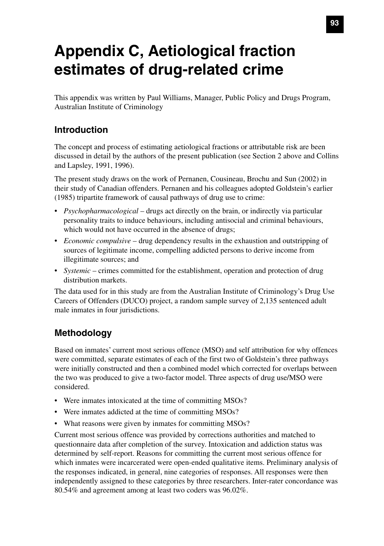# **Appendix C, Aetiological fraction estimates of drug-related crime**

This appendix was written by Paul Williams, Manager, Public Policy and Drugs Program, Australian Institute of Criminology

### **Introduction**

The concept and process of estimating aetiological fractions or attributable risk are been discussed in detail by the authors of the present publication (see Section 2 above and Collins and Lapsley, 1991, 1996).

The present study draws on the work of Pernanen, Cousineau, Brochu and Sun (2002) in their study of Canadian offenders. Pernanen and his colleagues adopted Goldstein's earlier (1985) tripartite framework of causal pathways of drug use to crime:

- *Psychopharmacological* drugs act directly on the brain, or indirectly via particular personality traits to induce behaviours, including antisocial and criminal behaviours, which would not have occurred in the absence of drugs;
- *Economic compulsive* drug dependency results in the exhaustion and outstripping of sources of legitimate income, compelling addicted persons to derive income from illegitimate sources; and
- *Systemic* crimes committed for the establishment, operation and protection of drug distribution markets.

The data used for in this study are from the Australian Institute of Criminology's Drug Use Careers of Offenders (DUCO) project, a random sample survey of 2,135 sentenced adult male inmates in four jurisdictions.

## **Methodology**

Based on inmates' current most serious offence (MSO) and self attribution for why offences were committed, separate estimates of each of the first two of Goldstein's three pathways were initially constructed and then a combined model which corrected for overlaps between the two was produced to give a two-factor model. Three aspects of drug use/MSO were considered.

- Were inmates intoxicated at the time of committing MSOs?
- Were inmates addicted at the time of committing MSOs?
- What reasons were given by inmates for committing MSOs?

Current most serious offence was provided by corrections authorities and matched to questionnaire data after completion of the survey. Intoxication and addiction status was determined by self-report. Reasons for committing the current most serious offence for which inmates were incarcerated were open-ended qualitative items. Preliminary analysis of the responses indicated, in general, nine categories of responses. All responses were then independently assigned to these categories by three researchers. Inter-rater concordance was 80.54% and agreement among at least two coders was 96.02%.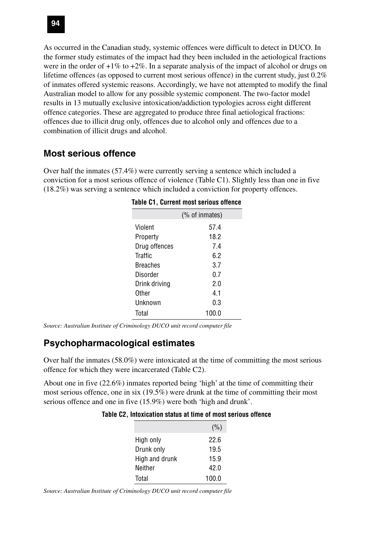As occurred in the Canadian study, systemic offences were difficult to detect in DUCO. In the former study estimates of the impact had they been included in the aetiological fractions were in the order of  $+1\%$  to  $+2\%$ . In a separate analysis of the impact of alcohol or drugs on lifetime offences (as opposed to current most serious offence) in the current study, just 0.2% of inmates offered systemic reasons. Accordingly, we have not attempted to modify the final Australian model to allow for any possible systemic component. The two-factor model results in 13 mutually exclusive intoxication/addiction typologies across eight different offence categories. These are aggregated to produce three final aetiological fractions: offences due to illicit drug only, offences due to alcohol only and offences due to a combination of illicit drugs and alcohol.

### **Most serious offence**

Over half the inmates (57.4%) were currently serving a sentence which included a conviction for a most serious offence of violence (Table C1). Slightly less than one in five (18.2%) was serving a sentence which included a conviction for property offences.

|                 | Table C1, Current most serious offence |
|-----------------|----------------------------------------|
|                 | (% of inmates)                         |
| Violent         | 57.4                                   |
| Property        | 18.2                                   |
| Drug offences   | 7.4                                    |
| <b>Traffic</b>  | 6.2                                    |
| <b>Breaches</b> | 3.7                                    |
| Disorder        | 0.7                                    |
| Drink driving   | 2.0                                    |
| Other           | 4.1                                    |
| Unknown         | 0.3                                    |
| Total           | 100.0                                  |
|                 |                                        |

| <b>Table C1, Current most serious offence</b> |  |  |  |  |  |
|-----------------------------------------------|--|--|--|--|--|
|-----------------------------------------------|--|--|--|--|--|

*Source: Australian Institute of Criminology DUCO unit record computer file*

## **Psychopharmacological estimates**

Over half the inmates (58.0%) were intoxicated at the time of committing the most serious offence for which they were incarcerated (Table C2).

About one in five (22.6%) inmates reported being 'high' at the time of committing their most serious offence, one in six (19.5%) were drunk at the time of committing their most serious offence and one in five (15.9%) were both 'high and drunk'.

|  |  | Table C2, Intoxication status at time of most serious offence |  |  |  |  |  |  |
|--|--|---------------------------------------------------------------|--|--|--|--|--|--|
|--|--|---------------------------------------------------------------|--|--|--|--|--|--|

|                | (% )  |
|----------------|-------|
| High only      | 22.6  |
| Drunk only     | 19.5  |
| High and drunk | 15.9  |
| Neither        | 42.0  |
| Total          | 100.0 |

*Source: Australian Institute of Criminology DUCO unit record computer file*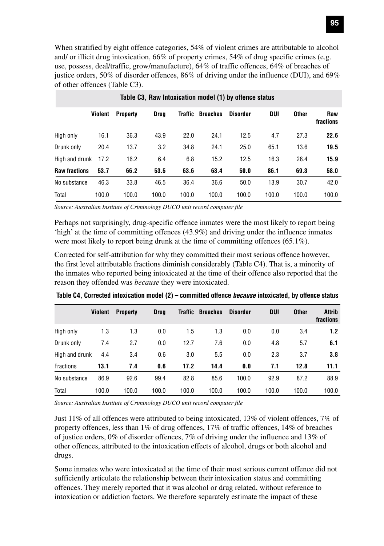When stratified by eight offence categories, 54% of violent crimes are attributable to alcohol and/ or illicit drug intoxication, 66% of property crimes, 54% of drug specific crimes (e.g. use, possess, deal/traffic, grow/manufacture), 64% of traffic offences, 64% of breaches of justice orders, 50% of disorder offences, 86% of driving under the influence (DUI), and 69% of other offences (Table C3).

|                      | Table C3, Raw Intoxication model (1) by offence status |                 |       |         |                 |                 |       |              |                  |  |  |  |  |
|----------------------|--------------------------------------------------------|-----------------|-------|---------|-----------------|-----------------|-------|--------------|------------------|--|--|--|--|
|                      | Violent                                                | <b>Property</b> | Drug  | Traffic | <b>Breaches</b> | <b>Disorder</b> | DUI   | <b>Other</b> | Raw<br>fractions |  |  |  |  |
| High only            | 16.1                                                   | 36.3            | 43.9  | 22.0    | 24.1            | 12.5            | 4.7   | 27.3         | 22.6             |  |  |  |  |
| Drunk only           | 20.4                                                   | 13.7            | 3.2   | 34.8    | 24.1            | 25.0            | 65.1  | 13.6         | 19.5             |  |  |  |  |
| High and drunk       | 17.2                                                   | 16.2            | 6.4   | 6.8     | 15.2            | 12.5            | 16.3  | 28.4         | 15.9             |  |  |  |  |
| <b>Raw fractions</b> | 53.7                                                   | 66.2            | 53.5  | 63.6    | 63.4            | 50.0            | 86.1  | 69.3         | 58.0             |  |  |  |  |
| No substance         | 46.3                                                   | 33.8            | 46.5  | 36.4    | 36.6            | 50.0            | 13.9  | 30.7         | 42.0             |  |  |  |  |
| Total                | 100.0                                                  | 100.0           | 100.0 | 100.0   | 100.0           | 100.0           | 100.0 | 100.0        | 100.0            |  |  |  |  |

*Source: Australian Institute of Criminology DUCO unit record computer file*

Perhaps not surprisingly, drug-specific offence inmates were the most likely to report being 'high' at the time of committing offences (43.9%) and driving under the influence inmates were most likely to report being drunk at the time of committing offences (65.1%).

Corrected for self-attribution for why they committed their most serious offence however, the first level attributable fractions diminish considerably (Table C4). That is, a minority of the inmates who reported being intoxicated at the time of their offence also reported that the reason they offended was *because* they were intoxicated.

|                  | Violent | <b>Property</b> | <b>Drug</b> | Traffic | <b>Breaches</b> | <b>Disorder</b> | <b>DUI</b> | <b>Other</b> | Attrib<br>fractions |
|------------------|---------|-----------------|-------------|---------|-----------------|-----------------|------------|--------------|---------------------|
| High only        | 1.3     | 1.3             | 0.0         | 1.5     | 1.3             | 0.0             | 0.0        | 3.4          | 1.2                 |
| Drunk only       | 7.4     | 2.7             | 0.0         | 12.7    | 7.6             | 0.0             | 4.8        | 5.7          | 6.1                 |
| High and drunk   | 4.4     | 3.4             | 0.6         | 3.0     | 5.5             | 0.0             | 2.3        | 3.7          | 3.8                 |
| <b>Fractions</b> | 13.1    | 7.4             | 0.6         | 17.2    | 14.4            | 0.0             | 7.1        | 12.8         | 11.1                |
| No substance     | 86.9    | 92.6            | 99.4        | 82.8    | 85.6            | 100.0           | 92.9       | 87.2         | 88.9                |
| Total            | 100.0   | 100.0           | 100.0       | 100.0   | 100.0           | 100.0           | 100.0      | 100.0        | 100.0               |

**Table C4, Corrected intoxication model (2) – committed offence because intoxicated, by offence status**

*Source: Australian Institute of Criminology DUCO unit record computer file*

Just 11% of all offences were attributed to being intoxicated, 13% of violent offences, 7% of property offences, less than 1% of drug offences, 17% of traffic offences, 14% of breaches of justice orders, 0% of disorder offences, 7% of driving under the influence and 13% of other offences, attributed to the intoxication effects of alcohol, drugs or both alcohol and drugs.

Some inmates who were intoxicated at the time of their most serious current offence did not sufficiently articulate the relationship between their intoxication status and committing offences. They merely reported that it was alcohol or drug related, without reference to intoxication or addiction factors. We therefore separately estimate the impact of these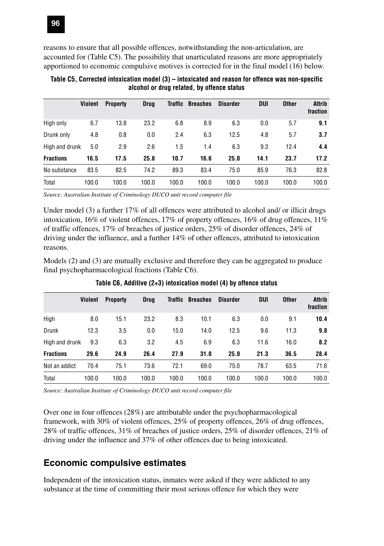reasons to ensure that all possible offences, notwithstanding the non-articulation, are accounted for (Table C5). The possibility that unarticulated reasons are more appropriately apportioned to economic compulsive motives is corrected for in the final model (16) below.

|                  | <b>Violent</b> | <b>Property</b> | <b>Drug</b> | <b>Traffic</b> | <b>Breaches</b> | <b>Disorder</b> | DUI   | <b>Other</b> | Attrib<br>fraction |
|------------------|----------------|-----------------|-------------|----------------|-----------------|-----------------|-------|--------------|--------------------|
| High only        | 6.7            | 13.8            | 23.2        | 6.8            | 8.9             | 6.3             | 0.0   | 5.7          | 9.1                |
| Drunk only       | 4.8            | 0.8             | 0.0         | 2.4            | 6.3             | 12.5            | 4.8   | 5.7          | 3.7                |
| High and drunk   | 5.0            | 2.9             | 2.6         | 1.5            | 1.4             | 6.3             | 9.3   | 12.4         | 4.4                |
| <b>Fractions</b> | 16.5           | 17.5            | 25.8        | 10.7           | 16.6            | 25.0            | 14.1  | 23.7         | 17.2               |
| No substance     | 83.5           | 82.5            | 74.2        | 89.3           | 83.4            | 75.0            | 85.9  | 76.3         | 82.8               |
| Total            | 100.0          | 100.0           | 100.0       | 100.0          | 100.0           | 100.0           | 100.0 | 100.0        | 100.0              |

**Table C5, Corrected intoxication model (3) – intoxicated and reason for offence was non-specific alcohol or drug related, by offence status**

*Source: Australian Institute of Criminology DUCO unit record computer file*

Under model (3) a further 17% of all offences were attributed to alcohol and/ or illicit drugs intoxication, 16% of violent offences, 17% of property offences, 16% of drug offences, 11% of traffic offences, 17% of breaches of justice orders, 25% of disorder offences, 24% of driving under the influence, and a further 14% of other offences, attributed to intoxication reasons.

Models (2) and (3) are mutually exclusive and therefore they can be aggregated to produce final psychopharmacological fractions (Table C6).

|                  | <b>Violent</b> | <b>Property</b> | <b>Drug</b> | Traffic | <b>Breaches</b> | <b>Disorder</b> | <b>DUI</b> | <b>Other</b> | Attrib<br>fraction |
|------------------|----------------|-----------------|-------------|---------|-----------------|-----------------|------------|--------------|--------------------|
| High             | 8.0            | 15.1            | 23.2        | 8.3     | 10.1            | 6.3             | 0.0        | 9.1          | 10.4               |
| Drunk            | 12.3           | 3.5             | 0.0         | 15.0    | 14.0            | 12.5            | 9.6        | 11.3         | 9.8                |
| High and drunk   | 9.3            | 6.3             | 3.2         | 4.5     | 6.9             | 6.3             | 11.6       | 16.0         | 8.2                |
| <b>Fractions</b> | 29.6           | 24.9            | 26.4        | 27.9    | 31.0            | 25.0            | 21.3       | 36.5         | 28.4               |
| Not an addict    | 70.4           | 75.1            | 73.6        | 72.1    | 69.0            | 75.0            | 78.7       | 63.5         | 71.6               |
| Total            | 100.0          | 100.0           | 100.0       | 100.0   | 100.0           | 100.0           | 100.0      | 100.0        | 100.0              |

**Table C6, Additive (2+3) intoxication model (4) by offence status**

*Source: Australian Institute of Criminology DUCO unit record computer file*

Over one in four offences (28%) are attributable under the psychopharmacological framework, with 30% of violent offences, 25% of property offences, 26% of drug offences, 28% of traffic offences, 31% of breaches of justice orders, 25% of disorder offences, 21% of driving under the influence and 37% of other offences due to being intoxicated.

#### **Economic compulsive estimates**

Independent of the intoxication status, inmates were asked if they were addicted to any substance at the time of committing their most serious offence for which they were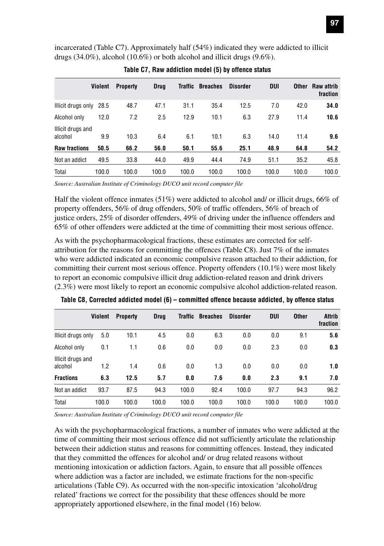incarcerated (Table C7). Approximately half (54%) indicated they were addicted to illicit drugs (34.0%), alcohol (10.6%) or both alcohol and illicit drugs (9.6%).

|                              | <b>Violent</b> | <b>Property</b> | <b>Drua</b> | Traffic | <b>Breaches</b> | <b>Disorder</b> | <b>DUI</b> | Other | <b>Raw attrib</b><br>fraction |
|------------------------------|----------------|-----------------|-------------|---------|-----------------|-----------------|------------|-------|-------------------------------|
| Illicit drugs only           | 28.5           | 48.7            | 47.1        | 31.1    | 35.4            | 12.5            | 7.0        | 42.0  | 34.0                          |
| Alcohol only                 | 12.0           | 7.2             | 2.5         | 12.9    | 10.1            | 6.3             | 27.9       | 11.4  | 10.6                          |
| Illicit drugs and<br>alcohol | 9.9            | 10.3            | 6.4         | 6.1     | 10.1            | 6.3             | 14.0       | 11.4  | 9.6                           |
| <b>Raw fractions</b>         | 50.5           | 66.2            | 56.0        | 50.1    | 55.6            | 25.1            | 48.9       | 64.8  | 54.2                          |
| Not an addict                | 49.5           | 33.8            | 44.0        | 49.9    | 44.4            | 74.9            | 51.1       | 35.2  | 45.8                          |
| Total                        | 100.0          | 100.0           | 100.0       | 100.0   | 100.0           | 100.0           | 100.0      | 100.0 | 100.0                         |
|                              |                |                 |             |         |                 |                 |            |       |                               |

**Table C7, Raw addiction model (5) by offence status**

*Source: Australian Institute of Criminology DUCO unit record computer file*

Half the violent offence inmates (51%) were addicted to alcohol and/ or illicit drugs, 66% of property offenders, 56% of drug offenders, 50% of traffic offenders, 56% of breach of justice orders, 25% of disorder offenders, 49% of driving under the influence offenders and 65% of other offenders were addicted at the time of committing their most serious offence.

As with the psychopharmacological fractions, these estimates are corrected for selfattribution for the reasons for committing the offences (Table C8). Just 7% of the inmates who were addicted indicated an economic compulsive reason attached to their addiction, for committing their current most serious offence. Property offenders (10.1%) were most likely to report an economic compulsive illicit drug addiction-related reason and drink drivers (2.3%) were most likely to report an economic compulsive alcohol addiction-related reason.

|                              | <b>Violent</b> | <b>Property</b> | Drug  | Traffic | <b>Breaches</b> | <b>Disorder</b> | <b>DUI</b> | <b>Other</b> | <b>Attrib</b><br>fraction |
|------------------------------|----------------|-----------------|-------|---------|-----------------|-----------------|------------|--------------|---------------------------|
| Illicit drugs only           | 5.0            | 10.1            | 4.5   | 0.0     | 6.3             | 0.0             | 0.0        | 9.1          | 5.6                       |
| Alcohol only                 | 0.1            | 1.1             | 0.6   | 0.0     | 0.0             | 0.0             | 2.3        | 0.0          | 0.3                       |
| Illicit drugs and<br>alcohol | 1.2            | 1.4             | 0.6   | 0.0     | 1.3             | 0.0             | 0.0        | 0.0          | 1.0                       |
| <b>Fractions</b>             | 6.3            | 12.5            | 5.7   | 0.0     | 7.6             | 0.0             | 2.3        | 9.1          | 7.0                       |
| Not an addict                | 93.7           | 87.5            | 94.3  | 100.0   | 92.4            | 100.0           | 97.7       | 94.3         | 96.2                      |
| Total                        | 100.0          | 100.0           | 100.0 | 100.0   | 100.0           | 100.0           | 100.0      | 100.0        | 100.0                     |

**Table C8, Corrected addicted model (6) – committed offence because addicted, by offence status**

*Source: Australian Institute of Criminology DUCO unit record computer file*

As with the psychopharmacological fractions, a number of inmates who were addicted at the time of committing their most serious offence did not sufficiently articulate the relationship between their addiction status and reasons for committing offences. Instead, they indicated that they committed the offences for alcohol and/ or drug related reasons without mentioning intoxication or addiction factors. Again, to ensure that all possible offences where addiction was a factor are included, we estimate fractions for the non-specific articulations (Table C9). As occurred with the non-specific intoxication 'alcohol/drug related' fractions we correct for the possibility that these offences should be more appropriately apportioned elsewhere, in the final model (16) below.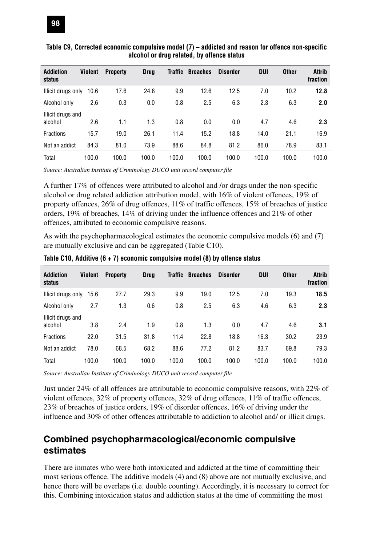| <b>Addiction</b><br>status   | Violent | <b>Property</b> | <b>Drug</b> | Traffic | <b>Breaches</b> | <b>Disorder</b> | DUI   | <b>Other</b> | <b>Attrib</b><br>fraction |
|------------------------------|---------|-----------------|-------------|---------|-----------------|-----------------|-------|--------------|---------------------------|
| Illicit drugs only           | 10.6    | 17.6            | 24.8        | 9.9     | 12.6            | 12.5            | 7.0   | 10.2         | 12.8                      |
| Alcohol only                 | 2.6     | 0.3             | 0.0         | 0.8     | 2.5             | 6.3             | 2.3   | 6.3          | 2.0                       |
| Illicit drugs and<br>alcohol | 2.6     | 1.1             | 1.3         | 0.8     | 0.0             | 0.0             | 4.7   | 4.6          | 2.3                       |
| <b>Fractions</b>             | 15.7    | 19.0            | 26.1        | 11.4    | 15.2            | 18.8            | 14.0  | 21.1         | 16.9                      |
| Not an addict                | 84.3    | 81.0            | 73.9        | 88.6    | 84.8            | 81.2            | 86.0  | 78.9         | 83.1                      |
| Total                        | 100.0   | 100.0           | 100.0       | 100.0   | 100.0           | 100.0           | 100.0 | 100.0        | 100.0                     |

#### **Table C9, Corrected economic compulsive model (7) – addicted and reason for offence non-specific alcohol or drug related, by offence status**

*Source: Australian Institute of Criminology DUCO unit record computer file*

A further 17% of offences were attributed to alcohol and /or drugs under the non-specific alcohol or drug related addiction attribution model, with 16% of violent offences, 19% of property offences, 26% of drug offences, 11% of traffic offences, 15% of breaches of justice orders, 19% of breaches, 14% of driving under the influence offences and 21% of other offences, attributed to economic compulsive reasons.

As with the psychopharmacological estimates the economic compulsive models (6) and (7) are mutually exclusive and can be aggregated (Table C10).

| <b>Addiction</b><br>status   | Violent | <b>Property</b> | Drua  | Traffic | <b>Breaches</b> | Disorder | <b>DUI</b> | <b>Other</b> | Attrib<br>fraction |
|------------------------------|---------|-----------------|-------|---------|-----------------|----------|------------|--------------|--------------------|
| Illicit drugs only           | 15.6    | 27.7            | 29.3  | 9.9     | 19.0            | 12.5     | 7.0        | 19.3         | 18.5               |
| Alcohol only                 | 2.7     | 1.3             | 0.6   | 0.8     | 2.5             | 6.3      | 4.6        | 6.3          | 2.3                |
| Illicit drugs and<br>alcohol | 3.8     | 2.4             | 1.9   | 0.8     | 1.3             | 0.0      | 4.7        | 4.6          | 3.1                |
| <b>Fractions</b>             | 22.0    | 31.5            | 31.8  | 11.4    | 22.8            | 18.8     | 16.3       | 30.2         | 23.9               |
| Not an addict                | 78.0    | 68.5            | 68.2  | 88.6    | 77.2            | 81.2     | 83.7       | 69.8         | 79.3               |
| Total                        | 100.0   | 100.0           | 100.0 | 100.0   | 100.0           | 100.0    | 100.0      | 100.0        | 100.0              |

**Table C10, Additive (6 + 7) economic compulsive model (8) by offence status**

*Source: Australian Institute of Criminology DUCO unit record computer file*

Just under 24% of all offences are attributable to economic compulsive reasons, with 22% of violent offences, 32% of property offences, 32% of drug offences, 11% of traffic offences, 23% of breaches of justice orders, 19% of disorder offences, 16% of driving under the influence and 30% of other offences attributable to addiction to alcohol and/ or illicit drugs.

#### **Combined psychopharmacological/economic compulsive estimates**

There are inmates who were both intoxicated and addicted at the time of committing their most serious offence. The additive models (4) and (8) above are not mutually exclusive, and hence there will be overlaps (i.e. double counting). Accordingly, it is necessary to correct for this. Combining intoxication status and addiction status at the time of committing the most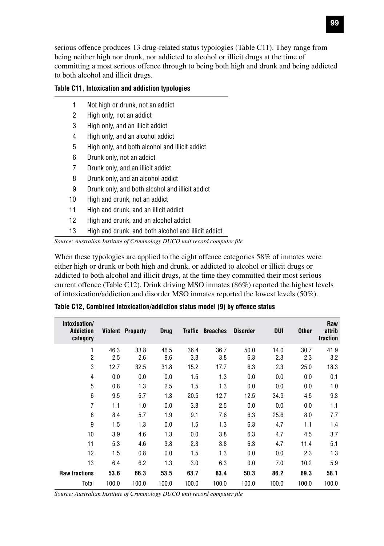serious offence produces 13 drug-related status typologies (Table C11). They range from being neither high nor drunk, nor addicted to alcohol or illicit drugs at the time of committing a most serious offence through to being both high and drunk and being addicted to both alcohol and illicit drugs.

#### **Table C11, Intoxication and addiction typologies**

- 1 Not high or drunk, not an addict
- 2 High only, not an addict
- 3 High only, and an illicit addict
- 4 High only, and an alcohol addict
- 5 High only, and both alcohol and illicit addict
- 6 Drunk only, not an addict
- 7 Drunk only, and an illicit addict
- 8 Drunk only, and an alcohol addict
- 9 Drunk only, and both alcohol and illicit addict
- 10 High and drunk, not an addict
- 11 High and drunk, and an illicit addict
- 12 High and drunk, and an alcohol addict
- 13 High and drunk, and both alcohol and illicit addict

*Source: Australian Institute of Criminology DUCO unit record computer file*

When these typologies are applied to the eight offence categories 58% of inmates were either high or drunk or both high and drunk, or addicted to alcohol or illicit drugs or addicted to both alcohol and illicit drugs, at the time they committed their most serious current offence (Table C12). Drink driving MSO inmates (86%) reported the highest levels of intoxication/addiction and disorder MSO inmates reported the lowest levels (50%).

| Intoxication/<br><b>Addiction</b><br>category | Violent     | <b>Property</b> | <b>Drug</b> | <b>Traffic</b> | <b>Breaches</b> | <b>Disorder</b> | DUI         | <b>Other</b> | Raw<br>attrib<br>fraction |
|-----------------------------------------------|-------------|-----------------|-------------|----------------|-----------------|-----------------|-------------|--------------|---------------------------|
| 1<br>$\overline{2}$                           | 46.3<br>2.5 | 33.8<br>2.6     | 46.5<br>9.6 | 36.4<br>3.8    | 36.7<br>3.8     | 50.0<br>6.3     | 14.0<br>2.3 | 30.7<br>2.3  | 41.9<br>3.2               |
| 3                                             | 12.7        | 32.5            | 31.8        | 15.2           | 17.7            | 6.3             | 2.3         | 25.0         | 18.3                      |
| 4                                             | 0.0         | 0.0             | 0.0         | 1.5            | 1.3             | 0.0             | 0.0         | 0.0          | 0.1                       |
| 5                                             | 0.8         | 1.3             | 2.5         | 1.5            | 1.3             | 0.0             | 0.0         | 0.0          | 1.0                       |
| 6                                             | 9.5         | 5.7             | 1.3         | 20.5           | 12.7            | 12.5            | 34.9        | 4.5          | 9.3                       |
| $\overline{7}$                                | 1.1         | 1.0             | 0.0         | 3.8            | 2.5             | 0.0             | 0.0         | 0.0          | 1.1                       |
| 8                                             | 8.4         | 5.7             | 1.9         | 9.1            | 7.6             | 6.3             | 25.6        | 8.0          | 7.7                       |
| 9                                             | 1.5         | 1.3             | 0.0         | 1.5            | 1.3             | 6.3             | 4.7         | 1.1          | 1.4                       |
| 10                                            | 3.9         | 4.6             | 1.3         | 0.0            | 3.8             | 6.3             | 4.7         | 4.5          | 3.7                       |
| 11                                            | 5.3         | 4.6             | 3.8         | 2.3            | 3.8             | 6.3             | 4.7         | 11.4         | 5.1                       |
| 12                                            | 1.5         | 0.8             | 0.0         | 1.5            | 1.3             | 0.0             | 0.0         | 2.3          | 1.3                       |
| 13                                            | 6.4         | 6.2             | 1.3         | 3.0            | 6.3             | 0.0             | 7.0         | 10.2         | 5.9                       |
| <b>Raw fractions</b>                          | 53.6        | 66.3            | 53.5        | 63.7           | 63.4            | 50.3            | 86.2        | 69.3         | 58.1                      |
| Total                                         | 100.0       | 100.0           | 100.0       | 100.0          | 100.0           | 100.0           | 100.0       | 100.0        | 100.0                     |

**Table C12, Combined intoxication/addiction status model (9) by offence status**

*Source: Australian Institute of Criminology DUCO unit record computer file*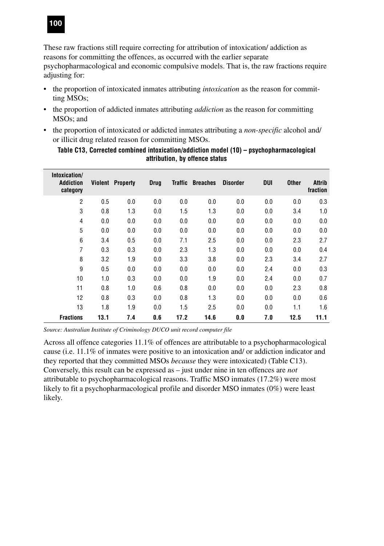

These raw fractions still require correcting for attribution of intoxication/ addiction as reasons for committing the offences, as occurred with the earlier separate psychopharmacological and economic compulsive models. That is, the raw fractions require adjusting for:

- the proportion of intoxicated inmates attributing *intoxication* as the reason for committing MSOs;
- the proportion of addicted inmates attributing *addiction* as the reason for committing MSOs; and
- the proportion of intoxicated or addicted inmates attributing a *non-specific* alcohol and/ or illicit drug related reason for committing MSOs.

| Intoxication/<br><b>Addiction</b><br>category |      | <b>Violent Property</b> | <b>Drug</b> | Traffic | <b>Breaches</b> | <b>Disorder</b> | DUI | <b>Other</b> | <b>Attrib</b><br>fraction |
|-----------------------------------------------|------|-------------------------|-------------|---------|-----------------|-----------------|-----|--------------|---------------------------|
| $\overline{2}$                                | 0.5  | 0.0                     | 0.0         | 0.0     | 0.0             | 0.0             | 0.0 | 0.0          | 0.3                       |
| 3                                             | 0.8  | 1.3                     | 0.0         | 1.5     | 1.3             | 0.0             | 0.0 | 3.4          | 1.0                       |
| 4                                             | 0.0  | 0.0                     | 0.0         | 0.0     | 0.0             | 0.0             | 0.0 | 0.0          | 0.0                       |
| 5                                             | 0.0  | 0.0                     | 0.0         | 0.0     | 0.0             | 0.0             | 0.0 | 0.0          | 0.0                       |
| 6                                             | 3.4  | 0.5                     | 0.0         | 7.1     | 2.5             | 0.0             | 0.0 | 2.3          | 2.7                       |
| $\overline{7}$                                | 0.3  | 0.3                     | 0.0         | 2.3     | 1.3             | 0.0             | 0.0 | 0.0          | 0.4                       |
| 8                                             | 3.2  | 1.9                     | 0.0         | 3.3     | 3.8             | 0.0             | 2.3 | 3.4          | 2.7                       |
| 9                                             | 0.5  | 0.0                     | 0.0         | 0.0     | 0.0             | 0.0             | 2.4 | 0.0          | 0.3                       |
| 10                                            | 1.0  | 0.3                     | 0.0         | 0.0     | 1.9             | 0.0             | 2.4 | 0.0          | 0.7                       |
| 11                                            | 0.8  | 1.0                     | 0.6         | 0.8     | 0.0             | 0.0             | 0.0 | 2.3          | 0.8                       |
| 12                                            | 0.8  | 0.3                     | 0.0         | 0.8     | 1.3             | 0.0             | 0.0 | 0.0          | 0.6                       |
| 13                                            | 1.8  | 1.9                     | 0.0         | 1.5     | 2.5             | 0.0             | 0.0 | 1.1          | 1.6                       |
| <b>Fractions</b>                              | 13.1 | 7.4                     | 0.6         | 17.2    | 14.6            | 0.0             | 7.0 | 12.5         | 11.1                      |

**Table C13, Corrected combined intoxication/addiction model (10) – psychopharmacological attribution, by offence status**

*Source: Australian Institute of Criminology DUCO unit record computer file*

Across all offence categories 11.1% of offences are attributable to a psychopharmacological cause (i.e. 11.1% of inmates were positive to an intoxication and/ or addiction indicator and they reported that they committed MSOs *because* they were intoxicated) (Table C13). Conversely, this result can be expressed as – just under nine in ten offences are *not* attributable to psychopharmacological reasons. Traffic MSO inmates (17.2%) were most likely to fit a psychopharmacological profile and disorder MSO inmates (0%) were least likely.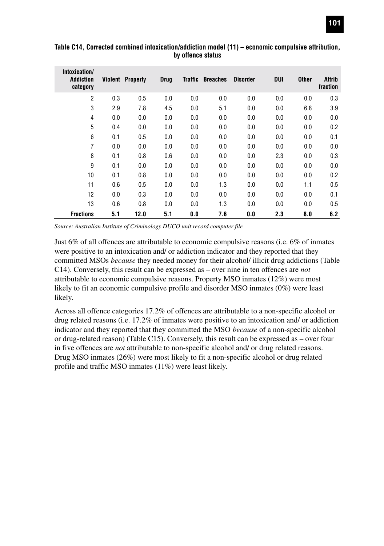| Intoxication/<br><b>Addiction</b><br>category | Violent | <b>Property</b> | <b>Drug</b> | <b>Traffic</b> | <b>Breaches</b> | <b>Disorder</b> | DUI | <b>Other</b> | Attrib<br>fraction |
|-----------------------------------------------|---------|-----------------|-------------|----------------|-----------------|-----------------|-----|--------------|--------------------|
| $\overline{2}$                                | 0.3     | 0.5             | 0.0         | 0.0            | 0.0             | 0.0             | 0.0 | 0.0          | 0.3                |
| 3                                             | 2.9     | 7.8             | 4.5         | 0.0            | 5.1             | 0.0             | 0.0 | 6.8          | 3.9                |
| 4                                             | 0.0     | 0.0             | 0.0         | 0.0            | 0.0             | 0.0             | 0.0 | 0.0          | 0.0                |
| 5                                             | 0.4     | 0.0             | 0.0         | 0.0            | 0.0             | 0.0             | 0.0 | 0.0          | 0.2                |
| 6                                             | 0.1     | 0.5             | 0.0         | 0.0            | 0.0             | 0.0             | 0.0 | 0.0          | 0.1                |
| 7                                             | 0.0     | 0.0             | 0.0         | 0.0            | 0.0             | 0.0             | 0.0 | 0.0          | 0.0                |
| 8                                             | 0.1     | 0.8             | 0.6         | 0.0            | 0.0             | 0.0             | 2.3 | 0.0          | 0.3                |
| 9                                             | 0.1     | 0.0             | 0.0         | 0.0            | 0.0             | 0.0             | 0.0 | 0.0          | 0.0                |
| 10                                            | 0.1     | 0.8             | 0.0         | 0.0            | 0.0             | 0.0             | 0.0 | 0.0          | 0.2                |
| 11                                            | 0.6     | 0.5             | 0.0         | 0.0            | 1.3             | 0.0             | 0.0 | 1.1          | 0.5                |
| 12                                            | 0.0     | 0.3             | 0.0         | 0.0            | 0.0             | 0.0             | 0.0 | 0.0          | 0.1                |
| 13                                            | 0.6     | 0.8             | 0.0         | 0.0            | 1.3             | 0.0             | 0.0 | 0.0          | 0.5                |
| <b>Fractions</b>                              | 5.1     | 12.0            | 5.1         | 0.0            | 7.6             | 0.0             | 2.3 | 8.0          | 6.2                |

**Table C14, Corrected combined intoxication/addiction model (11) – economic compulsive attribution, by offence status**

*Source: Australian Institute of Criminology DUCO unit record computer file*

Just 6% of all offences are attributable to economic compulsive reasons (i.e. 6% of inmates were positive to an intoxication and/ or addiction indicator and they reported that they committed MSOs *because* they needed money for their alcohol/ illicit drug addictions (Table C14). Conversely, this result can be expressed as – over nine in ten offences are *not* attributable to economic compulsive reasons. Property MSO inmates (12%) were most likely to fit an economic compulsive profile and disorder MSO inmates (0%) were least likely.

Across all offence categories 17.2% of offences are attributable to a non-specific alcohol or drug related reasons (i.e. 17.2% of inmates were positive to an intoxication and/ or addiction indicator and they reported that they committed the MSO *because* of a non-specific alcohol or drug-related reason) (Table C15). Conversely, this result can be expressed as – over four in five offences are *not* attributable to non-specific alcohol and/ or drug related reasons. Drug MSO inmates (26%) were most likely to fit a non-specific alcohol or drug related profile and traffic MSO inmates (11%) were least likely.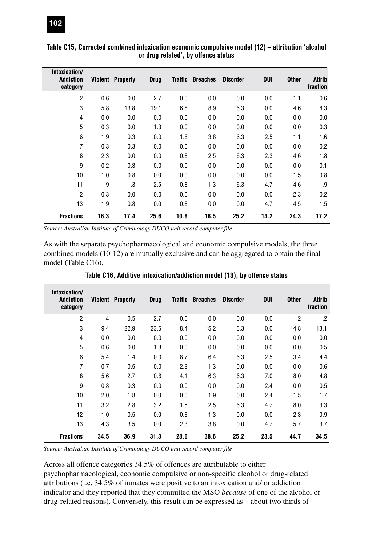| Intoxication/<br><b>Addiction</b><br>category |      | <b>Violent Property</b> | <b>Drug</b> | <b>Traffic</b> | <b>Breaches</b> | <b>Disorder</b> | <b>DUI</b> | <b>Other</b> | <b>Attrib</b><br>fraction |
|-----------------------------------------------|------|-------------------------|-------------|----------------|-----------------|-----------------|------------|--------------|---------------------------|
| $\overline{2}$                                | 0.6  | 0.0                     | 2.7         | 0.0            | 0.0             | 0.0             | 0.0        | 1.1          | 0.6                       |
| 3                                             | 5.8  | 13.8                    | 19.1        | 6.8            | 8.9             | 6.3             | 0.0        | 4.6          | 8.3                       |
| 4                                             | 0.0  | 0.0                     | 0.0         | 0.0            | 0.0             | 0.0             | 0.0        | 0.0          | 0.0                       |
| 5                                             | 0.3  | 0.0                     | 1.3         | 0.0            | 0.0             | 0.0             | 0.0        | 0.0          | 0.3                       |
| 6                                             | 1.9  | 0.3                     | 0.0         | 1.6            | 3.8             | 6.3             | 2.5        | 1.1          | 1.6                       |
| 7                                             | 0.3  | 0.3                     | 0.0         | 0.0            | 0.0             | 0.0             | 0.0        | 0.0          | 0.2                       |
| 8                                             | 2.3  | 0.0                     | 0.0         | 0.8            | 2.5             | 6.3             | 2.3        | 4.6          | 1.8                       |
| 9                                             | 0.2  | 0.3                     | 0.0         | 0.0            | 0.0             | 0.0             | 0.0        | 0.0          | 0.1                       |
| 10                                            | 1.0  | 0.8                     | 0.0         | 0.0            | 0.0             | 0.0             | 0.0        | 1.5          | 0.8                       |
| 11                                            | 1.9  | 1.3                     | 2.5         | 0.8            | 1.3             | 6.3             | 4.7        | 4.6          | 1.9                       |
| $\overline{2}$                                | 0.3  | 0.0                     | 0.0         | 0.0            | 0.0             | 0.0             | 0.0        | 2.3          | 0.2                       |
| 13                                            | 1.9  | 0.8                     | 0.0         | 0.8            | 0.0             | 0.0             | 4.7        | 4.5          | 1.5                       |
| <b>Fractions</b>                              | 16.3 | 17.4                    | 25.6        | 10.8           | 16.5            | 25.2            | 14.2       | 24.3         | 17.2                      |

#### **Table C15, Corrected combined intoxication economic compulsive model (12) – attribution 'alcohol or drug related', by offence status**

*Source: Australian Institute of Criminology DUCO unit record computer file*

As with the separate psychopharmacological and economic compulsive models, the three combined models (10-12) are mutually exclusive and can be aggregated to obtain the final model (Table C16).

| Intoxication/<br><b>Addiction</b><br>category |      | <b>Violent Property</b> | <b>Drug</b> | Traffic | <b>Breaches</b> | <b>Disorder</b> | DUI  | <b>Other</b> | <b>Attrib</b><br>fraction |
|-----------------------------------------------|------|-------------------------|-------------|---------|-----------------|-----------------|------|--------------|---------------------------|
| $\overline{2}$                                | 1.4  | 0.5                     | 2.7         | 0.0     | 0.0             | 0.0             | 0.0  | 1.2          | 1.2                       |
| 3                                             | 9.4  | 22.9                    | 23.5        | 8.4     | 15.2            | 6.3             | 0.0  | 14.8         | 13.1                      |
| 4                                             | 0.0  | 0.0                     | 0.0         | 0.0     | 0.0             | 0.0             | 0.0  | 0.0          | 0.0                       |
| 5                                             | 0.6  | 0.0                     | 1.3         | 0.0     | 0.0             | 0.0             | 0.0  | 0.0          | 0.5                       |
| 6                                             | 5.4  | 1.4                     | 0.0         | 8.7     | 6.4             | 6.3             | 2.5  | 3.4          | 4.4                       |
| 7                                             | 0.7  | 0.5                     | 0.0         | 2.3     | 1.3             | 0.0             | 0.0  | 0.0          | 0.6                       |
| 8                                             | 5.6  | 2.7                     | 0.6         | 4.1     | 6.3             | 6.3             | 7.0  | 8.0          | 4.8                       |
| 9                                             | 0.8  | 0.3                     | 0.0         | 0.0     | 0.0             | 0.0             | 2.4  | 0.0          | 0.5                       |
| 10                                            | 2.0  | 1.8                     | 0.0         | 0.0     | 1.9             | 0.0             | 2.4  | 1.5          | 1.7                       |
| 11                                            | 3.2  | 2.8                     | 3.2         | 1.5     | 2.5             | 6.3             | 4.7  | 8.0          | 3.3                       |
| 12                                            | 1.0  | 0.5                     | 0.0         | 0.8     | 1.3             | 0.0             | 0.0  | 2.3          | 0.9                       |
| 13                                            | 4.3  | 3.5                     | 0.0         | 2.3     | 3.8             | 0.0             | 4.7  | 5.7          | 3.7                       |
| <b>Fractions</b>                              | 34.5 | 36.9                    | 31.3        | 28.0    | 38.6            | 25.2            | 23.5 | 44.7         | 34.5                      |

**Table C16, Additive intoxication/addiction model (13), by offence status**

*Source: Australian Institute of Criminology DUCO unit record computer file*

Across all offence categories 34.5% of offences are attributable to either psychopharmacological, economic compulsive or non-specific alcohol or drug-related attributions (i.e. 34.5% of inmates were positive to an intoxication and/ or addiction indicator and they reported that they committed the MSO *because* of one of the alcohol or drug-related reasons). Conversely, this result can be expressed as – about two thirds of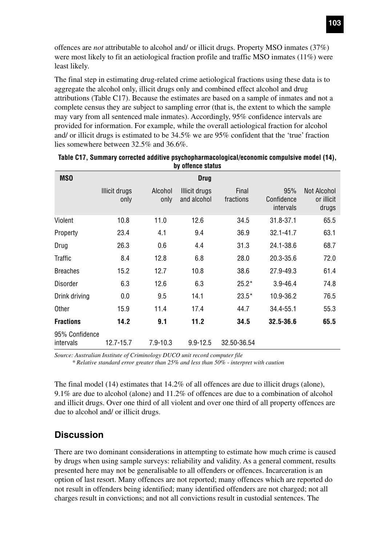offences are *not* attributable to alcohol and/ or illicit drugs. Property MSO inmates (37%) were most likely to fit an aetiological fraction profile and traffic MSO inmates (11%) were least likely.

The final step in estimating drug-related crime aetiological fractions using these data is to aggregate the alcohol only, illicit drugs only and combined effect alcohol and drug attributions (Table C17). Because the estimates are based on a sample of inmates and not a complete census they are subject to sampling error (that is, the extent to which the sample may vary from all sentenced male inmates). Accordingly, 95% confidence intervals are provided for information. For example, while the overall aetiological fraction for alcohol and/ or illicit drugs is estimated to be 34.5% we are 95% confident that the 'true' fraction lies somewhere between 32.5% and 36.6%.

| <b>MSO</b>                  |                       |                 | Drug                         |                    |                                |                                    |
|-----------------------------|-----------------------|-----------------|------------------------------|--------------------|--------------------------------|------------------------------------|
|                             | Illicit drugs<br>only | Alcohol<br>only | Illicit drugs<br>and alcohol | Final<br>fractions | 95%<br>Confidence<br>intervals | Not Alcohol<br>or illicit<br>drugs |
| Violent                     | 10.8                  | 11.0            | 12.6                         | 34.5               | 31.8-37.1                      | 65.5                               |
| Property                    | 23.4                  | 4.1             | 9.4                          | 36.9               | $32.1 - 41.7$                  | 63.1                               |
| Drug                        | 26.3                  | 0.6             | 4.4                          | 31.3               | 24.1-38.6                      | 68.7                               |
| Traffic                     | 8.4                   | 12.8            | 6.8                          | 28.0               | 20.3-35.6                      | 72.0                               |
| <b>Breaches</b>             | 15.2                  | 12.7            | 10.8                         | 38.6               | 27.9-49.3                      | 61.4                               |
| Disorder                    | 6.3                   | 12.6            | 6.3                          | $25.2*$            | $3.9 - 46.4$                   | 74.8                               |
| Drink driving               | 0.0                   | 9.5             | 14.1                         | $23.5*$            | 10.9-36.2                      | 76.5                               |
| Other                       | 15.9                  | 11.4            | 17.4                         | 44.7               | 34.4-55.1                      | 55.3                               |
| <b>Fractions</b>            | 14.2                  | 9.1             | 11.2                         | 34.5               | $32.5 - 36.6$                  | 65.5                               |
| 95% Confidence<br>intervals | 12.7-15.7             | $7.9 - 10.3$    | $9.9 - 12.5$                 | 32.50-36.54        |                                |                                    |

| Table C17, Summary corrected additive psychopharmacological/economic compulsive model (14), |
|---------------------------------------------------------------------------------------------|
| by offence status                                                                           |

*Source: Australian Institute of Criminology DUCO unit record computer file*

*\* Relative standard error greater than 25% and less than 50% - interpret with caution*

The final model (14) estimates that 14.2% of all offences are due to illicit drugs (alone), 9.1% are due to alcohol (alone) and 11.2% of offences are due to a combination of alcohol and illicit drugs. Over one third of all violent and over one third of all property offences are due to alcohol and/ or illicit drugs.

#### **Discussion**

There are two dominant considerations in attempting to estimate how much crime is caused by drugs when using sample surveys: reliability and validity. As a general comment, results presented here may not be generalisable to all offenders or offences. Incarceration is an option of last resort. Many offences are not reported; many offences which are reported do not result in offenders being identified; many identified offenders are not charged; not all charges result in convictions; and not all convictions result in custodial sentences. The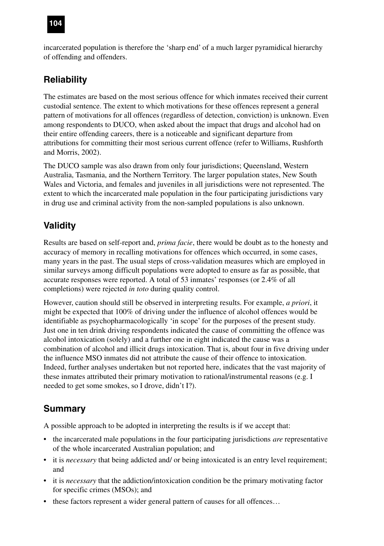# **104**

incarcerated population is therefore the 'sharp end' of a much larger pyramidical hierarchy of offending and offenders.

# **Reliability**

The estimates are based on the most serious offence for which inmates received their current custodial sentence. The extent to which motivations for these offences represent a general pattern of motivations for all offences (regardless of detection, conviction) is unknown. Even among respondents to DUCO, when asked about the impact that drugs and alcohol had on their entire offending careers, there is a noticeable and significant departure from attributions for committing their most serious current offence (refer to Williams, Rushforth and Morris, 2002).

The DUCO sample was also drawn from only four jurisdictions; Queensland, Western Australia, Tasmania, and the Northern Territory. The larger population states, New South Wales and Victoria, and females and juveniles in all jurisdictions were not represented. The extent to which the incarcerated male population in the four participating jurisdictions vary in drug use and criminal activity from the non-sampled populations is also unknown.

# **Validity**

Results are based on self-report and, *prima facie*, there would be doubt as to the honesty and accuracy of memory in recalling motivations for offences which occurred, in some cases, many years in the past. The usual steps of cross-validation measures which are employed in similar surveys among difficult populations were adopted to ensure as far as possible, that accurate responses were reported. A total of 53 inmates' responses (or 2.4% of all completions) were rejected *in toto* during quality control.

However, caution should still be observed in interpreting results. For example, *a priori*, it might be expected that 100% of driving under the influence of alcohol offences would be identifiable as psychopharmacologically 'in scope' for the purposes of the present study. Just one in ten drink driving respondents indicated the cause of committing the offence was alcohol intoxication (solely) and a further one in eight indicated the cause was a combination of alcohol and illicit drugs intoxication. That is, about four in five driving under the influence MSO inmates did not attribute the cause of their offence to intoxication. Indeed, further analyses undertaken but not reported here, indicates that the vast majority of these inmates attributed their primary motivation to rational/instrumental reasons (e.g. I needed to get some smokes, so I drove, didn't I?).

# **Summary**

A possible approach to be adopted in interpreting the results is if we accept that:

- the incarcerated male populations in the four participating jurisdictions *are* representative of the whole incarcerated Australian population; and
- it is *necessary* that being addicted and/ or being intoxicated is an entry level requirement; and
- it is *necessary* that the addiction/intoxication condition be the primary motivating factor for specific crimes (MSOs); and
- these factors represent a wider general pattern of causes for all offences…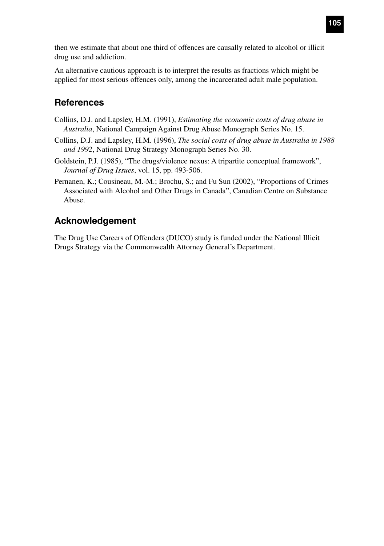then we estimate that about one third of offences are causally related to alcohol or illicit drug use and addiction.

An alternative cautious approach is to interpret the results as fractions which might be applied for most serious offences only, among the incarcerated adult male population.

### **References**

- Collins, D.J. and Lapsley, H.M. (1991), *Estimating the economic costs of drug abuse in Australia*, National Campaign Against Drug Abuse Monograph Series No. 15.
- Collins, D.J. and Lapsley, H.M. (1996), *The social costs of drug abuse in Australia in 1988 and 1992*, National Drug Strategy Monograph Series No. 30.
- Goldstein, P.J. (1985), "The drugs/violence nexus: A tripartite conceptual framework", *Journal of Drug Issues*, vol. 15, pp. 493-506.
- Pernanen, K.; Cousineau, M.-M.; Brochu, S.; and Fu Sun (2002), "Proportions of Crimes Associated with Alcohol and Other Drugs in Canada", Canadian Centre on Substance Abuse.

### **Acknowledgement**

The Drug Use Careers of Offenders (DUCO) study is funded under the National Illicit Drugs Strategy via the Commonwealth Attorney General's Department.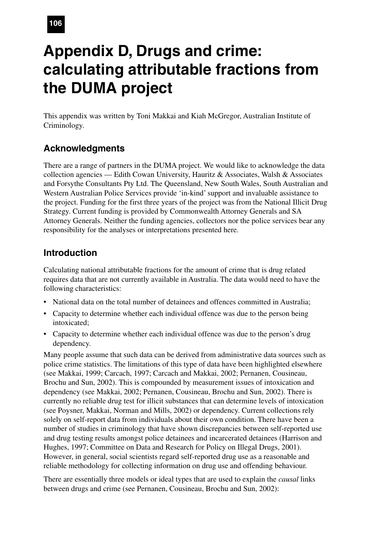# **Appendix D, Drugs and crime: calculating attributable fractions from the DUMA project**

This appendix was written by Toni Makkai and Kiah McGregor, Australian Institute of Criminology.

# **Acknowledgments**

There are a range of partners in the DUMA project. We would like to acknowledge the data collection agencies — Edith Cowan University, Hauritz & Associates, Walsh & Associates and Forsythe Consultants Pty Ltd. The Queensland, New South Wales, South Australian and Western Australian Police Services provide 'in-kind' support and invaluable assistance to the project. Funding for the first three years of the project was from the National Illicit Drug Strategy. Current funding is provided by Commonwealth Attorney Generals and SA Attorney Generals. Neither the funding agencies, collectors nor the police services bear any responsibility for the analyses or interpretations presented here.

### **Introduction**

Calculating national attributable fractions for the amount of crime that is drug related requires data that are not currently available in Australia. The data would need to have the following characteristics:

- National data on the total number of detainees and offences committed in Australia;
- Capacity to determine whether each individual offence was due to the person being intoxicated;
- Capacity to determine whether each individual offence was due to the person's drug dependency.

Many people assume that such data can be derived from administrative data sources such as police crime statistics. The limitations of this type of data have been highlighted elsewhere (see Makkai, 1999; Carcach, 1997; Carcach and Makkai, 2002; Pernanen, Cousineau, Brochu and Sun, 2002). This is compounded by measurement issues of intoxication and dependency (see Makkai, 2002; Pernanen, Cousineau, Brochu and Sun, 2002). There is currently no reliable drug test for illicit substances that can determine levels of intoxication (see Poysner, Makkai, Norman and Mills, 2002) or dependency. Current collections rely solely on self-report data from individuals about their own condition. There have been a number of studies in criminology that have shown discrepancies between self-reported use and drug testing results amongst police detainees and incarcerated detainees (Harrison and Hughes, 1997; Committee on Data and Research for Policy on Illegal Drugs, 2001). However, in general, social scientists regard self-reported drug use as a reasonable and reliable methodology for collecting information on drug use and offending behaviour.

There are essentially three models or ideal types that are used to explain the *causal* links between drugs and crime (see Pernanen, Cousineau, Brochu and Sun, 2002):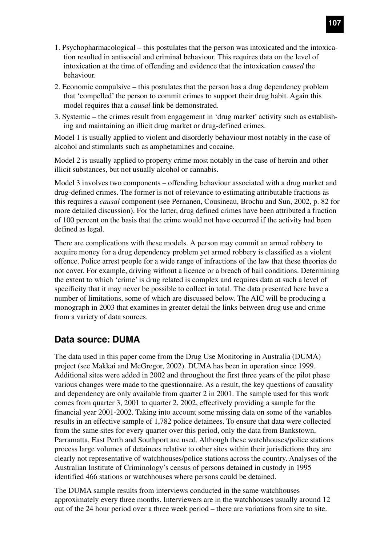- 1. Psychopharmacological this postulates that the person was intoxicated and the intoxication resulted in antisocial and criminal behaviour. This requires data on the level of intoxication at the time of offending and evidence that the intoxication *caused* the behaviour.
- 2. Economic compulsive this postulates that the person has a drug dependency problem that 'compelled' the person to commit crimes to support their drug habit. Again this model requires that a *causal* link be demonstrated.
- 3. Systemic the crimes result from engagement in 'drug market' activity such as establishing and maintaining an illicit drug market or drug-defined crimes.

Model 1 is usually applied to violent and disorderly behaviour most notably in the case of alcohol and stimulants such as amphetamines and cocaine.

Model 2 is usually applied to property crime most notably in the case of heroin and other illicit substances, but not usually alcohol or cannabis.

Model 3 involves two components – offending behaviour associated with a drug market and drug-defined crimes. The former is not of relevance to estimating attributable fractions as this requires a *causal* component (see Pernanen, Cousineau, Brochu and Sun, 2002, p. 82 for more detailed discussion). For the latter, drug defined crimes have been attributed a fraction of 100 percent on the basis that the crime would not have occurred if the activity had been defined as legal.

There are complications with these models. A person may commit an armed robbery to acquire money for a drug dependency problem yet armed robbery is classified as a violent offence. Police arrest people for a wide range of infractions of the law that these theories do not cover. For example, driving without a licence or a breach of bail conditions. Determining the extent to which 'crime' is drug related is complex and requires data at such a level of specificity that it may never be possible to collect in total. The data presented here have a number of limitations, some of which are discussed below. The AIC will be producing a monograph in 2003 that examines in greater detail the links between drug use and crime from a variety of data sources.

### **Data source: DUMA**

The data used in this paper come from the Drug Use Monitoring in Australia (DUMA) project (see Makkai and McGregor, 2002). DUMA has been in operation since 1999. Additional sites were added in 2002 and throughout the first three years of the pilot phase various changes were made to the questionnaire. As a result, the key questions of causality and dependency are only available from quarter 2 in 2001. The sample used for this work comes from quarter 3, 2001 to quarter 2, 2002, effectively providing a sample for the financial year 2001-2002. Taking into account some missing data on some of the variables results in an effective sample of 1,782 police detainees. To ensure that data were collected from the same sites for every quarter over this period, only the data from Bankstown, Parramatta, East Perth and Southport are used. Although these watchhouses/police stations process large volumes of detainees relative to other sites within their jurisdictions they are clearly not representative of watchhouses/police stations across the country. Analyses of the Australian Institute of Criminology's census of persons detained in custody in 1995 identified 466 stations or watchhouses where persons could be detained.

The DUMA sample results from interviews conducted in the same watchhouses approximately every three months. Interviewers are in the watchhouses usually around 12 out of the 24 hour period over a three week period – there are variations from site to site.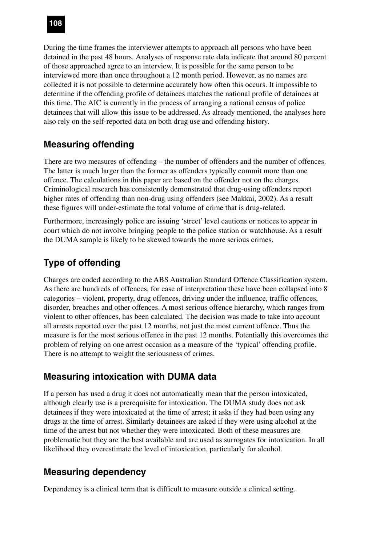During the time frames the interviewer attempts to approach all persons who have been detained in the past 48 hours. Analyses of response rate data indicate that around 80 percent of those approached agree to an interview. It is possible for the same person to be interviewed more than once throughout a 12 month period. However, as no names are collected it is not possible to determine accurately how often this occurs. It impossible to determine if the offending profile of detainees matches the national profile of detainees at this time. The AIC is currently in the process of arranging a national census of police detainees that will allow this issue to be addressed. As already mentioned, the analyses here also rely on the self-reported data on both drug use and offending history.

# **Measuring offending**

There are two measures of offending – the number of offenders and the number of offences. The latter is much larger than the former as offenders typically commit more than one offence. The calculations in this paper are based on the offender not on the charges. Criminological research has consistently demonstrated that drug-using offenders report higher rates of offending than non-drug using offenders (see Makkai, 2002). As a result these figures will under-estimate the total volume of crime that is drug-related.

Furthermore, increasingly police are issuing 'street' level cautions or notices to appear in court which do not involve bringing people to the police station or watchhouse. As a result the DUMA sample is likely to be skewed towards the more serious crimes.

# **Type of offending**

Charges are coded according to the ABS Australian Standard Offence Classification system. As there are hundreds of offences, for ease of interpretation these have been collapsed into 8 categories – violent, property, drug offences, driving under the influence, traffic offences, disorder, breaches and other offences. A most serious offence hierarchy, which ranges from violent to other offences, has been calculated. The decision was made to take into account all arrests reported over the past 12 months, not just the most current offence. Thus the measure is for the most serious offence in the past 12 months. Potentially this overcomes the problem of relying on one arrest occasion as a measure of the 'typical' offending profile. There is no attempt to weight the seriousness of crimes.

### **Measuring intoxication with DUMA data**

If a person has used a drug it does not automatically mean that the person intoxicated, although clearly use is a prerequisite for intoxication. The DUMA study does not ask detainees if they were intoxicated at the time of arrest; it asks if they had been using any drugs at the time of arrest. Similarly detainees are asked if they were using alcohol at the time of the arrest but not whether they were intoxicated. Both of these measures are problematic but they are the best available and are used as surrogates for intoxication. In all likelihood they overestimate the level of intoxication, particularly for alcohol.

# **Measuring dependency**

Dependency is a clinical term that is difficult to measure outside a clinical setting.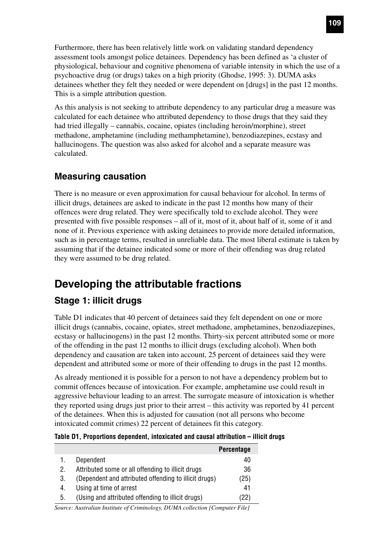Furthermore, there has been relatively little work on validating standard dependency assessment tools amongst police detainees. Dependency has been defined as 'a cluster of physiological, behaviour and cognitive phenomena of variable intensity in which the use of a psychoactive drug (or drugs) takes on a high priority (Ghodse, 1995: 3). DUMA asks detainees whether they felt they needed or were dependent on [drugs] in the past 12 months. This is a simple attribution question.

As this analysis is not seeking to attribute dependency to any particular drug a measure was calculated for each detainee who attributed dependency to those drugs that they said they had tried illegally – cannabis, cocaine, opiates (including heroin/morphine), street methadone, amphetamine (including methamphetamine), benzodiazepines, ecstasy and hallucinogens. The question was also asked for alcohol and a separate measure was calculated.

## **Measuring causation**

There is no measure or even approximation for causal behaviour for alcohol. In terms of illicit drugs, detainees are asked to indicate in the past 12 months how many of their offences were drug related. They were specifically told to exclude alcohol. They were presented with five possible responses – all of it, most of it, about half of it, some of it and none of it. Previous experience with asking detainees to provide more detailed information, such as in percentage terms, resulted in unreliable data. The most liberal estimate is taken by assuming that if the detainee indicated some or more of their offending was drug related they were assumed to be drug related.

# **Developing the attributable fractions**

# **Stage 1: illicit drugs**

Table D1 indicates that 40 percent of detainees said they felt dependent on one or more illicit drugs (cannabis, cocaine, opiates, street methadone, amphetamines, benzodiazepines, ecstasy or hallucinogens) in the past 12 months. Thirty-six percent attributed some or more of the offending in the past 12 months to illicit drugs (excluding alcohol). When both dependency and causation are taken into account, 25 percent of detainees said they were dependent and attributed some or more of their offending to drugs in the past 12 months.

As already mentioned it is possible for a person to not have a dependency problem but to commit offences because of intoxication. For example, amphetamine use could result in aggressive behaviour leading to an arrest. The surrogate measure of intoxication is whether they reported using drugs just prior to their arrest – this activity was reported by 41 percent of the detainees. When this is adjusted for causation (not all persons who become intoxicated commit crimes) 22 percent of detainees fit this category.

#### **Table D1, Proportions dependent, intoxicated and causal attribution – illicit drugs**

|    |                                                       | <b>Percentage</b> |
|----|-------------------------------------------------------|-------------------|
| 1. | Dependent                                             | 40                |
| 2. | Attributed some or all offending to illicit drugs     | 36                |
| 3. | (Dependent and attributed offending to illicit drugs) | (25)              |
| 4. | Using at time of arrest                               | 41                |
| 5. | (Using and attributed offending to illicit drugs)     | (22)              |
|    | $\sim$ $\sim$ $\sim$ $\sim$ $\sim$<br>. .             | $- \cdot$ $-$     |

*Source: Australian Institute of Criminology, DUMA collection [Computer File]*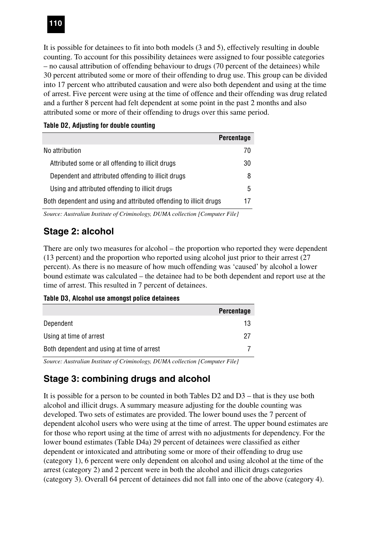It is possible for detainees to fit into both models (3 and 5), effectively resulting in double counting. To account for this possibility detainees were assigned to four possible categories – no causal attribution of offending behaviour to drugs (70 percent of the detainees) while 30 percent attributed some or more of their offending to drug use. This group can be divided into 17 percent who attributed causation and were also both dependent and using at the time of arrest. Five percent were using at the time of offence and their offending was drug related and a further 8 percent had felt dependent at some point in the past 2 months and also attributed some or more of their offending to drugs over this same period.

|                                                                    | <b>Percentage</b> |
|--------------------------------------------------------------------|-------------------|
| No attribution                                                     | 70                |
| Attributed some or all offending to illicit drugs                  | 30                |
| Dependent and attributed offending to illicit drugs                | 8                 |
| Using and attributed offending to illicit drugs                    | 5                 |
| Both dependent and using and attributed offending to illicit drugs | 17                |

#### **Table D2, Adjusting for double counting**

*Source: Australian Institute of Criminology, DUMA collection [Computer File]*

### **Stage 2: alcohol**

There are only two measures for alcohol – the proportion who reported they were dependent (13 percent) and the proportion who reported using alcohol just prior to their arrest (27 percent). As there is no measure of how much offending was 'caused' by alcohol a lower bound estimate was calculated – the detainee had to be both dependent and report use at the time of arrest. This resulted in 7 percent of detainees.

#### **Table D3, Alcohol use amongst police detainees**

|                                            | <b>Percentage</b> |
|--------------------------------------------|-------------------|
| Dependent                                  | 13                |
| Using at time of arrest                    | 27                |
| Both dependent and using at time of arrest |                   |
|                                            |                   |

*Source: Australian Institute of Criminology, DUMA collection [Computer File]*

### **Stage 3: combining drugs and alcohol**

It is possible for a person to be counted in both Tables D2 and D3 – that is they use both alcohol and illicit drugs. A summary measure adjusting for the double counting was developed. Two sets of estimates are provided. The lower bound uses the 7 percent of dependent alcohol users who were using at the time of arrest. The upper bound estimates are for those who report using at the time of arrest with no adjustments for dependency. For the lower bound estimates (Table D4a) 29 percent of detainees were classified as either dependent or intoxicated and attributing some or more of their offending to drug use (category 1), 6 percent were only dependent on alcohol and using alcohol at the time of the arrest (category 2) and 2 percent were in both the alcohol and illicit drugs categories (category 3). Overall 64 percent of detainees did not fall into one of the above (category 4).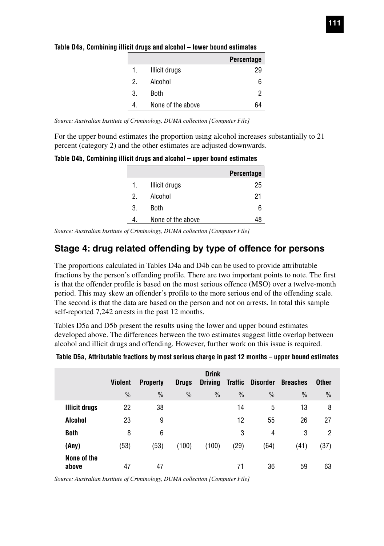|    |                   | <b>Percentage</b> |
|----|-------------------|-------------------|
| 1. | Illicit drugs     | 29                |
| 2  | Alcohol           | 6                 |
| 3. | Both              | 2                 |
| 4. | None of the above |                   |

#### **Table D4a, Combining illicit drugs and alcohol – lower bound estimates**

*Source: Australian Institute of Criminology, DUMA collection [Computer File]*

For the upper bound estimates the proportion using alcohol increases substantially to 21 percent (category 2) and the other estimates are adjusted downwards.

**Table D4b, Combining illicit drugs and alcohol – upper bound estimates**

|    |                   | <b>Percentage</b> |
|----|-------------------|-------------------|
| 1. | Illicit drugs     | 25                |
| 2  | Alcohol           | 21                |
| 3. | Both              | 6                 |
|    | None of the above |                   |
|    |                   |                   |

*Source: Australian Institute of Criminology, DUMA collection [Computer File]*

### **Stage 4: drug related offending by type of offence for persons**

The proportions calculated in Tables D4a and D4b can be used to provide attributable fractions by the person's offending profile. There are two important points to note. The first is that the offender profile is based on the most serious offence (MSO) over a twelve-month period. This may skew an offender's profile to the more serious end of the offending scale. The second is that the data are based on the person and not on arrests. In total this sample self-reported 7,242 arrests in the past 12 months.

Tables D5a and D5b present the results using the lower and upper bound estimates developed above. The differences between the two estimates suggest little overlap between alcohol and illicit drugs and offending. However, further work on this issue is required.

| Table D5a, Attributable fractions by most serious charge in past 12 months - upper bound estimates |  |  |  |  |  |
|----------------------------------------------------------------------------------------------------|--|--|--|--|--|
|                                                                                                    |  |  |  |  |  |

|                      | <b>Violent</b> | <b>Property</b> | <b>Drugs</b>  | <b>Drink</b><br><b>Driving</b> | <b>Traffic</b> | <b>Disorder</b> | <b>Breaches</b> | <b>Other</b>  |  |
|----------------------|----------------|-----------------|---------------|--------------------------------|----------------|-----------------|-----------------|---------------|--|
|                      | $\frac{0}{0}$  | $\frac{0}{0}$   | $\frac{0}{0}$ | $\frac{0}{0}$                  | $\frac{0}{0}$  | $\frac{0}{0}$   | $\frac{0}{0}$   | $\frac{0}{0}$ |  |
| <b>Illicit drugs</b> | 22             | 38              |               |                                | 14             | 5               | 13              | 8             |  |
| Alcohol              | 23             | 9               |               |                                | 12             | 55              | 26              | 27            |  |
| <b>Both</b>          | 8              | 6               |               |                                | 3              | 4               | 3               | 2             |  |
| (Any)                | (53)           | (53)            | (100)         | (100)                          | (29)           | (64)            | (41)            | (37)          |  |
| None of the<br>above | 47             | 47              |               |                                | 71             | 36              | 59              | 63            |  |

*Source: Australian Institute of Criminology, DUMA collection [Computer File]*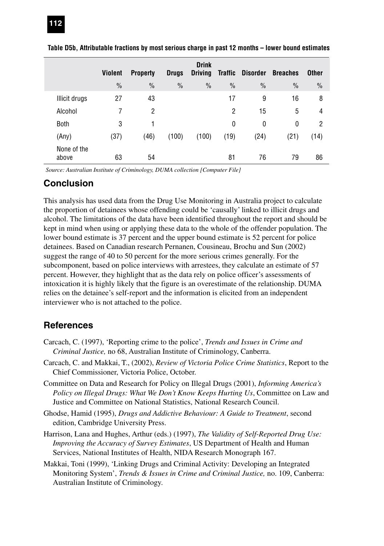|                      | <b>Violent</b> | <b>Property</b> | <b>Drugs</b>  | <b>Drink</b><br><b>Driving</b> | Traffic        | <b>Disorder</b> | <b>Breaches</b> | <b>Other</b>   |
|----------------------|----------------|-----------------|---------------|--------------------------------|----------------|-----------------|-----------------|----------------|
|                      | $\frac{0}{0}$  | $\frac{0}{0}$   | $\frac{0}{0}$ | $\frac{0}{0}$                  | $\frac{0}{0}$  | $\frac{0}{0}$   | $\frac{0}{0}$   | $\frac{0}{0}$  |
| Illicit drugs        | 27             | 43              |               |                                | 17             | 9               | 16              | 8              |
| Alcohol              |                | 2               |               |                                | $\overline{2}$ | 15              | 5               | 4              |
| <b>Both</b>          | 3              |                 |               |                                | 0              | 0               | 0               | $\overline{2}$ |
| (Any)                | (37)           | (46)            | (100)         | (100)                          | (19)           | (24)            | (21)            | (14)           |
| None of the<br>above | 63             | 54              |               |                                | 81             | 76              | 79              | 86             |

#### **Table D5b, Attributable fractions by most serious charge in past 12 months – lower bound estimates**

*Source: Australian Institute of Criminology, DUMA collection [Computer File]*

#### **Conclusion**

This analysis has used data from the Drug Use Monitoring in Australia project to calculate the proportion of detainees whose offending could be 'causally' linked to illicit drugs and alcohol. The limitations of the data have been identified throughout the report and should be kept in mind when using or applying these data to the whole of the offender population. The lower bound estimate is 37 percent and the upper bound estimate is 52 percent for police detainees. Based on Canadian research Pernanen, Cousineau, Brochu and Sun (2002) suggest the range of 40 to 50 percent for the more serious crimes generally. For the subcomponent, based on police interviews with arrestees, they calculate an estimate of 57 percent. However, they highlight that as the data rely on police officer's assessments of intoxication it is highly likely that the figure is an overestimate of the relationship. DUMA relies on the detainee's self-report and the information is elicited from an independent interviewer who is not attached to the police.

### **References**

- Carcach, C. (1997), 'Reporting crime to the police', *Trends and Issues in Crime and Criminal Justice,* no 68, Australian Institute of Criminology, Canberra.
- Carcach, C. and Makkai, T., (2002), *Review of Victoria Police Crime Statistics*, Report to the Chief Commissioner, Victoria Police, October.
- Committee on Data and Research for Policy on Illegal Drugs (2001), *Informing America's Policy on Illegal Drugs: What We Don't Know Keeps Hurting Us*, Committee on Law and Justice and Committee on National Statistics, National Research Council.
- Ghodse, Hamid (1995), *Drugs and Addictive Behaviour: A Guide to Treatment*, second edition, Cambridge University Press.
- Harrison, Lana and Hughes, Arthur (eds.) (1997), *The Validity of Self-Reported Drug Use: Improving the Accuracy of Survey Estimates*, US Department of Health and Human Services, National Institutes of Health, NIDA Research Monograph 167.
- Makkai, Toni (1999), 'Linking Drugs and Criminal Activity: Developing an Integrated Monitoring System', *Trends & Issues in Crime and Criminal Justice,* no. 109, Canberra: Australian Institute of Criminology.